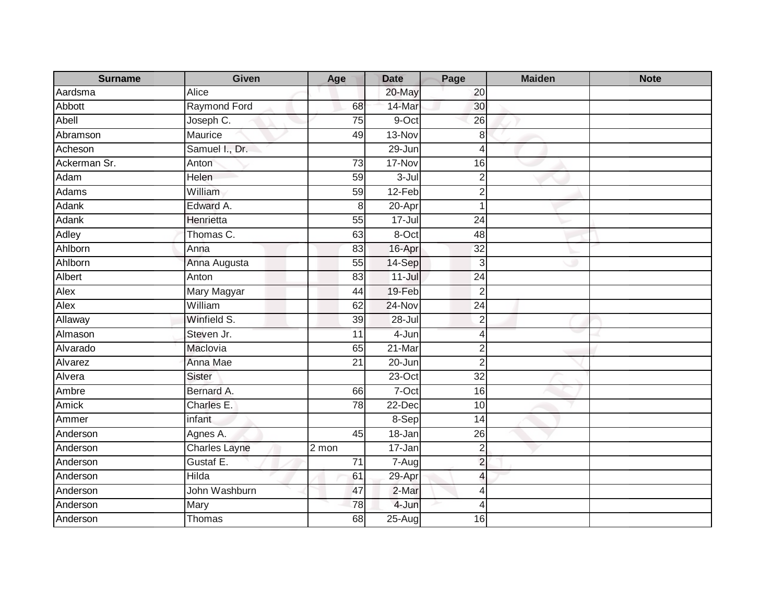| <b>Surname</b> | <b>Given</b>         | Age             | <b>Date</b> | Page            | <b>Maiden</b> | <b>Note</b> |
|----------------|----------------------|-----------------|-------------|-----------------|---------------|-------------|
| Aardsma        | Alice                |                 | 20-May      | 20              |               |             |
| Abbott         | <b>Raymond Ford</b>  | 68              | 14-Mar      | 30              |               |             |
| Abell          | Joseph C.            | 75              | 9-Oct       | 26              |               |             |
| Abramson       | Maurice              | 49              | 13-Nov      | 8               |               |             |
| Acheson        | Samuel I., Dr.       |                 | 29-Jun      | 4               |               |             |
| Ackerman Sr.   | Anton                | 73              | 17-Nov      | 16              |               |             |
| Adam           | Helen                | 59              | 3-Jul       | $\overline{2}$  |               |             |
| Adams          | William              | 59              | 12-Feb      | $\overline{2}$  |               |             |
| Adank          | Edward A.            | 8               | 20-Apr      | $\mathbf 1$     |               |             |
| Adank          | Henrietta            | 55              | 17-Jul      | 24              |               |             |
| Adley          | Thomas C.            | 63              | 8-Oct       | 48              |               |             |
| Ahlborn        | Anna                 | 83              | 16-Apr      | 32              |               |             |
| Ahlborn        | Anna Augusta         | 55              | 14-Sep      | 3               |               |             |
| <b>Albert</b>  | Anton                | $\overline{83}$ | $11 -$ Jul  | 24              |               |             |
| Alex           | Mary Magyar          | 44              | 19-Feb      | $\overline{2}$  |               |             |
| Alex           | William              | 62              | 24-Nov      | $\overline{24}$ |               |             |
| Allaway        | Winfield S.          | 39              | $28 -$ Jul  | $\sqrt{2}$      |               |             |
| Almason        | Steven Jr.           | 11              | $4 - Jun$   | 4               |               |             |
| Alvarado       | Maclovia             | 65              | 21-Mar      | $\overline{c}$  |               |             |
| Alvarez        | Anna Mae             | 21              | 20-Jun      | $\overline{2}$  |               |             |
| Alvera         | <b>Sister</b>        |                 | $23-Oct$    | $\overline{32}$ |               |             |
| Ambre          | Bernard A.           | 66              | 7-Oct       | 16              |               |             |
| Amick          | Charles E.           | 78              | 22-Dec      | 10              |               |             |
| Ammer          | infant               |                 | 8-Sep       | 14              |               |             |
| Anderson       | Agnes A.             | 45              | $18 - Jan$  | 26              |               |             |
| Anderson       | <b>Charles Layne</b> | 2 mon           | $17 - Jan$  | $\overline{2}$  |               |             |
| Anderson       | Gustaf E.            | $\overline{71}$ | $7 - Aug$   | $\overline{2}$  |               |             |
| Anderson       | Hilda                | 61              | 29-Apr      | $\overline{4}$  |               |             |
| Anderson       | John Washburn        | 47              | 2-Mar       | 4               |               |             |
| Anderson       | Mary                 | 78              | 4-Jun       | 4               |               |             |
| Anderson       | Thomas               | 68              | $25-Aug$    | 16              |               |             |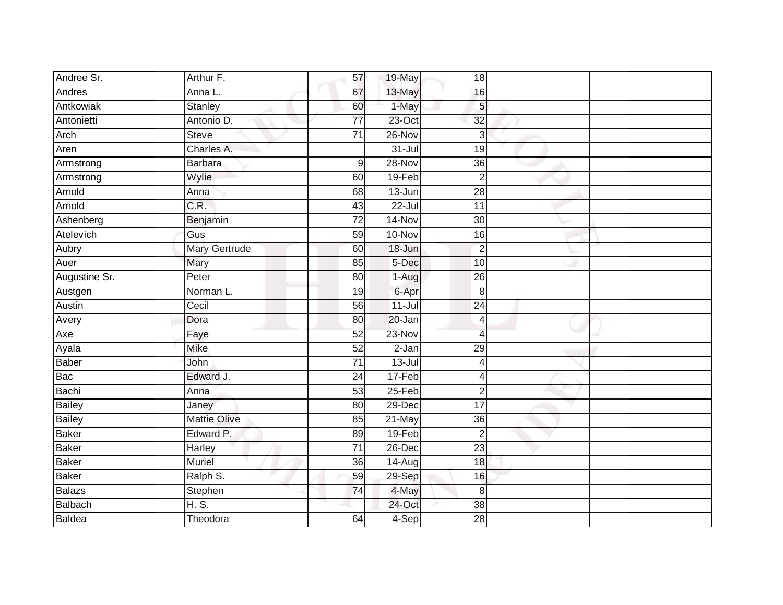| Andree Sr.    | Arthur F.            | 57              | $19$ -May  | 18              |  |
|---------------|----------------------|-----------------|------------|-----------------|--|
| Andres        | Anna L.              | 67              | 13-May     | 16              |  |
| Antkowiak     | <b>Stanley</b>       | 60              | 1-May      | 5               |  |
| Antonietti    | Antonio D.           | $\overline{77}$ | $23$ -Oct  | $\overline{32}$ |  |
| Arch          | <b>Steve</b>         | $\overline{71}$ | 26-Nov     | 3               |  |
| Aren          | Charles A.           |                 | $31 -$ Jul | 19              |  |
| Armstrong     | <b>Barbara</b>       | 9               | 28-Nov     | 36              |  |
| Armstrong     | Wylie                | 60              | 19-Feb     | $\overline{2}$  |  |
| Arnold        | Anna                 | 68              | $13 - Jun$ | $\overline{28}$ |  |
| Arnold        | C.R.                 | 43              | $22 -$ Jul | 11              |  |
| Ashenberg     | Benjamin             | $\overline{72}$ | 14-Nov     | 30              |  |
| Atelevich     | Gus                  | 59              | $10 - Nov$ | 16              |  |
| Aubry         | <b>Mary Gertrude</b> | 60              | 18-Jun     | $\overline{2}$  |  |
| Auer          | Mary                 | 85              | 5-Dec      | 10              |  |
| Augustine Sr. | Peter                | $\overline{80}$ | 1-Aug      | $\overline{26}$ |  |
| Austgen       | Norman L.            | 19              | 6-Apr      | 8               |  |
| Austin        | Cecil                | 56              | $11$ -Jul  | $\overline{24}$ |  |
| Avery         | Dora                 | 80              | 20-Jan     | 4               |  |
| Axe           | $F$ aye              | 52              | 23-Nov     | 4               |  |
| Ayala         | Mike                 | 52              | $2-Jan$    | $\overline{29}$ |  |
| Baber         | John                 | $\overline{71}$ | $13 -$ Jul | 4               |  |
| Bac           | Edward J.            | $\overline{24}$ | 17-Feb     | 4               |  |
| Bachi         | Anna                 | 53              | $25 - Feb$ | $\overline{2}$  |  |
| Bailey        | Janey                | 80              | 29-Dec     | 17              |  |
| Bailey        | <b>Mattie Olive</b>  | 85              | 21-May     | $\overline{36}$ |  |
| <b>Baker</b>  | Edward P.            | 89              | 19-Feb     | $\overline{2}$  |  |
| <b>Baker</b>  | Harley               | $\overline{71}$ | 26-Dec     | $\overline{23}$ |  |
| Baker         | <b>Muriel</b>        | 36              | 14-Aug     | 18              |  |
| Baker         | Ralph S.             | 59              | $29-Sep$   | 16              |  |
| Balazs        | Stephen              | 74              | 4-May      | 8               |  |
| Balbach       | H.S.                 |                 | 24-Oct     | 38              |  |
| Baldea        | Theodora             | 64              | 4-Sep      | 28              |  |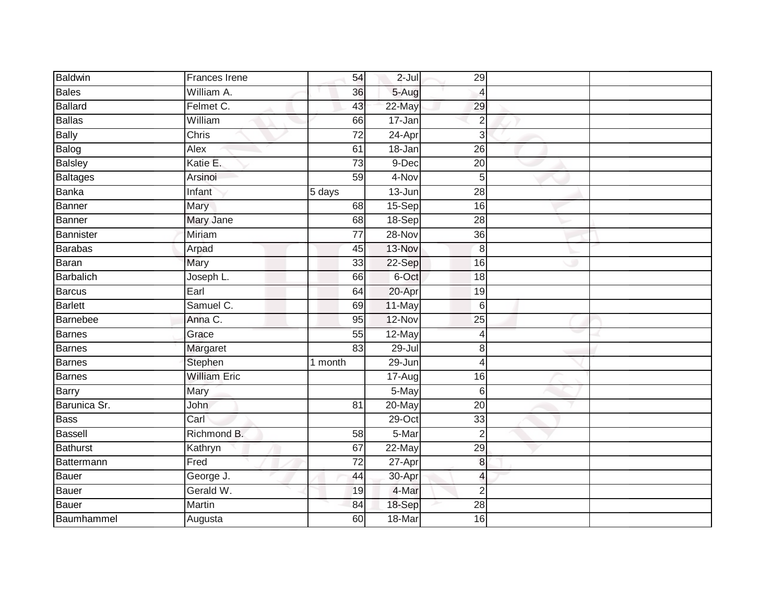| <b>Baldwin</b> | Frances Irene       | 54                  | $2$ -Jul   | 29                       |  |
|----------------|---------------------|---------------------|------------|--------------------------|--|
| <b>Bales</b>   | William A.          | 36                  | 5-Aug      | $\overline{4}$           |  |
| <b>Ballard</b> | Felmet C.           | 43                  | 22-May     | 29                       |  |
| Ballas         | William             | 66                  | 17-Jan     | $\overline{2}$           |  |
| <b>Bally</b>   | Chris               | $\overline{72}$     | $24-Apr$   | 3                        |  |
| Balog          | Alex                | 61                  | 18-Jan     | 26                       |  |
| Balsley        | Katie E.            | $\overline{73}$     | 9-Dec      | $\overline{20}$          |  |
| Baltages       | Arsinoi             | $\overline{59}$     | 4-Nov      | 5                        |  |
| <b>Banka</b>   | Infant              | $\overline{5}$ days | 13-Jun     | $\overline{28}$          |  |
| Banner         | Mary                | 68                  | 15-Sep     | 16                       |  |
| Banner         | Mary Jane           | 68                  | 18-Sep     | 28                       |  |
| Bannister      | Miriam              | 77                  | 28-Nov     | 36                       |  |
| Barabas        | Arpad               | 45                  | 13-Nov     | $\overline{8}$           |  |
| Baran          | Mary                | 33                  | 22-Sep     | 16                       |  |
| Barbalich      | Joseph L.           | 66                  | 6-Oct      | 18                       |  |
| Barcus         | Earl                | 64                  | 20-Apr     | 19                       |  |
| <b>Barlett</b> | Samuel C.           | 69                  | 11-May     | $6\phantom{1}6$          |  |
| Barnebee       | Anna C.             | 95                  | 12-Nov     | $\overline{25}$          |  |
| Barnes         | Grace               | 55                  | 12-May     | $\overline{4}$           |  |
| <b>Barnes</b>  | Margaret            | $\overline{83}$     | $29 -$ Jul | 8                        |  |
| Barnes         | Stephen             | 1 month             | 29-Jun     | $\overline{4}$           |  |
| <b>Barnes</b>  | <b>William Eric</b> |                     | $17 - Aug$ | 16                       |  |
| Barry          | Mary                |                     | 5-May      | $6\phantom{1}6$          |  |
| Barunica Sr.   | John                | 81                  | 20-May     | 20                       |  |
| Bass           | Carl                |                     | 29-Oct     | 33                       |  |
| <b>Bassell</b> | Richmond B.         | 58                  | 5-Mar      | $\overline{2}$           |  |
| Bathurst       | Kathryn             | 67                  | $22$ -May  | 29                       |  |
| Battermann     | Fred                | $\overline{72}$     | 27-Apr     | 8                        |  |
| Bauer          | George J.           | 44                  | 30-Apr     | $\overline{\mathcal{L}}$ |  |
| Bauer          | Gerald W.           | 19                  | 4-Mar      | $\overline{2}$           |  |
| Bauer          | Martin              | 84                  | 18-Sep     | $\overline{28}$          |  |
| Baumhammel     | Augusta             | 60                  | 18-Mar     | 16                       |  |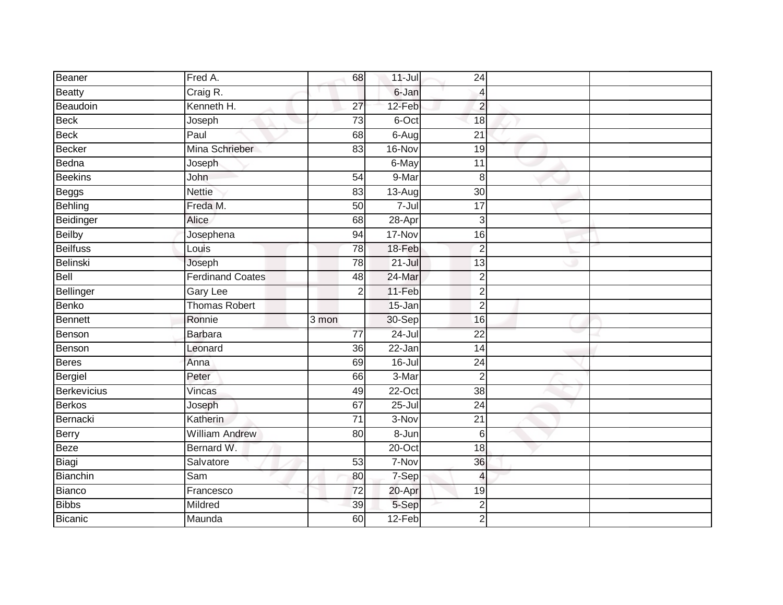| Beaner          | Fred A.                 | 68              | $11 -$ Jul | 24              |  |
|-----------------|-------------------------|-----------------|------------|-----------------|--|
| <b>Beatty</b>   | Craig R.                |                 | 6-Jan      | $\overline{4}$  |  |
| Beaudoin        | Kenneth H.              | $\overline{27}$ | 12-Feb     | $\overline{c}$  |  |
| <b>Beck</b>     | Joseph                  | 73              | 6-Oct      | 18              |  |
| <b>Beck</b>     | Paul                    | 68              | 6-Aug      | $\overline{21}$ |  |
| <b>Becker</b>   | Mina Schrieber          | 83              | 16-Nov     | 19              |  |
| Bedna           | Joseph                  |                 | 6-May      | 11              |  |
| <b>Beekins</b>  | John                    | 54              | 9-Mar      | 8               |  |
| Beggs           | <b>Nettie</b>           | 83              | $13-Aug$   | $\overline{30}$ |  |
| <b>Behling</b>  | Freda M.                | 50              | $7 -$ Jul  | 17              |  |
| Beidinger       | Alice                   | 68              | 28-Apr     | 3               |  |
| <b>Beilby</b>   | Josephena               | 94              | 17-Nov     | 16              |  |
| <b>Beilfuss</b> | Louis                   | 78              | 18-Feb     | $\overline{2}$  |  |
| Belinski        | Joseph                  | 78              | $21 -$ Jul | 13              |  |
| Bell            | <b>Ferdinand Coates</b> | 48              | 24-Mar     | $\overline{2}$  |  |
| Bellinger       | Gary Lee                | $\overline{2}$  | 11-Feb     | $\overline{2}$  |  |
| <b>Benko</b>    | <b>Thomas Robert</b>    |                 | 15-Jan     | $\overline{2}$  |  |
| <b>Bennett</b>  | Ronnie                  | 3 mon           | 30-Sep     | 16              |  |
| Benson          | <b>Barbara</b>          | $\overline{77}$ | $24 -$ Jul | $\overline{22}$ |  |
| Benson          | Leonard                 | $\overline{36}$ | $22 - Jan$ | $\overline{14}$ |  |
| <b>Beres</b>    | Anna                    | 69              | $16 -$ Jul | 24              |  |
| Bergiel         | Peter                   | 66              | 3-Mar      | $\overline{2}$  |  |
| Berkevicius     | Vincas                  | 49              | $22-Oct$   | 38              |  |
| <b>Berkos</b>   | Joseph                  | 67              | $25 -$ Jul | 24              |  |
| Bernacki        | Katherin                | $\overline{71}$ | 3-Nov      | 21              |  |
| <b>Berry</b>    | <b>William Andrew</b>   | 80              | 8-Jun      | $6\phantom{1}6$ |  |
| <b>Beze</b>     | Bernard W.              |                 | $20$ -Oct  | 18              |  |
| Biagi           | Salvatore               | 53              | 7-Nov      | 36              |  |
| Bianchin        | Sam                     | 80              | 7-Sep      | $\overline{4}$  |  |
| Bianco          | Francesco               | $\overline{72}$ | 20-Apr     | 19              |  |
| <b>Bibbs</b>    | Mildred                 | 39              | 5-Sep      | $\overline{2}$  |  |
| <b>Bicanic</b>  | Maunda                  | 60              | $12-Feb$   | $\overline{2}$  |  |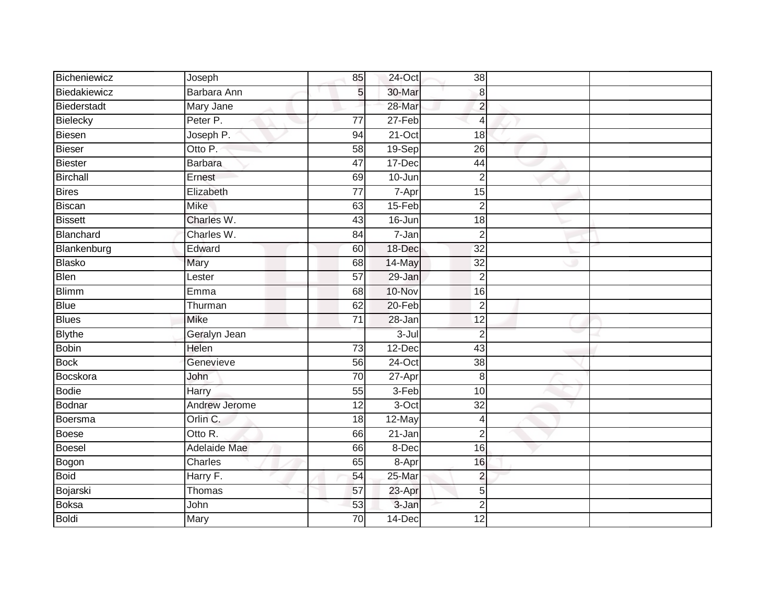| Bicheniewicz   | Joseph        | 85              | 24-Oct     | 38              |  |
|----------------|---------------|-----------------|------------|-----------------|--|
| Biedakiewicz   | Barbara Ann   | 5               | 30-Mar     | 8               |  |
| Biederstadt    | Mary Jane     |                 | 28-Mar     | $\overline{2}$  |  |
| Bielecky       | Peter P.      | 77              | 27-Feb     | $\overline{4}$  |  |
| Biesen         | Joseph P.     | 94              | $21-Oct$   | $\overline{18}$ |  |
| Bieser         | Otto P.       | 58              | $19-Sep$   | 26              |  |
| <b>Biester</b> | Barbara       | 47              | 17-Dec     | 44              |  |
| Birchall       | Ernest        | 69              | 10-Jun     | $\overline{2}$  |  |
| Bires          | Elizabeth     | $\overline{77}$ | 7-Apr      | 15              |  |
| Biscan         | Mike          | 63              | 15-Feb     | $\overline{2}$  |  |
| <b>Bissett</b> | Charles W.    | 43              | 16-Jun     | 18              |  |
| Blanchard      | Charles W.    | 84              | 7-Jan      | $\overline{2}$  |  |
| Blankenburg    | Edward        | 60              | 18-Dec     | 32              |  |
| Blasko         | Mary          | 68              | 14-May     | 32              |  |
| Blen           | Lester        | $\overline{57}$ | 29-Jan     | $\overline{2}$  |  |
| <b>Blimm</b>   | Emma          | 68              | 10-Nov     | 16              |  |
| <b>Blue</b>    | Thurman       | 62              | $20 - Feb$ | $\overline{2}$  |  |
| <b>Blues</b>   | <b>Mike</b>   | $\overline{71}$ | 28-Jan     | $\overline{12}$ |  |
| <b>Blythe</b>  | Geralyn Jean  |                 | $3 -$ Jul  | $\overline{2}$  |  |
| Bobin          | <b>Helen</b>  | $\overline{73}$ | $12$ -Dec  | 43              |  |
| <b>Bock</b>    | Genevieve     | 56              | $24$ -Oct  | 38              |  |
| Bocskora       | John          | 70              | 27-Apr     | 8               |  |
| Bodie          | Harry         | 55              | 3-Feb      | 10              |  |
| Bodnar         | Andrew Jerome | 12              | 3-Oct      | 32              |  |
| Boersma        | Orlin C.      | 18              | 12-May     | $\overline{4}$  |  |
| Boese          | Otto R.       | 66              | 21-Jan     | $\overline{2}$  |  |
| Boesel         | Adelaide Mae  | 66              | 8-Dec      | $\overline{16}$ |  |
| Bogon          | Charles       | 65              | 8-Apr      | 16              |  |
| <b>Boid</b>    | Harry F.      | 54              | 25-Mar     | $\overline{2}$  |  |
| Bojarski       | Thomas        | 57              | 23-Apr     | $\overline{5}$  |  |
| Boksa          | John          | 53              | 3-Jan      | $\overline{2}$  |  |
| Boldi          | Mary          | $\overline{70}$ | 14-Dec     | $\overline{12}$ |  |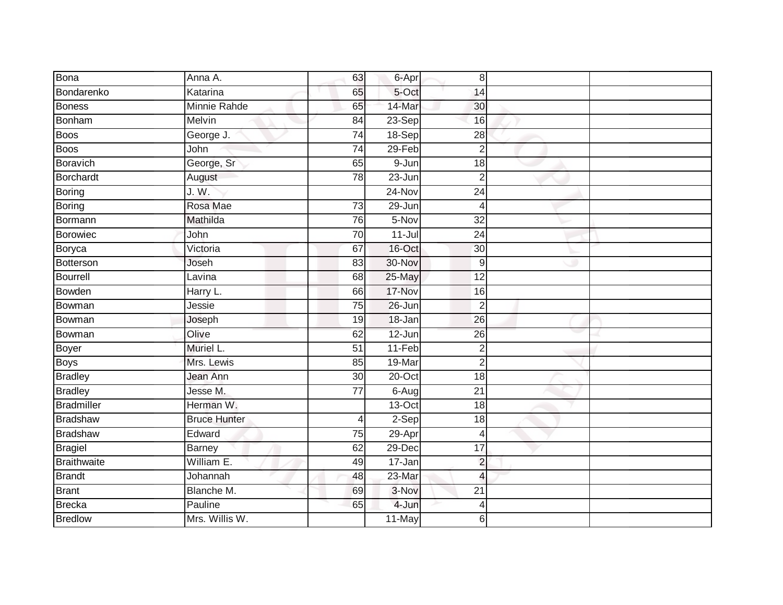| <b>Bona</b>     | Anna A.             | 63                      | 6-Apr      | 8               |  |
|-----------------|---------------------|-------------------------|------------|-----------------|--|
| Bondarenko      | Katarina            | 65                      | 5-Oct      | 14              |  |
| <b>Boness</b>   | Minnie Rahde        | 65                      | 14-Mar     | 30              |  |
| Bonham          | Melvin              | $\overline{84}$         | $23-Sep$   | 16              |  |
| <b>Boos</b>     | George J.           | $\overline{74}$         | 18-Sep     | $\overline{28}$ |  |
| Boos            | John                | $\overline{74}$         | 29-Feb     | $\overline{2}$  |  |
| Boravich        | George, Sr          | 65                      | 9-Jun      | 18              |  |
| Borchardt       | August              | 78                      | 23-Jun     | $\overline{2}$  |  |
| Boring          | J. W.               |                         | 24-Nov     | 24              |  |
| Boring          | Rosa Mae            | 73                      | $29 - Jun$ | 4               |  |
| Bormann         | Mathilda            | 76                      | 5-Nov      | $\overline{32}$ |  |
| Borowiec        | John                | 70                      | $11-Jul$   | 24              |  |
| Boryca          | Victoria            | 67                      | 16-Oct     | $\overline{30}$ |  |
| Botterson       | Joseh               | 83                      | 30-Nov     | 9               |  |
| Bourrell        | Lavina              | 68                      | 25-May     | $\overline{12}$ |  |
| Bowden          | Harry L.            | 66                      | 17-Nov     | 16              |  |
| Bowman          | Jessie              | 75                      | $26 - Jun$ | $\overline{2}$  |  |
| Bowman          | Joseph              | 19                      | 18-Jan     | 26              |  |
| Bowman          | Olive               | 62                      | 12-Jun     | 26              |  |
| Boyer           | Muriel L.           | $\overline{51}$         | 11-Feb     | $\overline{2}$  |  |
| Boys            | Mrs. Lewis          | 85                      | 19-Mar     | $\overline{2}$  |  |
| <b>Bradley</b>  | Jean Ann            | 30                      | $20$ -Oct  | $\overline{18}$ |  |
| <b>Bradley</b>  | Jesse M.            | 77                      | 6-Aug      | 21              |  |
| Bradmiller      | Herman W.           |                         | 13-Oct     | 18              |  |
| Bradshaw        | <b>Bruce Hunter</b> | $\overline{\mathbf{4}}$ | 2-Sep      | 18              |  |
| <b>Bradshaw</b> | Edward              | 75                      | $29-Apr$   | 4               |  |
| <b>Bragiel</b>  | <b>Barney</b>       | 62                      | 29-Dec     | $\overline{17}$ |  |
| Braithwaite     | William E.          | 49                      | 17-Jan     | $\overline{2}$  |  |
| <b>Brandt</b>   | Johannah            | 48                      | 23-Mar     | $\overline{4}$  |  |
| <b>Brant</b>    | Blanche M.          | 69                      | 3-Nov      | $\overline{21}$ |  |
| Brecka          | Pauline             | 65                      | 4-Jun      | 4               |  |
| <b>Bredlow</b>  | Mrs. Willis W.      |                         | 11-May     | 6               |  |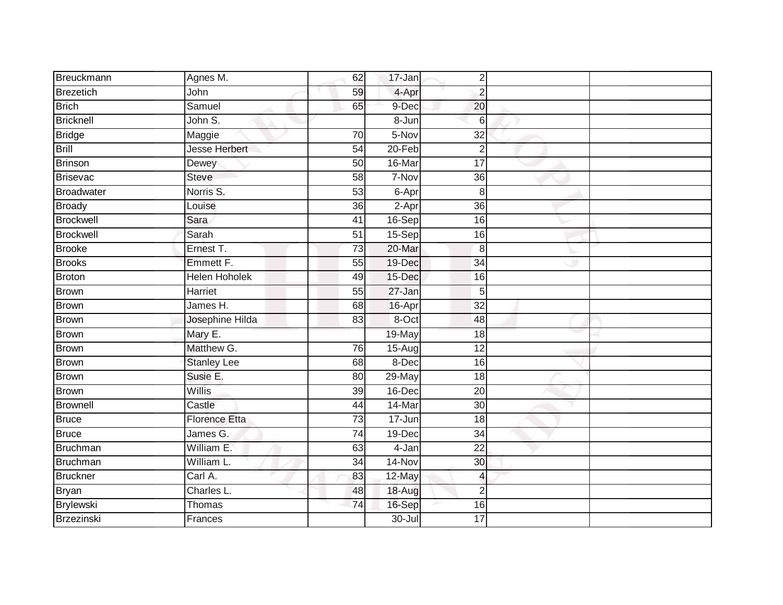| Breuckmann        | Agnes M.             | 62              | 17-Jan     | $\overline{2}$  |  |
|-------------------|----------------------|-----------------|------------|-----------------|--|
| Brezetich         | John                 | 59              | 4-Apr      | $\overline{2}$  |  |
| <b>Brich</b>      | Samuel               | 65              | 9-Dec      | 20              |  |
| <b>Bricknell</b>  | John S.              |                 | 8-Jun      | 6               |  |
| <b>Bridge</b>     | Maggie               | $\overline{70}$ | $5-Nov$    | $\overline{32}$ |  |
| Brill             | Jesse Herbert        | $\overline{54}$ | $20 - Feb$ | $\overline{2}$  |  |
| <b>Brinson</b>    | Dewey                | $\overline{50}$ | 16-Mar     | $\overline{17}$ |  |
| <b>Brisevac</b>   | Steve                | 58              | 7-Nov      | 36              |  |
| <b>Broadwater</b> | Norris S.            | 53              | 6-Apr      | 8               |  |
| <b>Broady</b>     | Louise               | $\overline{36}$ | $2-Apr$    | $\overline{36}$ |  |
| <b>Brockwell</b>  | Sara                 | 41              | 16-Sep     | 16              |  |
| <b>Brockwell</b>  | Sarah                | 51              | 15-Sep     | 16              |  |
| <b>Brooke</b>     | Ernest T.            | 73              | 20-Mar     | 8               |  |
| <b>Brooks</b>     | Emmett F.            | 55              | 19-Dec     | 34              |  |
| <b>Broton</b>     | <b>Helen Hoholek</b> | 49              | 15-Dec     | 16              |  |
| <b>Brown</b>      | Harriet              | 55              | 27-Jan     | 5               |  |
| <b>Brown</b>      | James H.             | 68              | 16-Apr     | $\overline{32}$ |  |
| <b>Brown</b>      | Josephine Hilda      | 83              | 8-Oct      | 48              |  |
| <b>Brown</b>      | Mary E.              |                 | 19-May     | 18              |  |
| <b>Brown</b>      | Matthew G.           | $\overline{76}$ | 15-Aug     | $\overline{12}$ |  |
| <b>Brown</b>      | <b>Stanley Lee</b>   | 68              | 8-Dec      | 16              |  |
| <b>Brown</b>      | Susie E.             | $\overline{80}$ | 29-May     | $\overline{18}$ |  |
| <b>Brown</b>      | Willis               | 39              | 16-Dec     | 20              |  |
| <b>Brownell</b>   | Castle               | $\overline{44}$ | 14-Mar     | $\overline{30}$ |  |
| <b>Bruce</b>      | <b>Florence Etta</b> | 73              | 17-Jun     | 18              |  |
| <b>Bruce</b>      | James G.             | 74              | 19-Dec     | 34              |  |
| <b>Bruchman</b>   | William E.           | 63              | $4 - Jan$  | $\overline{22}$ |  |
| Bruchman          | William L.           | 34              | 14-Nov     | 30              |  |
| <b>Bruckner</b>   | Carl A.              | 83              | 12-May     | 4               |  |
| Bryan             | Charles L.           | 48              | 18-Aug     | $\overline{2}$  |  |
| Brylewski         | <b>Thomas</b>        | 74              | 16-Sep     | 16              |  |
| <b>Brzezinski</b> | Frances              |                 | $30 -$ Jul | 17              |  |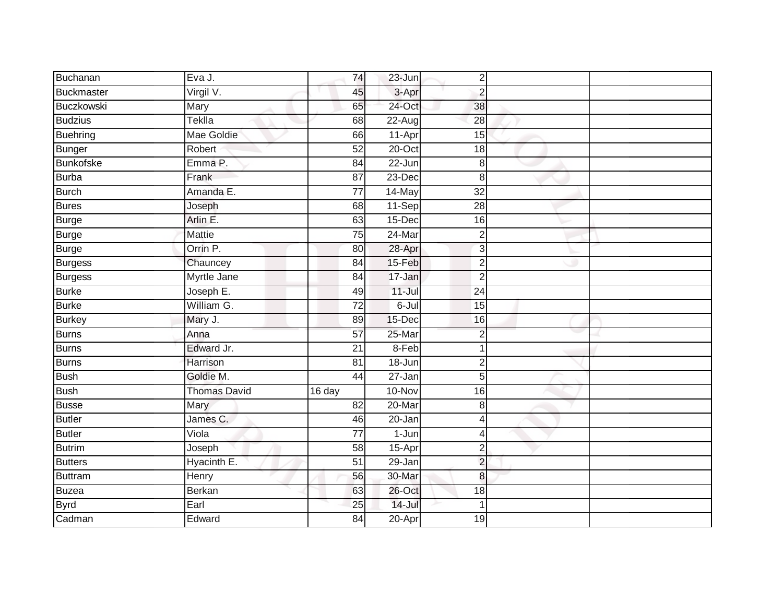| Buchanan          | Eva J.              | 74              | $23 - Jun$ | $\overline{2}$  |  |
|-------------------|---------------------|-----------------|------------|-----------------|--|
| Buckmaster        | Virgil V.           | 45              | 3-Apr      | $\overline{2}$  |  |
| <b>Buczkowski</b> | Mary                | 65              | 24-Oct     | 38              |  |
| <b>Budzius</b>    | Teklla              | 68              | $22$ -Augl | 28              |  |
| <b>Buehring</b>   | Mae Goldie          | 66              | 11-Apr     | $\overline{15}$ |  |
| <b>Bunger</b>     | Robert              | $\overline{52}$ | $20$ -Oct  | 18              |  |
| <b>Bunkofske</b>  | Emma P.             | 84              | 22-Jun     | 8               |  |
| Burba             | Frank               | 87              | 23-Dec     | 8               |  |
| <b>Burch</b>      | Amanda E.           | 77              | 14-May     | 32              |  |
| <b>Bures</b>      | Joseph              | 68              | 11-Sep     | $\overline{28}$ |  |
| <b>Burge</b>      | Arlin E.            | 63              | 15-Dec     | 16              |  |
| <b>Burge</b>      | Mattie              | 75              | 24-Mar     | $\overline{2}$  |  |
| Burge             | Orrin P.            | 80              | 28-Apr     | 3               |  |
| Burgess           | Chauncey            | 84              | 15-Feb     | $\overline{2}$  |  |
| <b>Burgess</b>    | Myrtle Jane         | $\overline{84}$ | 17-Jan     | $\overline{2}$  |  |
| <b>Burke</b>      | Joseph E.           | 49              | $11 -$ Jul | 24              |  |
| <b>Burke</b>      | William G.          | $\overline{72}$ | 6-Jul      | $\overline{15}$ |  |
| <b>Burkey</b>     | Mary J.             | 89              | 15-Dec     | 16              |  |
| Burns             | Anna                | 57              | 25-Mar     | $\overline{2}$  |  |
| <b>Burns</b>      | Edward Jr.          | 21              | $8-Feb$    | 1               |  |
| Burns             | Harrison            | 81              | $18 - Jun$ | $\overline{2}$  |  |
| Bush              | Goldie M.           | $\overline{44}$ | 27-Jan     | $\overline{5}$  |  |
| <b>Bush</b>       | <b>Thomas David</b> | 16 day          | 10-Nov     | 16              |  |
| <b>Busse</b>      | Mary                | $\overline{82}$ | $20$ -Mar  | $\bf{8}$        |  |
| Butler            | James C.            | 46              | 20-Jan     | $\overline{4}$  |  |
| <b>Butler</b>     | Viola               | 77              | 1-Jun      | $\overline{4}$  |  |
| Butrim            | Joseph              | 58              | 15-Apr     | $\overline{2}$  |  |
| <b>Butters</b>    | Hyacinth E.         | 51              | 29-Jan     | $\overline{2}$  |  |
| Buttram           | Henry               | 56              | 30-Mar     | 8               |  |
| <b>Buzea</b>      | <b>Berkan</b>       | 63              | 26-Oct     | 18              |  |
| <b>Byrd</b>       | Earl                | 25              | $14 -$ Jul | $\mathbf 1$     |  |
| Cadman            | Edward              | $\overline{84}$ | $20 - Apr$ | 19              |  |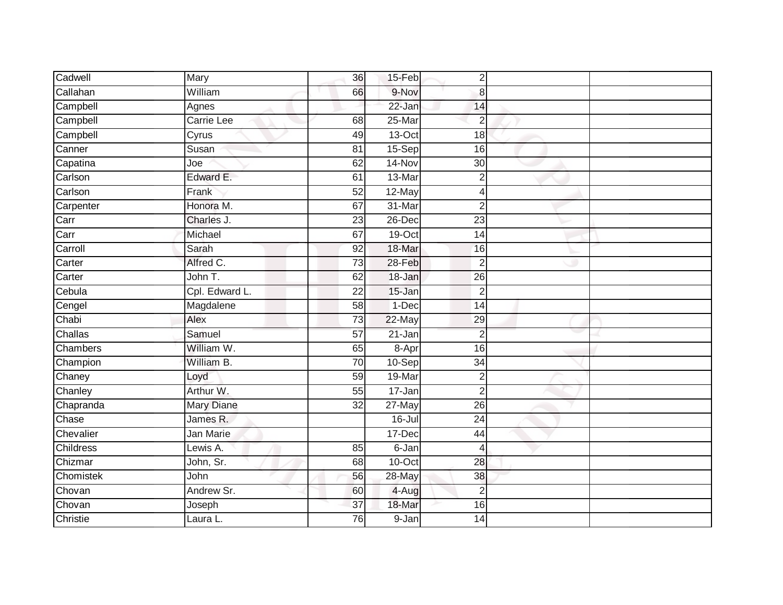| Cadwell   | Mary           | 36              | 15-Feb     | 2               |  |
|-----------|----------------|-----------------|------------|-----------------|--|
| Callahan  | William        | 66              | 9-Nov      | 8               |  |
| Campbell  | Agnes          |                 | $22 - Jan$ | 14              |  |
| Campbell  | Carrie Lee     | 68              | 25-Mar     | $\overline{2}$  |  |
| Campbell  | Cyrus          | 49              | $13-Oct$   | 18              |  |
| Canner    | Susan          | 81              | 15-Sep     | 16              |  |
| Capatina  | Joe            | 62              | 14-Nov     | 30              |  |
| Carlson   | Edward E.      | 61              | 13-Mar     | 2               |  |
| Carlson   | Frank          | 52              | 12-May     | 4               |  |
| Carpenter | Honora M.      | 67              | 31-Mar     | $\overline{2}$  |  |
| Carr      | Charles J.     | 23              | 26-Dec     | $\overline{23}$ |  |
| Carr      | Michael        | 67              | 19-Oct     | 14              |  |
| Carroll   | Sarah          | 92              | 18-Mar     | 16              |  |
| Carter    | Alfred C.      | $\overline{73}$ | 28-Feb     | $\overline{2}$  |  |
| Carter    | John T.        | 62              | 18-Jan     | 26              |  |
| Cebula    | Cpl. Edward L. | 22              | 15-Jan     | $\overline{2}$  |  |
| Cengel    | Magdalene      | 58              | 1-Dec      | $\overline{14}$ |  |
| Chabi     | Alex           | 73              | 22-May     | 29              |  |
| Challas   | Samuel         | 57              | 21-Jan     | $\overline{2}$  |  |
| Chambers  | William W.     | 65              | 8-Apr      | $\overline{16}$ |  |
| Champion  | William B.     | 70              | 10-Sep     | 34              |  |
| Chaney    | Loyd           | 59              | 19-Mar     | $\overline{2}$  |  |
| Chanley   | Arthur W.      | 55              | 17-Jan     | $\overline{2}$  |  |
| Chapranda | Mary Diane     | 32              | 27-May     | 26              |  |
| Chase     | James R.       |                 | $16 -$ Jul | 24              |  |
| Chevalier | Jan Marie      |                 | 17-Dec     | 44              |  |
| Childress | Lewis A.       | 85              | 6-Jan      | 4               |  |
| Chizmar   | John, Sr.      | 68              | $10$ -Oct  | 28              |  |
| Chomistek | John           | 56              | 28-May     | 38              |  |
| Chovan    | Andrew Sr.     | 60              | 4-Aug      | $\overline{2}$  |  |
| Chovan    | Joseph         | 37              | 18-Mar     | 16              |  |
| Christie  | Laura L.       | 76              | 9-Jan      | 14              |  |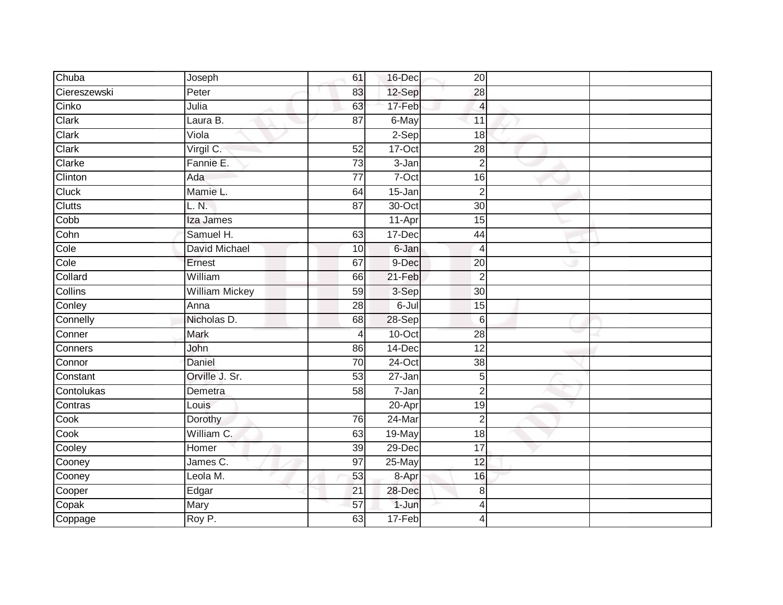| Chuba        | Joseph                | 61              | 16-Dec     | 20                       |  |
|--------------|-----------------------|-----------------|------------|--------------------------|--|
| Ciereszewski | Peter                 | 83              | 12-Sep     | 28                       |  |
| Cinko        | Julia                 | 63              | 17-Feb     | 4                        |  |
| Clark        | Laura B.              | $\overline{87}$ | $6$ -May   | 11                       |  |
| Clark        | Viola                 |                 | $2-Sep$    | 18                       |  |
| Clark        | Virgil C.             | 52              | 17-Oct     | 28                       |  |
| Clarke       | Fannie E.             | $\overline{73}$ | 3-Jan      | $\overline{2}$           |  |
| Clinton      | Ada                   | 77              | 7-Oct      | 16                       |  |
| Cluck        | Mamie L.              | 64              | 15-Jan     | $\overline{2}$           |  |
| Clutts       | L. N.                 | $\overline{87}$ | $30$ -Oct  | 30                       |  |
| Cobb         | Iza James             |                 | 11-Apr     | 15                       |  |
| Cohn         | Samuel H.             | 63              | 17-Dec     | 44                       |  |
| Cole         | David Michael         | 10              | 6-Jan      | $\overline{\mathcal{A}}$ |  |
| Cole         | Ernest                | 67              | 9-Dec      | 20                       |  |
| Collard      | William               | 66              | $21-Feb$   | $\overline{2}$           |  |
| Collins      | <b>William Mickey</b> | 59              | 3-Sep      | 30                       |  |
| Conley       | Anna                  | 28              | 6-Jul      | 15                       |  |
| Connelly     | Nicholas D.           | 68              | 28-Sep     | 6                        |  |
| Conner       | Mark                  | $\overline{4}$  | $10$ -Oct  | 28                       |  |
| Conners      | John                  | 86              | 14-Dec     | $\overline{12}$          |  |
| Connor       | Daniel                | 70              | 24-Oct     | 38                       |  |
| Constant     | Orville J. Sr.        | 53              | $27 - Jan$ | 5                        |  |
| Contolukas   | Demetra               | 58              | 7-Jan      | $\overline{c}$           |  |
| Contras      | Louis                 |                 | 20-Apr     | 19                       |  |
| Cook         | Dorothy               | 76              | 24-Mar     | $\overline{2}$           |  |
| Cook         | William C.            | 63              | 19-May     | $\overline{18}$          |  |
| Cooley       | Homer                 | 39              | 29-Dec     | $\overline{17}$          |  |
| Cooney       | James C.              | 97              | 25-May     | 12                       |  |
| Cooney       | Leola M.              | 53              | 8-Apr      | 16                       |  |
| Cooper       | Edgar                 | 21              | 28-Dec     | 8                        |  |
| Copak        | Mary                  | 57              | 1-Jun      | 4                        |  |
| Coppage      | Roy P.                | 63              | 17-Feb     | 4                        |  |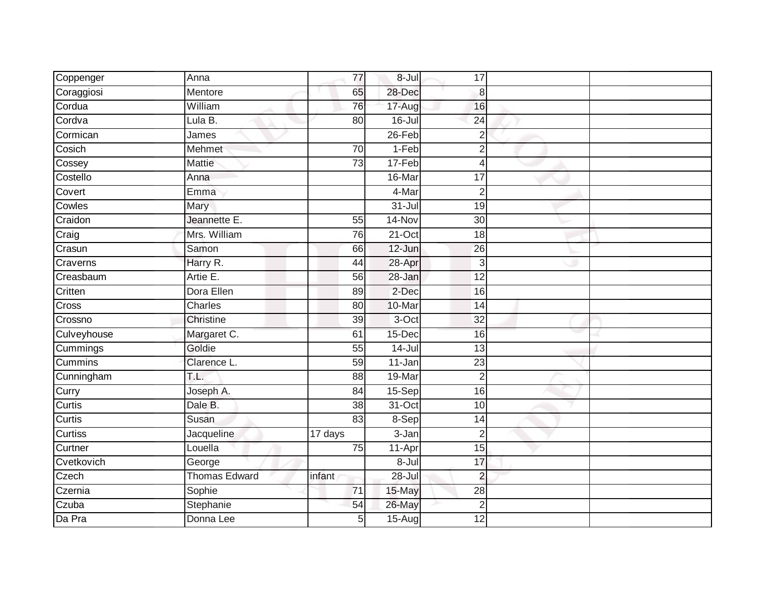| Coppenger   | Anna                 | 77             | $8 -$ Jul  | 17              |  |
|-------------|----------------------|----------------|------------|-----------------|--|
| Coraggiosi  | Mentore              | 65             | 28-Dec     | 8               |  |
| Cordua      | William              | 76             | 17-Aug     | 16              |  |
| Cordva      | Lula B.              | 80             | $16 -$ Jul | $\overline{24}$ |  |
| Cormican    | James                |                | $26$ -Feb  | $\overline{2}$  |  |
| Cosich      | Mehmet               | 70             | 1-Feb      | $\overline{2}$  |  |
| Cossey      | Mattie               | 73             | 17-Feb     | 4               |  |
| Costello    | Anna                 |                | 16-Mar     | 17              |  |
| Covert      | Emma                 |                | 4-Mar      | $\overline{2}$  |  |
| Cowles      | Mary                 |                | $31 -$ Jul | 19              |  |
| Craidon     | Jeannette E.         | 55             | 14-Nov     | $\overline{30}$ |  |
| Craig       | Mrs. William         | 76             | $21-Oct$   | 18              |  |
| Crasun      | Samon                | 66             | 12-Jun     | 26              |  |
| Craverns    | Harry R.             | 44             | 28-Apr     | $\mathbf{3}$    |  |
| Creasbaum   | Artie E.             | 56             | 28-Jan     | $\overline{12}$ |  |
| Critten     | Dora Ellen           | 89             | 2-Dec      | 16              |  |
| Cross       | Charles              | 80             | 10-Mar     | $\overline{14}$ |  |
| Crossno     | Christine            | 39             | 3-Oct      | 32              |  |
| Culveyhouse | Margaret C.          | 61             | 15-Dec     | 16              |  |
| Cummings    | Goldie               | 55             | $14$ -Jul  | $\overline{13}$ |  |
| Cummins     | Clarence L.          | 59             | 11-Jan     | 23              |  |
| Cunningham  | T.L.                 | 88             | 19-Mar     | $\overline{2}$  |  |
| Curry       | Joseph A.            | 84             | 15-Sep     | 16              |  |
| Curtis      | Dale B.              | 38             | 31-Oct     | 10              |  |
| Curtis      | Susan                | 83             | $8-$ Sep   | 14              |  |
| Curtiss     | Jacqueline           | 17 days        | 3-Jan      | $\overline{2}$  |  |
| Curtner     | Louella              | 75             | 11-Apr     | 15              |  |
| Cvetkovich  | George               |                | 8-Jul      | 17              |  |
| Czech       | <b>Thomas Edward</b> | infant         | $28 -$ Jul | $\overline{2}$  |  |
| Czernia     | Sophie               | 71             | 15-May     | 28              |  |
| Czuba       | Stephanie            | 54             | 26-May     | $\overline{2}$  |  |
| Da Pra      | Donna Lee            | 5 <sup>1</sup> | $15-Aug$   | 12              |  |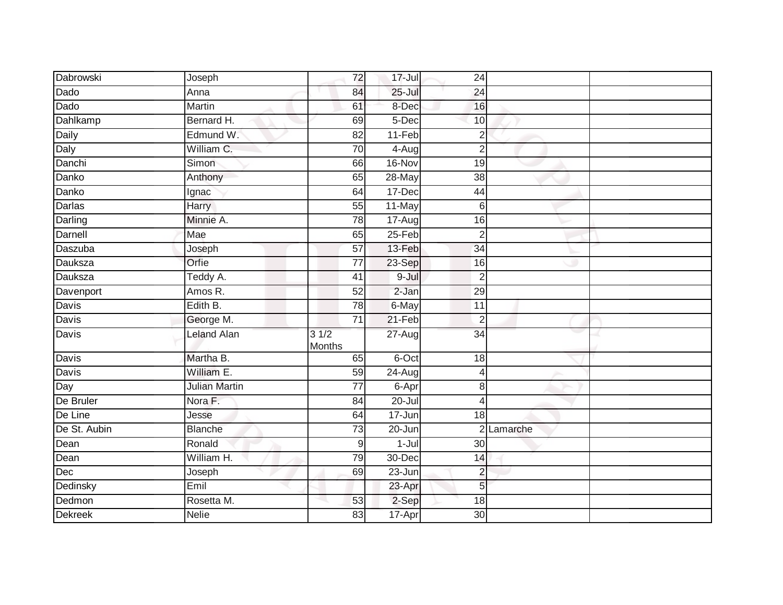| Dabrowski      | Joseph               | $\overline{72}$       | 17-Jul     | 24              |          |  |
|----------------|----------------------|-----------------------|------------|-----------------|----------|--|
| Dado           | Anna                 | 84                    | $25 -$ Jul | $\overline{24}$ |          |  |
| Dado           | <b>Martin</b>        | 61                    | 8-Dec      | 16              |          |  |
| Dahlkamp       | Bernard H.           | 69                    | 5-Dec      | 10              |          |  |
| Daily          | Edmund W.            | $\overline{82}$       | $11-Feb$   | $\overline{2}$  |          |  |
| Daly           | William C.           | 70                    | 4-Aug      | $\overline{2}$  |          |  |
| Danchi         | Simon                | 66                    | 16-Nov     | 19              |          |  |
| Danko          | Anthony              | 65                    | 28-May     | 38              |          |  |
| Danko          | Ignac                | 64                    | 17-Dec     | 44              |          |  |
| <b>Darlas</b>  | <b>Harry</b>         | 55                    | 11-May     | $\,6$           |          |  |
| Darling        | Minnie A.            | $\overline{78}$       | 17-Aug     | 16              |          |  |
| Darnell        | Mae                  | 65                    | 25-Feb     | $\overline{2}$  |          |  |
| Daszuba        | Joseph               | 57                    | 13-Feb     | 34              |          |  |
| Dauksza        | Orfie                | $\overline{77}$       | 23-Sep     | 16              |          |  |
| Dauksza        | Teddy A.             | 41                    | $9 -$ Jul  | $\overline{2}$  |          |  |
| Davenport      | Amos R.              | 52                    | $2-Jan$    | 29              |          |  |
| <b>Davis</b>   | Edith B.             | $\overline{78}$       | 6-May      | $\overline{11}$ |          |  |
| Davis          | George M.            | 71                    | $21-Feb$   | $\overline{2}$  |          |  |
| Davis          | <b>Leland Alan</b>   | 31/2<br><b>Months</b> | $27 - Aug$ | $\overline{34}$ |          |  |
| Davis          | Martha B.            | 65                    | 6-Oct      | 18              |          |  |
| <b>Davis</b>   | William E.           | 59                    | 24-Aug     | 4               |          |  |
| Day            | <b>Julian Martin</b> | 77                    | 6-Apr      | 8               |          |  |
| De Bruler      | Nora F.              | 84                    | $20 -$ Jul | $\overline{4}$  |          |  |
| De Line        | Jesse                | 64                    | 17-Jun     | 18              |          |  |
| De St. Aubin   | <b>Blanche</b>       | $\overline{73}$       | 20-Jun     | $\mathcal{D}$   | Lamarche |  |
| Dean           | Ronald               | 9                     | $1 -$ Jul  | 30              |          |  |
| Dean           | William H.           | 79                    | 30-Dec     | 14              |          |  |
| Dec            | Joseph               | 69                    | 23-Jun     | $\overline{c}$  |          |  |
| Dedinsky       | Emil                 |                       | 23-Apr     | 5               |          |  |
| Dedmon         | Rosetta M.           | 53                    | 2-Sep      | 18              |          |  |
| <b>Dekreek</b> | <b>Nelie</b>         | 83                    | 17-Apr     | 30              |          |  |
|                |                      |                       |            |                 |          |  |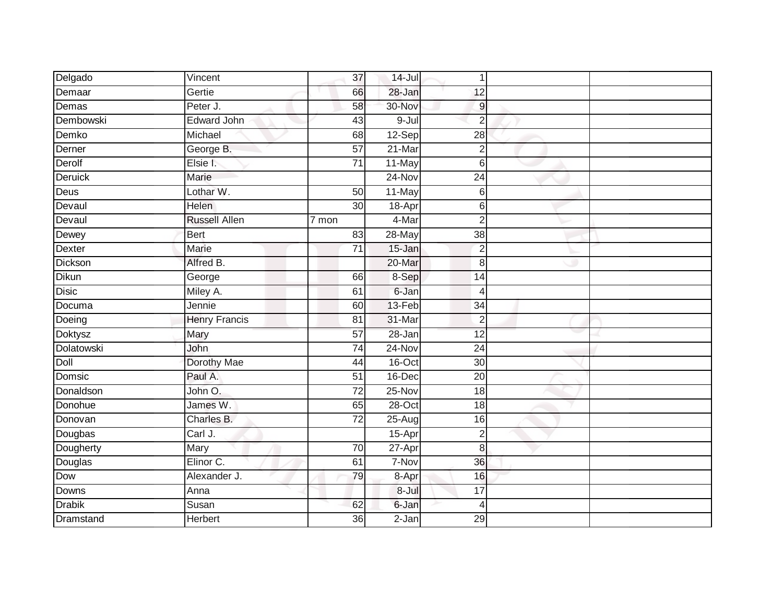| Delgado          | Vincent              | 37              | $14 -$ Jul | $\mathbf 1$      |  |
|------------------|----------------------|-----------------|------------|------------------|--|
| Demaar           | Gertie               | 66              | 28-Jan     | 12               |  |
| Demas            | Peter J.             | 58              | 30-Nov     | $\boldsymbol{9}$ |  |
| <b>Dembowski</b> | Edward John          | 43              | $9 -$ Jul  | $\overline{2}$   |  |
| Demko            | Michael              | 68              | $12-Sep$   | $\overline{28}$  |  |
| Derner           | George B.            | $\overline{57}$ | $21$ -Mar  | $\sqrt{2}$       |  |
| Derolf           | Elsie I.             | 71              | 11-May     | 6                |  |
| Deruick          | Marie                |                 | 24-Nov     | $\overline{24}$  |  |
| Deus             | Lothar W.            | 50              | 11-May     | 6                |  |
| Devaul           | <b>Helen</b>         | $\overline{30}$ | 18-Apr     | 6                |  |
| Devaul           | <b>Russell Allen</b> | 7 mon           | 4-Mar      | $\overline{2}$   |  |
| Dewey            | Bert                 | 83              | 28-May     | $\overline{38}$  |  |
| <b>Dexter</b>    | Marie                | 71              | 15-Jan     | $\overline{2}$   |  |
| Dickson          | Alfred B.            |                 | 20-Mar     | 8                |  |
| Dikun            | George               | 66              | 8-Sep      | 14               |  |
| <b>Disic</b>     | Miley A.             | 61              | 6-Jan      | $\overline{4}$   |  |
| Documa           | Jennie               | 60              | $13-Feb$   | $\overline{34}$  |  |
| Doeing           | <b>Henry Francis</b> | 81              | 31-Mar     | $\overline{2}$   |  |
| <b>Doktysz</b>   | Mary                 | 57              | $28 - Jan$ | $\overline{12}$  |  |
| Dolatowski       | John                 | 74              | $24 - Nov$ | $\overline{24}$  |  |
| Doll             | Dorothy Mae          | 44              | $16$ -Oct  | 30               |  |
| Domsic           | Paul A.              | 51              | 16-Dec     | $\overline{20}$  |  |
| <b>Donaldson</b> | John O.              | 72              | 25-Nov     | 18               |  |
| Donohue          | James W.             | 65              | $28 - Oct$ | 18               |  |
| Donovan          | Charles B.           | $\overline{72}$ | $25 - Aug$ | 16               |  |
| Dougbas          | Carl J.              |                 | 15-Apr     | $\overline{2}$   |  |
| Dougherty        | Mary                 | $\overline{70}$ | $27 - Apr$ | 8                |  |
| Douglas          | Elinor C.            | 61              | 7-Nov      | 36               |  |
| Dow              | Alexander J.         | 79              | 8-Apr      | 16               |  |
| Downs            | Anna                 |                 | 8-Jul      | 17               |  |
| <b>Drabik</b>    | Susan                | 62              | 6-Jan      | $\overline{4}$   |  |
| Dramstand        | <b>Herbert</b>       | $\overline{36}$ | $2-Jan$    | 29               |  |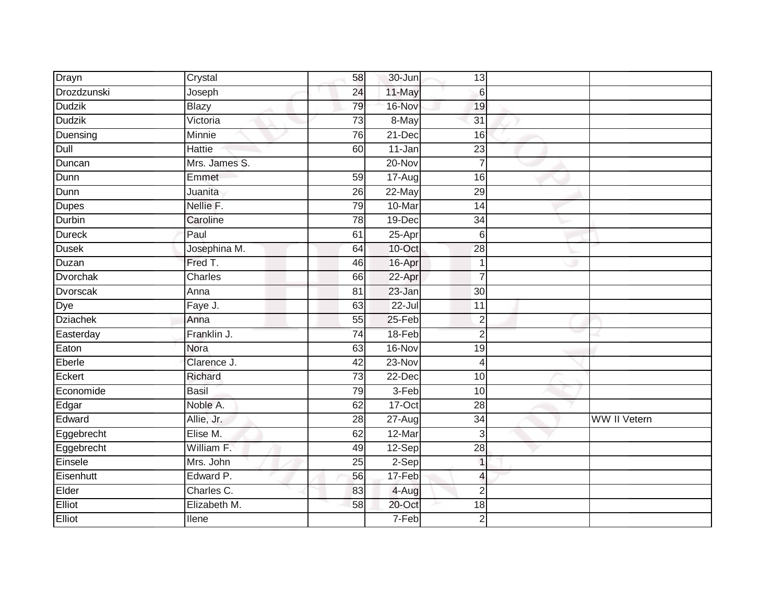| Drayn           | Crystal       | 58              | 30-Jun     | 13              |                     |
|-----------------|---------------|-----------------|------------|-----------------|---------------------|
| Drozdzunski     | Joseph        | 24              | 11-May     | 6               |                     |
| <b>Dudzik</b>   | <b>Blazy</b>  | 79              | 16-Nov     | 19              |                     |
| <b>Dudzik</b>   | Victoria      | $\overline{73}$ | 8-May      | 31              |                     |
| Duensing        | Minnie        | 76              | 21-Dec     | 16              |                     |
| Dull            | <b>Hattie</b> | 60              | $11$ -Jan  | $\overline{23}$ |                     |
| Duncan          | Mrs. James S. |                 | 20-Nov     |                 |                     |
| Dunn            | Emmet         | 59              | 17-Aug     | 16              |                     |
| Dunn            | Juanita       | 26              | 22-May     | 29              |                     |
| Dupes           | Nellie F.     | 79              | 10-Mar     | 14              |                     |
| Durbin          | Caroline      | 78              | 19-Dec     | 34              |                     |
| Dureck          | Paul          | 61              | 25-Apr     | $6\phantom{1}6$ |                     |
| <b>Dusek</b>    | Josephina M.  | 64              | 10-Oct     | $\overline{28}$ |                     |
| Duzan           | Fred T.       | 46              | 16-Apr     | 1               |                     |
| <b>Dvorchak</b> | Charles       | 66              | 22-Apr     | $\overline{7}$  |                     |
| <b>Dvorscak</b> | Anna          | $\overline{81}$ | $23 - Jan$ | 30              |                     |
| Dye             | Faye J.       | 63              | 22-Jul     | 11              |                     |
| <b>Dziachek</b> | Anna          | 55              | $25-Feb$   | $\overline{2}$  |                     |
| Easterday       | Franklin J.   | 74              | 18-Feb     | $\overline{2}$  |                     |
| Eaton           | Nora          | 63              | $16-Nov$   | $\overline{19}$ |                     |
| Eberle          | Clarence J.   | 42              | 23-Nov     | 4               |                     |
| Eckert          | Richard       | 73              | $22$ -Dec  | 10              |                     |
| Economide       | <b>Basil</b>  | 79              | 3-Feb      | 10              |                     |
| Edgar           | Noble A.      | 62              | 17-Oct     | $\overline{28}$ |                     |
| Edward          | Allie, Jr.    | 28              | 27-Aug     | $\overline{34}$ | <b>WW II Vetern</b> |
| Eggebrecht      | Elise M.      | 62              | 12-Mar     | 3               |                     |
| Eggebrecht      | William F.    | 49              | 12-Sep     | $\overline{28}$ |                     |
| Einsele         | Mrs. John     | 25              | $2-Sep$    | $\overline{1}$  |                     |
| Eisenhutt       | Edward P.     | 56              | 17-Feb     | 4               |                     |
| Elder           | Charles C.    | 83              | 4-Aug      | $\overline{2}$  |                     |
| Elliot          | Elizabeth M.  | 58              | 20-Oct     | 18              |                     |
| Elliot          | Ilene         |                 | 7-Feb      | $\overline{2}$  |                     |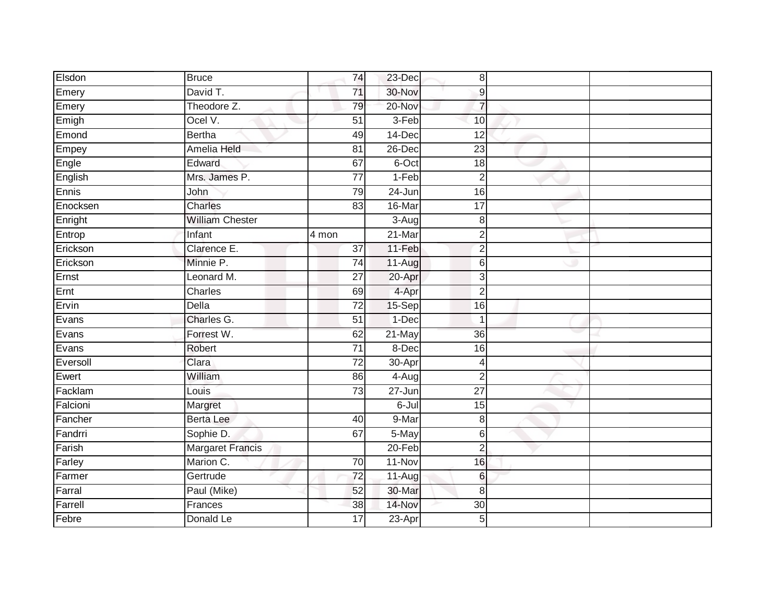| Elsdon   | <b>Bruce</b>            | 74              | 23-Dec                | 8                         |  |
|----------|-------------------------|-----------------|-----------------------|---------------------------|--|
| Emery    | David T.                | 71              | 30-Nov                | $\boldsymbol{9}$          |  |
| Emery    | Theodore Z.             | 79              | 20-Nov                | $\overline{7}$            |  |
| Emigh    | Ocel V.                 | 51              | 3-Feb                 | 10                        |  |
| Emond    | <b>Bertha</b>           | 49              | $14$ -Dec             | 12                        |  |
| Empey    | Amelia Held             | 81              | 26-Dec                | $\overline{23}$           |  |
| Engle    | Edward                  | 67              | 6-Oct                 | 18                        |  |
| English  | Mrs. James P.           | 77              | $1-Feb$               | $\overline{2}$            |  |
| Ennis    | John                    | 79              | 24-Jun                | 16                        |  |
| Enocksen | <b>Charles</b>          | 83              | 16-Mar                | 17                        |  |
| Enright  | <b>William Chester</b>  |                 | 3-Aug                 | 8                         |  |
| Entrop   | Infant                  | 4 mon           | 21-Mar                | $\overline{2}$            |  |
| Erickson | Clarence E.             | 37              | 11-Feb                | $\overline{2}$            |  |
| Erickson | Minnie P.               | 74              | 11-Aug                | 6                         |  |
| Ernst    | Leonard M.              | $\overline{27}$ | 20-Apr                | $\ensuremath{\mathsf{3}}$ |  |
| Ernt     | Charles                 | 69              | 4-Apr                 | $\overline{2}$            |  |
| Ervin    | <b>Della</b>            | $\overline{72}$ | 15-Sep                | 16                        |  |
| Evans    | Charles G.              | $\overline{51}$ | 1-Dec                 | $\overline{1}$            |  |
| Evans    | Forrest W.              | 62              | 21-May                | 36                        |  |
| Evans    | Robert                  | $\overline{71}$ | 8-Dec                 | 16                        |  |
| Eversoll | Clara                   | $\overline{72}$ | 30-Apr                | 4                         |  |
| Ewert    | William                 | 86              | $4 - \overline{A}$ ug | $\overline{2}$            |  |
| Facklam  | Louis                   | $\overline{73}$ | 27-Jun                | $\overline{27}$           |  |
| Falcioni | Margret                 |                 | 6-Jul                 | 15                        |  |
| Fancher  | Berta Lee               | 40              | 9-Mar                 | 8                         |  |
| Fandrri  | Sophie D.               | 67              | 5-May                 | 6                         |  |
| Farish   | <b>Margaret Francis</b> |                 | $20 - Feb$            | $\overline{2}$            |  |
| Farley   | Marion C.               | 70              | 11-Nov                | 16                        |  |
| Farmer   | Gertrude                | 72              | 11-Aug                | 6                         |  |
| Farral   | Paul (Mike)             | 52              | 30-Mar                | 8                         |  |
| Farrell  | Frances                 | $\overline{38}$ | 14-Nov                | 30                        |  |
| Febre    | Donald Le               | $\overline{17}$ | $23-Apr$              | 5                         |  |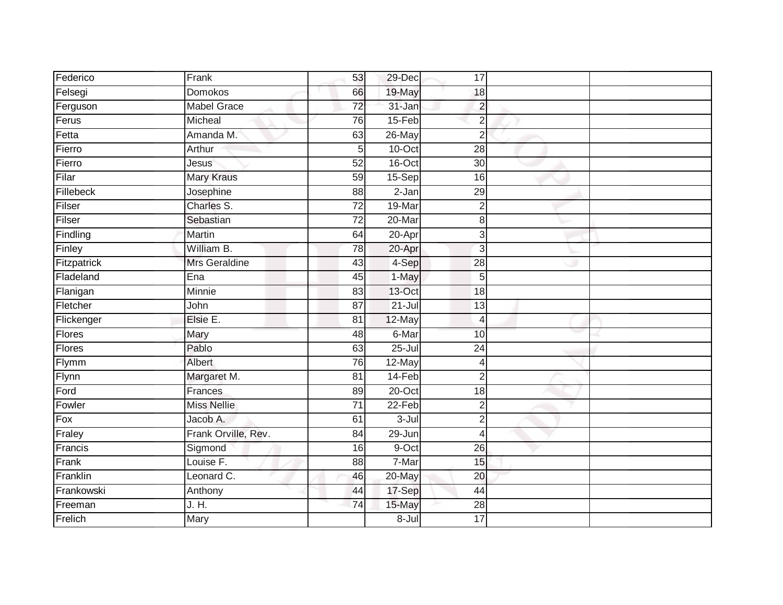| Federico          | Frank               | 53              | 29-Dec     | 17              |  |
|-------------------|---------------------|-----------------|------------|-----------------|--|
| Felsegi           | <b>Domokos</b>      | 66              | 19-May     | 18              |  |
| Ferguson          | <b>Mabel Grace</b>  | 72              | 31-Jan     | $\overline{2}$  |  |
| Ferus             | Micheal             | 76              | 15-Feb     | $\overline{2}$  |  |
| Fetta             | Amanda M.           | 63              | 26-May     | $\overline{2}$  |  |
| Fierro            | Arthur              | 5 <sub>l</sub>  | 10-Oct     | $\overline{28}$ |  |
| Fierro            | <b>Jesus</b>        | 52              | 16-Oct     | $\overline{30}$ |  |
| Filar             | <b>Mary Kraus</b>   | 59              | 15-Sep     | 16              |  |
| Fillebeck         | Josephine           | 88              | $2-Jan$    | 29              |  |
| Filser            | Charles S.          | $\overline{72}$ | 19-Mar     | $\overline{2}$  |  |
| Filser            | Sebastian           | $\overline{72}$ | 20-Mar     | 8               |  |
| Findling          | Martin              | 64              | $20 -$ Apr | 3               |  |
| Finley            | William B.          | 78              | 20-Apr     | 3               |  |
| Fitzpatrick       | Mrs Geraldine       | 43              | 4-Sep      | $\overline{28}$ |  |
| Fladeland         | Ena                 | 45              | 1-May      | 5               |  |
| Flanigan          | <b>Minnie</b>       | $\overline{83}$ | 13-Oct     | $\overline{18}$ |  |
| Fletcher          | John                | $\overline{87}$ | $21 -$ Jul | 13              |  |
| Flickenger        | Elsie E.            | 81              | 12-May     | 4               |  |
| <b>Flores</b>     | Mary                | 48              | 6-Mar      | 10              |  |
| Flores            | Pablo               | 63              | $25 -$ Jul | $\overline{24}$ |  |
| Flymm             | Albert              | 76              | 12-May     | 4               |  |
| Flynn             | Margaret M.         | 81              | 14-Feb     | $\overline{2}$  |  |
| Ford              | Frances             | 89              | 20-Oct     | 18              |  |
| Fowler            | <b>Miss Nellie</b>  | $\overline{71}$ | $22-Feb$   | $\overline{2}$  |  |
| $\overline{F}$ ox | Jacob A.            | 61              | $3 -$ Jul  | $\overline{2}$  |  |
| Fraley            | Frank Orville, Rev. | $\overline{84}$ | 29-Jun     | 4               |  |
| Francis           | Sigmond             | 16              | 9-Oct      | $\overline{26}$ |  |
| Frank             | Louise F.           | 88              | 7-Mar      | 15              |  |
| Franklin          | Leonard C.          | 46              | 20-May     | 20              |  |
| Frankowski        | Anthony             | 44              | 17-Sep     | 44              |  |
| Freeman           | J. H.               | 74              | 15-May     | 28              |  |
| Frelich           | Mary                |                 | $8 -$ Jul  | $\overline{17}$ |  |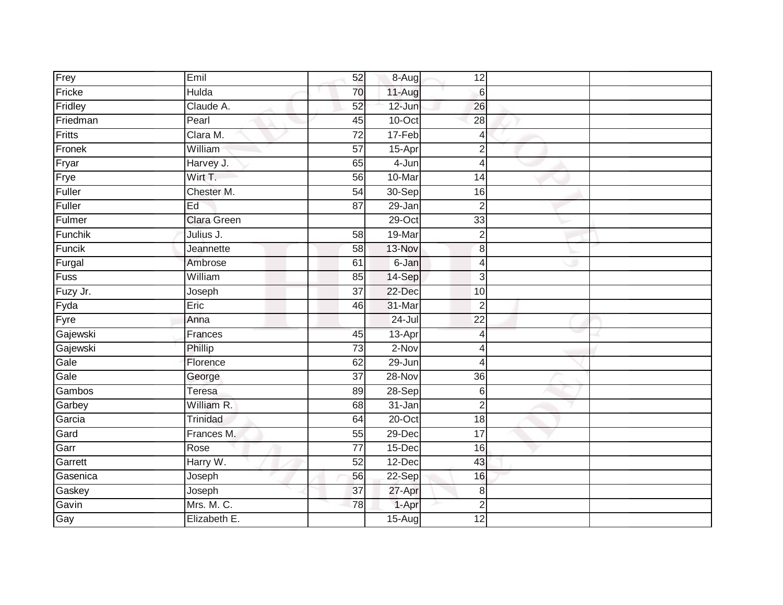| Frey     | Emil               | 52              | 8-Aug      | 12              |  |
|----------|--------------------|-----------------|------------|-----------------|--|
| Fricke   | Hulda              | 70              | 11-Aug     | $6\phantom{1}6$ |  |
| Fridley  | Claude A.          | 52              | 12-Jun     | 26              |  |
| Friedman | Pearl              | 45              | 10-Oct     | $\overline{28}$ |  |
| Fritts   | Clara M.           | $\overline{72}$ | 17-Feb     | 4               |  |
| Fronek   | William            | $\overline{57}$ | 15-Apr     | $\overline{2}$  |  |
| Fryar    | Harvey J.          | 65              | 4-Jun      | 4               |  |
| Frye     | Wirt T.            | 56              | 10-Mar     | 14              |  |
| Fuller   | Chester M.         | $\overline{54}$ | 30-Sep     | 16              |  |
| Fuller   | Ed                 | 87              | $29 - Jan$ | $\overline{2}$  |  |
| Fulmer   | <b>Clara Green</b> |                 | 29-Oct     | 33              |  |
| Funchik  | Julius J.          | 58              | 19-Mar     | $\overline{2}$  |  |
| Funcik   | Jeannette          | 58              | 13-Nov     | $\bf{8}$        |  |
| Furgal   | Ambrose            | 61              | 6-Jan      | 4               |  |
| Fuss     | William            | 85              | 14-Sep     | 3               |  |
| Fuzy Jr. | Joseph             | 37              | 22-Dec     | 10              |  |
| Fyda     | Eric               | 46              | 31-Mar     | $\overline{2}$  |  |
| Fyre     | Anna               |                 | $24$ -Jul  | 22              |  |
| Gajewski | Frances            | 45              | $13$ -Apr  | 4               |  |
| Gajewski | Phillip            | 73              | $2-Nov$    | 4               |  |
| Gale     | Florence           | 62              | 29-Jun     | 4               |  |
| Gale     | George             | $\overline{37}$ | $28-Nov$   | $\overline{36}$ |  |
| Gambos   | Teresa             | 89              | $28-Sep$   | 6               |  |
| Garbey   | William R.         | 68              | 31-Jan     | $\overline{2}$  |  |
| Garcia   | Trinidad           | 64              | 20-Oct     | 18              |  |
| Gard     | Frances M.         | 55              | 29-Dec     | $\overline{17}$ |  |
| Garr     | Rose               | $\overline{77}$ | 15-Dec     | 16              |  |
| Garrett  | Harry W.           | $\overline{52}$ | 12-Dec     | 43              |  |
| Gasenica | Joseph             | 56              | $22-Sep$   | 16              |  |
| Gaskey   | Joseph             | 37              | 27-Apr     | 8               |  |
| Gavin    | Mrs. M. C.         | 78              | 1-Apr      | $\overline{c}$  |  |
| Gay      | Elizabeth E.       |                 | $15-Aug$   | 12              |  |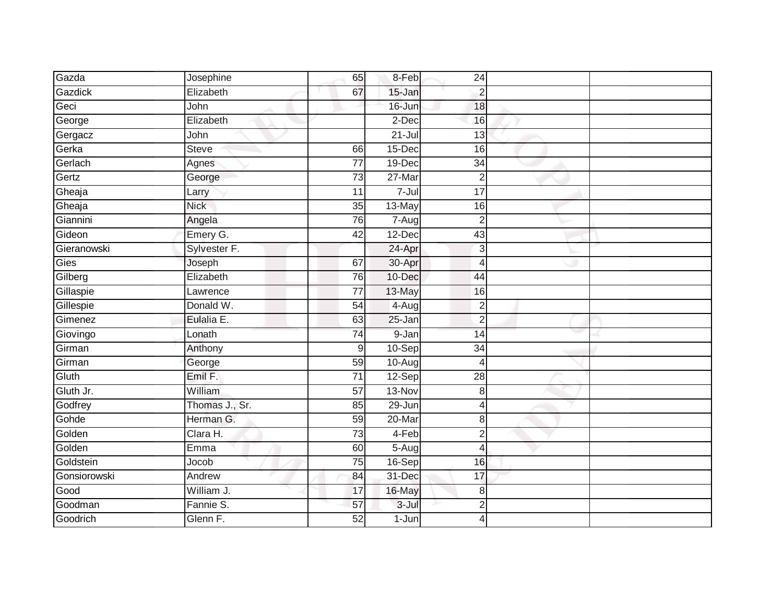| Gazda        | Josephine      | 65              | 8-Feb      | 24              |  |
|--------------|----------------|-----------------|------------|-----------------|--|
| Gazdick      | Elizabeth      | 67              | 15-Jan     | $\overline{2}$  |  |
| Geci         | John           |                 | 16-Jun     | 18              |  |
| George       | Elizabeth      |                 | 2-Dec      | 16              |  |
| Gergacz      | John           |                 | $21 -$ Jul | $\overline{13}$ |  |
| Gerka        | <b>Steve</b>   | 66              | $15$ -Dec  | 16              |  |
| Gerlach      | Agnes          | 77              | 19-Dec     | 34              |  |
| Gertz        | George         | 73              | 27-Mar     | $\overline{2}$  |  |
| Gheaja       | Larry          | 11              | $7 -$ Jul  | 17              |  |
| Gheaja       | <b>Nick</b>    | $\overline{35}$ | 13-May     | 16              |  |
| Giannini     | Angela         | $\overline{76}$ | 7-Aug      | $\overline{2}$  |  |
| Gideon       | Emery G.       | 42              | 12-Dec     | 43              |  |
| Gieranowski  | Sylvester F.   |                 | 24-Apr     | 3               |  |
| Gies         | Joseph         | 67              | 30-Apr     | $\overline{4}$  |  |
| Gilberg      | Elizabeth      | 76              | 10-Dec     | 44              |  |
| Gillaspie    | Lawrence       | 77              | 13-May     | 16              |  |
| Gillespie    | Donald W.      | 54              | $4-Aug$    | $\overline{2}$  |  |
| Gimenez      | Eulalia E.     | 63              | 25-Jan     | $\overline{c}$  |  |
| Giovingo     | Lonath         | $\overline{74}$ | 9-Jan      | 14              |  |
| Girman       | Anthony        | 9               | $10-Sep$   | 34              |  |
| Girman       | George         | 59              | 10-Aug     | $\overline{4}$  |  |
| Gluth        | Emil F.        | $\overline{71}$ | 12-Sep     | $\overline{28}$ |  |
| Gluth Jr.    | William        | 57              | $13-Nov$   | $\,8\,$         |  |
| Godfrey      | Thomas J., Sr. | 85              | 29-Jun     | 4               |  |
| Gohde        | Herman G.      | 59              | 20-Mar     | 8               |  |
| Golden       | Clara H.       | 73              | $4-Feb$    | $\overline{2}$  |  |
| Golden       | Emma           | 60              | 5-Aug      | 4               |  |
| Goldstein    | Jocob          | 75              | 16-Sep     | 16              |  |
| Gonsiorowski | Andrew         | 84              | 31-Dec     | 17              |  |
| Good         | William J.     | 17              | 16-May     | $\,8\,$         |  |
| Goodman      | Fannie S.      | 57              | 3-Jul      | $\overline{2}$  |  |
| Goodrich     | Glenn F.       | $\overline{52}$ | $1-Jun$    | 4               |  |
|              |                |                 |            |                 |  |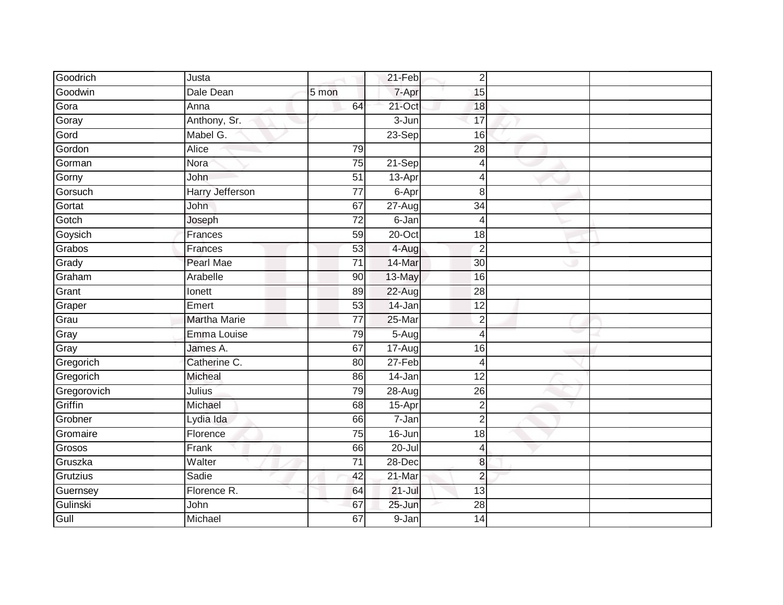| Goodrich    | Justa                  |                 | 21-Feb     | $\overline{2}$  |  |
|-------------|------------------------|-----------------|------------|-----------------|--|
| Goodwin     | Dale Dean              | 5 mon           | 7-Apr      | 15              |  |
| Gora        | Anna                   | 64              | 21-Oct     | $\overline{18}$ |  |
| Goray       | Anthony, Sr.           |                 | $3 - Jun$  | 17              |  |
| Gord        | Mabel G.               |                 | 23-Sep     | 16              |  |
| Gordon      | Alice                  | 79              |            | 28              |  |
| Gorman      | Nora                   | 75              | 21-Sep     | 4               |  |
| Gorny       | John                   | 51              | 13-Apr     | Δ               |  |
| Gorsuch     | <b>Harry Jefferson</b> | $\overline{77}$ | 6-Apr      | 8               |  |
| Gortat      | John                   | 67              | $27 - Aug$ | $\overline{34}$ |  |
| Gotch       | Joseph                 | $\overline{72}$ | 6-Jan      | 4               |  |
| Goysich     | Frances                | 59              | $20$ -Oct  | 18              |  |
| Grabos      | Frances                | 53              | 4-Aug      | $\overline{2}$  |  |
| Grady       | Pearl Mae              | $\overline{71}$ | 14-Mar     | 30              |  |
| Graham      | Arabelle               | $\overline{90}$ | 13-May     | 16              |  |
| Grant       | Ionett                 | 89              | $22-Aug$   | 28              |  |
| Graper      | Emert                  | 53              | 14-Jan     | 12              |  |
| Grau        | <b>Martha Marie</b>    | 77              | 25-Mar     | $\overline{2}$  |  |
| Gray        | Emma Louise            | 79              | 5-Aug      | 4               |  |
| Gray        | James A.               | 67              | 17-Aug     | 16              |  |
| Gregorich   | Catherine C.           | 80              | 27-Feb     | Δ               |  |
| Gregorich   | <b>Micheal</b>         | 86              | $14$ -Jan  | $\overline{12}$ |  |
| Gregorovich | Julius                 | 79              | 28-Aug     | 26              |  |
| Griffin     | Michael                | 68              | $15$ -Apr  | $\overline{2}$  |  |
| Grobner     | Lydia Ida              | 66              | 7-Jan      | $\overline{2}$  |  |
| Gromaire    | Florence               | $\overline{75}$ | 16-Jun     | $\overline{18}$ |  |
| Grosos      | Frank                  | 66              | 20-Jul     | 4               |  |
| Gruszka     | Walter                 | 71              | 28-Dec     | 8               |  |
| Grutzius    | Sadie                  | 42              | $21$ -Mar  | $\overline{2}$  |  |
| Guernsey    | Florence R.            | 64              | $21 -$ Jul | 13              |  |
| Gulinski    | John                   | 67              | 25-Jun     | 28              |  |
| Gull        | Michael                | 67              | 9-Jan      | 14              |  |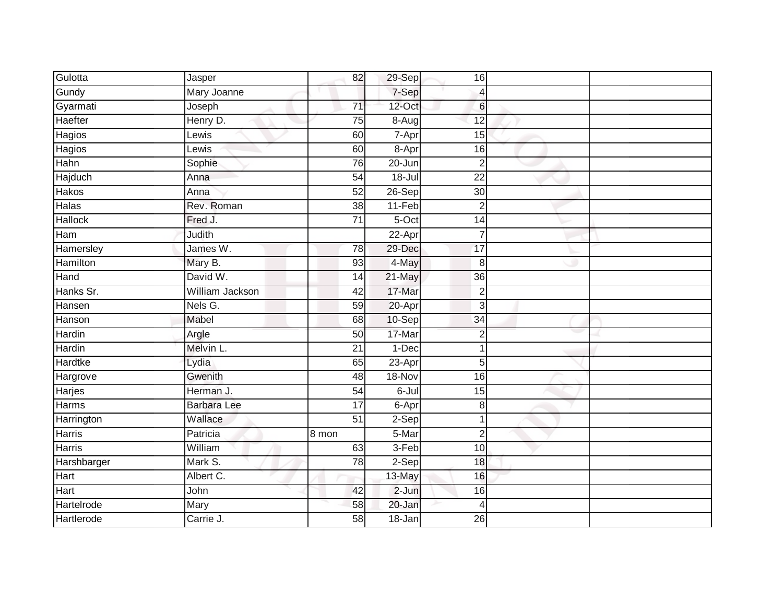| Gulotta         | Jasper             | 82              | 29-Sep     | 16              |  |
|-----------------|--------------------|-----------------|------------|-----------------|--|
| Gundy           | Mary Joanne        |                 | 7-Sep      | $\overline{4}$  |  |
| Gyarmati        | Joseph             | $\overline{71}$ | 12-Oct     | 6               |  |
| Haefter         | Henry D.           | $\overline{75}$ | 8-Aug      | 12              |  |
| Hagios          | Lewis              | 60              | 7-Apr      | 15              |  |
| Hagios          | Lewis              | 60              | 8-Apr      | 16              |  |
| Hahn            | Sophie             | 76              | 20-Jun     | $\overline{2}$  |  |
| Hajduch         | Anna               | 54              | $18 -$ Jul | $\overline{22}$ |  |
| Hakos           | Anna               | 52              | 26-Sep     | 30              |  |
| Halas           | Rev. Roman         | $\overline{38}$ | 11-Feb     | $\overline{2}$  |  |
| <b>Hallock</b>  | Fred J.            | $\overline{71}$ | $5-Oct$    | 14              |  |
| Ham             | Judith             |                 | 22-Apr     | $\overline{7}$  |  |
| Hamersley       | James W.           | 78              | 29-Dec     | 17              |  |
| <b>Hamilton</b> | Mary B.            | 93              | 4-May      | 8               |  |
| Hand            | David W.           | 14              | 21-May     | 36              |  |
| Hanks Sr.       | William Jackson    | 42              | 17-Mar     | $\overline{2}$  |  |
| Hansen          | Nels G.            | 59              | 20-Apr     | 3               |  |
| Hanson          | Mabel              | 68              | 10-Sep     | $\overline{34}$ |  |
| Hardin          | Argle              | 50              | 17-Mar     | $\overline{2}$  |  |
| <b>Hardin</b>   | Melvin L.          | 21              | $1-Dec$    | 1               |  |
| Hardtke         | Lydia              | 65              | 23-Apr     | 5               |  |
| Hargrove        | Gwenith            | 48              | 18-Nov     | 16              |  |
| Harjes          | Herman J.          | 54              | $6 -$ Jul  | 15              |  |
| Harms           | <b>Barbara Lee</b> | 17              | 6-Apr      | 8               |  |
| Harrington      | Wallace            | $\overline{51}$ | $2-Sep$    | $\mathbf 1$     |  |
| Harris          | Patricia           | 8 mon           | 5-Mar      | $\overline{2}$  |  |
| <b>Harris</b>   | William            | 63              | $3-Feb$    | 10              |  |
| Harshbarger     | Mark S.            | 78              | $2-Sep$    | 18              |  |
| Hart            | Albert C.          |                 | 13-May     | 16              |  |
| Hart            | John               | 42              | $2-Jun$    | 16              |  |
| Hartelrode      | Mary               | 58              | 20-Jan     | $\overline{4}$  |  |
| Hartlerode      | Carrie J.          | 58              | $18 - Jan$ | $\overline{26}$ |  |
|                 |                    |                 |            |                 |  |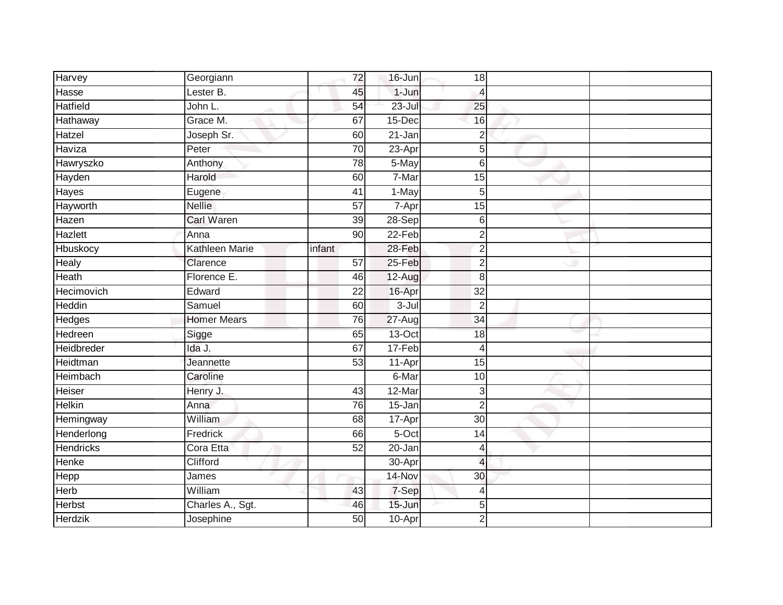| Harvey           | Georgiann          | 72              | $16$ -Jun  | 18              |  |
|------------------|--------------------|-----------------|------------|-----------------|--|
| Hasse            | Lester B.          | 45              | $1-Jun$    | $\overline{4}$  |  |
| <b>Hatfield</b>  | John L.            | 54              | $23 -$ Jul | 25              |  |
| Hathaway         | Grace M.           | 67              | 15-Dec     | 16              |  |
| Hatzel           | Joseph Sr.         | 60              | $21 - Jan$ | $\overline{2}$  |  |
| Haviza           | Peter              | 70              | 23-Apr     | 5               |  |
| Hawryszko        | Anthony            | $\overline{78}$ | 5-May      | $6\phantom{1}6$ |  |
| Hayden           | Harold             | 60              | 7-Mar      | 15              |  |
| Hayes            | Eugene             | 41              | 1-May      | 5               |  |
| Hayworth         | <b>Nellie</b>      | $\overline{57}$ | 7-Apr      | 15              |  |
| Hazen            | <b>Carl Waren</b>  | 39              | 28-Sep     | 6               |  |
| Hazlett          | Anna               | 90              | 22-Feb     | $\overline{2}$  |  |
| Hbuskocy         | Kathleen Marie     | infant          | 28-Feb     | $\overline{2}$  |  |
| Healy            | Clarence           | 57              | 25-Feb     | $\overline{2}$  |  |
| Heath            | Florence E.        | 46              | $12-Aug$   | 8               |  |
| Hecimovich       | Edward             | 22              | 16-Apr     | 32              |  |
| Heddin           | Samuel             | 60              | $3 -$ Jul  | $\overline{2}$  |  |
| Hedges           | <b>Homer Mears</b> | 76              | $27 - Aug$ | 34              |  |
| Hedreen          | Sigge              | 65              | 13-Oct     | 18              |  |
| Heidbreder       | Ida J.             | 67              | $17-Feb$   | $\overline{4}$  |  |
| Heidtman         | Jeannette          | $\overline{53}$ | 11-Apr     | 15              |  |
| <b>Heimbach</b>  | Caroline           |                 | 6-Mar      | 10              |  |
| Heiser           | Henry J.           | 43              | 12-Mar     | 3               |  |
| Helkin           | Anna               | 76              | 15-Jan     | $\overline{2}$  |  |
| Hemingway        | William            | 68              | 17-Apr     | 30              |  |
| Henderlong       | Fredrick           | 66              | $5-Oct$    | 14              |  |
| <b>Hendricks</b> | Cora Etta          | 52              | $20 - Jan$ | $\overline{4}$  |  |
| Henke            | Clifford           |                 | 30-Apr     | $\overline{4}$  |  |
| Hepp             | James              |                 | 14-Nov     | 30              |  |
| Herb             | William            | 43              | 7-Sep      | $\overline{4}$  |  |
| Herbst           | Charles A., Sgt.   | 46              | $15 - Jun$ | 5               |  |
| <b>Herdzik</b>   | Josephine          | 50              | 10-Apr     | $\overline{2}$  |  |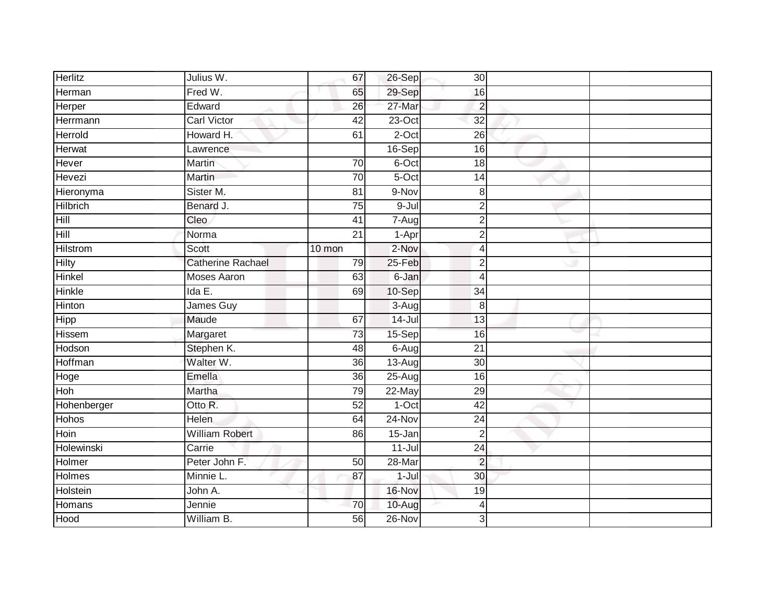| <b>Herlitz</b>  | Julius W.                | 67              | 26-Sep     | 30                       |  |
|-----------------|--------------------------|-----------------|------------|--------------------------|--|
| Herman          | Fred W.                  | 65              | 29-Sep     | 16                       |  |
| Herper          | Edward                   | $\overline{26}$ | 27-Mar     | $\overline{2}$           |  |
| Herrmann        | <b>Carl Victor</b>       | $\overline{42}$ | $23-Oct$   | 32                       |  |
| <b>Herrold</b>  | Howard H.                | 61              | $2$ -Oct   | 26                       |  |
| Herwat          | Lawrence                 |                 | 16-Sep     | 16                       |  |
| Hever           | Martin                   | 70              | 6-Oct      | 18                       |  |
| Hevezi          | Martin                   | 70              | 5-Oct      | 14                       |  |
| Hieronyma       | Sister M.                | $\overline{81}$ | 9-Nov      | 8                        |  |
| <b>Hilbrich</b> | Benard J.                | 75              | $9 -$ Jul  | $\overline{2}$           |  |
| Hill            | Cleo                     | 41              | 7-Aug      | $\overline{2}$           |  |
| Hill            | Norma                    | 21              | 1-Apr      | $\overline{2}$           |  |
| <b>Hilstrom</b> | Scott                    | $10$ mon        | 2-Nov      | 4                        |  |
| <b>Hilty</b>    | <b>Catherine Rachael</b> | 79              | 25-Feb     | $\overline{2}$           |  |
| Hinkel          | <b>Moses Aaron</b>       | 63              | 6-Jan      | $\overline{\mathcal{A}}$ |  |
| <b>Hinkle</b>   | Ida E.                   | 69              | 10-Sep     | 34                       |  |
| Hinton          | James Guy                |                 | 3-Aug      | 8                        |  |
| <b>Hipp</b>     | Maude                    | 67              | $14$ -Jul  | 13                       |  |
| Hissem          | Margaret                 | 73              | 15-Sep     | 16                       |  |
| Hodson          | Stephen K.               | 48              | 6-Aug      | $\overline{21}$          |  |
| Hoffman         | Walter W.                | 36              | 13-Aug     | 30                       |  |
| Hoge            | Emella                   | 36              | $25-Aug$   | 16                       |  |
| Hoh             | Martha                   | 79              | 22-May     | 29                       |  |
| Hohenberger     | Otto R.                  | $\overline{52}$ | $1-Oct$    | 42                       |  |
| <b>Hohos</b>    | Helen                    | 64              | $24 - Nov$ | 24                       |  |
| Hoin            | <b>William Robert</b>    | 86              | 15-Jan     | $\overline{2}$           |  |
| Holewinski      | Carrie                   |                 | $11 -$ Jul | $\overline{24}$          |  |
| Holmer          | Peter John F.            | 50              | 28-Mar     | $\overline{2}$           |  |
| <b>Holmes</b>   | Minnie L.                | 87              | 1-Jul      | 30                       |  |
| Holstein        | John A.                  |                 | 16-Nov     | 19                       |  |
| Homans          | Jennie                   | 70              | 10-Aug     | 4                        |  |
| Hood            | William B.               | 56              | $26 - Nov$ | 3                        |  |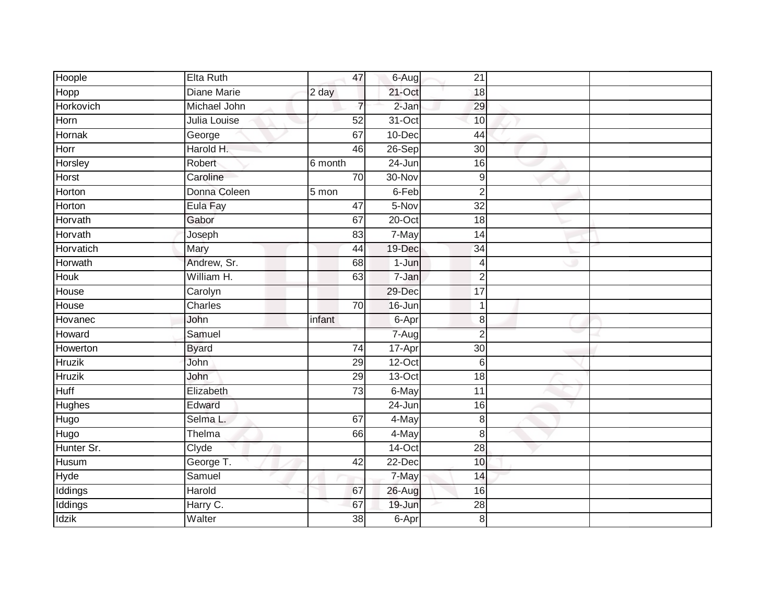| Hoople        | Elta Ruth          | 47              | 6-Aug                 | 21               |  |
|---------------|--------------------|-----------------|-----------------------|------------------|--|
| Hopp          | <b>Diane Marie</b> | 2 day           | 21-Oct                | 18               |  |
| Horkovich     | Michael John       | 7               | $2-Jan$               | 29               |  |
| Horn          | Julia Louise       | 52              | 31-Oct                | 10               |  |
| Hornak        | George             | 67              | $10 - Dec$            | 44               |  |
| Horr          | Harold H.          | 46              | 26-Sep                | 30               |  |
| Horsley       | Robert             | 6 month         | $24 - Jun$            | 16               |  |
| Horst         | Caroline           | 70              | 30-Nov                | $\boldsymbol{9}$ |  |
| Horton        | Donna Coleen       | 5 mon           | 6-Feb                 | $\overline{2}$   |  |
| Horton        | Eula Fay           | 47              | 5-Nov                 | 32               |  |
| Horvath       | Gabor              | 67              | $20$ -Oct             | 18               |  |
| Horvath       | Joseph             | 83              | 7-May                 | 14               |  |
| Horvatich     | Mary               | 44              | 19-Dec                | 34               |  |
| Horwath       | Andrew, Sr.        | 68              | $1-Jun$               | $\overline{4}$   |  |
| <b>Houk</b>   | William H.         | 63              | 7-Jan                 | $\overline{2}$   |  |
| House         | Carolyn            |                 | 29-Dec                | 17               |  |
| House         | Charles            | $\overline{70}$ | 16-Jun                | $\overline{1}$   |  |
| Hovanec       | John               | infant          | 6-Apr                 | 8                |  |
| Howard        | Samuel             |                 | $7 - \overline{A}$ ug | $\overline{2}$   |  |
| Howerton      | <b>Byard</b>       | $\overline{74}$ | 17-Apr                | $\overline{30}$  |  |
| <b>Hruzik</b> | John               | 29              | $12-Oct$              | 6                |  |
| <b>Hruzik</b> | John               | 29              | $13-Oct$              | $\overline{18}$  |  |
| <b>Huff</b>   | Elizabeth          | $\overline{73}$ | 6-May                 | $\overline{11}$  |  |
| Hughes        | Edward             |                 | 24-Jun                | 16               |  |
| Hugo          | Selma L.           | 67              | 4-May                 | 8                |  |
| Hugo          | Thelma             | 66              | 4-May                 | 8                |  |
| Hunter Sr.    | Clyde              |                 | $14$ -Oct             | $\overline{28}$  |  |
| Husum         | George T.          | 42              | 22-Dec                | 10               |  |
| Hyde          | Samuel             |                 | 7-May                 | 14               |  |
| Iddings       | Harold             | 67              | 26-Aug                | 16               |  |
| Iddings       | Harry C.           | 67              | 19-Jun                | $\overline{28}$  |  |
| <b>Idzik</b>  | Walter             | $\overline{38}$ | 6-Apr                 | 8                |  |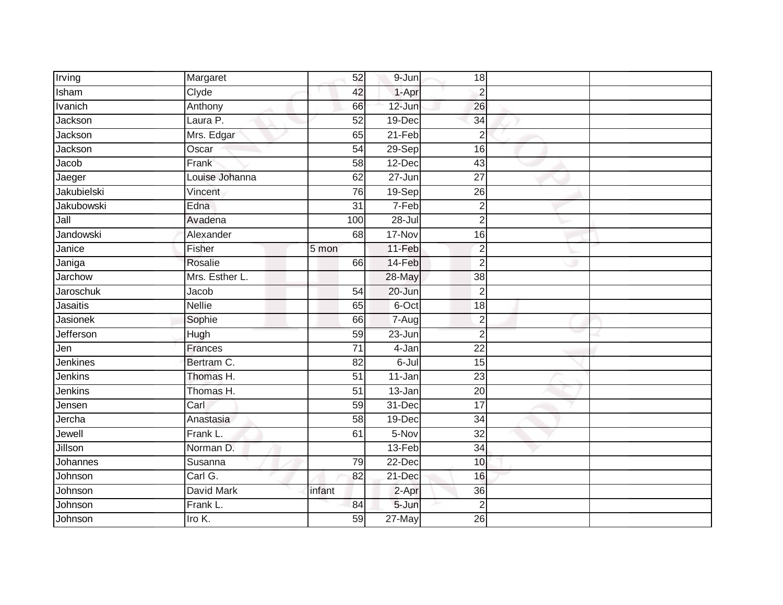| Irving             | Margaret       | 52              | 9-Jun      | 18              |  |
|--------------------|----------------|-----------------|------------|-----------------|--|
| Isham              | Clyde          | 42              | 1-Apr      | $\overline{2}$  |  |
| <b>Ivanich</b>     | Anthony        | 66              | $12 - Jun$ | 26              |  |
| Jackson            | Laura P.       | 52              | 19-Dec     | 34              |  |
| Jackson            | Mrs. Edgar     | 65              | $21-Feb$   | $\overline{2}$  |  |
| Jackson            | Oscar          | $\overline{54}$ | 29-Sep     | 16              |  |
| Jacob              | Frank          | $\overline{58}$ | 12-Dec     | $\overline{43}$ |  |
| Jaeger             | Louise Johanna | 62              | $27 - Jun$ | 27              |  |
| Jakubielski        | Vincent        | 76              | 19-Sep     | 26              |  |
| Jakubowski         | Edna           | $\overline{31}$ | 7-Feb      | $\overline{2}$  |  |
| $\overline{J}$ all | Avadena        | 100             | $28 -$ Jul | $\overline{2}$  |  |
| Jandowski          | Alexander      | 68              | 17-Nov     | 16              |  |
| Janice             | Fisher         | 5 mon           | 11-Feb     | $\overline{2}$  |  |
| Janiga             | Rosalie        | 66              | 14-Feb     | $\overline{2}$  |  |
| Jarchow            | Mrs. Esther L. |                 | 28-May     | $\overline{38}$ |  |
| Jaroschuk          | Jacob          | 54              | 20-Jun     | $\overline{2}$  |  |
| Jasaitis           | <b>Nellie</b>  | 65              | 6-Oct      | 18              |  |
| Jasionek           | Sophie         | 66              | 7-Aug      | $\overline{2}$  |  |
| Jefferson          | Hugh           | 59              | 23-Jun     | $\overline{2}$  |  |
| Jen                | Frances        | $\overline{71}$ | 4-Jan      | $\overline{22}$ |  |
| Jenkines           | Bertram C.     | 82              | $6 -$ Jul  | 15              |  |
| Jenkins            | Thomas H.      | $\overline{51}$ | 11-Jan     | $\overline{23}$ |  |
| Jenkins            | Thomas H.      | 51              | 13-Jan     | 20              |  |
| Jensen             | Carl           | 59              | 31-Dec     | $\overline{17}$ |  |
| Jercha             | Anastasia      | 58              | 19-Dec     | 34              |  |
| Jewell             | Frank L.       | 61              | 5-Nov      | 32              |  |
| Jillson            | Norman D.      |                 | $13-Feb$   | $\overline{34}$ |  |
| Johannes           | Susanna        | 79              | 22-Dec     | 10              |  |
| Johnson            | Carl G.        | 82              | 21-Dec     | 16              |  |
| Johnson            | David Mark     | infant          | 2-Apr      | 36              |  |
| Johnson            | Frank L.       | 84              | 5-Jun      | $\overline{2}$  |  |
| Johnson            | Iro K.         | 59              | $27$ -May  | $\overline{26}$ |  |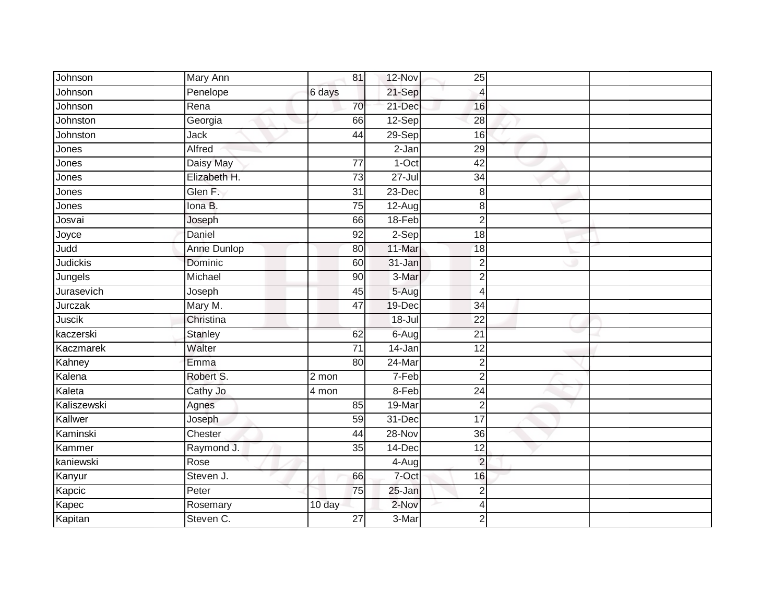| Johnson          | Mary Ann       | 81              | 12-Nov     | 25              |  |
|------------------|----------------|-----------------|------------|-----------------|--|
| Johnson          | Penelope       | 6 days          | 21-Sep     | $\overline{4}$  |  |
| Johnson          | Rena           | 70              | 21-Dec     | 16              |  |
| Johnston         | Georgia        | 66              | $12-Sep$   | 28              |  |
| Johnston         | Jack           | $\overline{44}$ | $29-Sep$   | 16              |  |
| Jones            | Alfred         |                 | $2-Jan$    | 29              |  |
| Jones            | Daisy May      | $\overline{77}$ | $1-Oct$    | $\overline{42}$ |  |
| Jones            | Elizabeth H.   | 73              | $27 -$ Jul | $\overline{34}$ |  |
| Jones            | Glen F.        | $\overline{31}$ | 23-Dec     | 8               |  |
| Jones            | Iona B.        | 75              | $12-Aug$   | 8               |  |
| Josvai           | Joseph         | 66              | 18-Feb     | $\overline{2}$  |  |
| Joyce            | Daniel         | 92              | 2-Sep      | 18              |  |
| Judd             | Anne Dunlop    | 80              | 11-Mar     | 18              |  |
| Judickis         | Dominic        | 60              | 31-Jan     | $\overline{2}$  |  |
| Jungels          | Michael        | 90              | 3-Mar      | $\overline{2}$  |  |
| Jurasevich       | Joseph         | 45              | 5-Aug      | $\overline{4}$  |  |
| Jurczak          | Mary M.        | 47              | $19$ -Dec  | $\overline{34}$ |  |
| Juscik           | Christina      |                 | 18-Jul     | $\overline{22}$ |  |
| kaczerski        | <b>Stanley</b> | 62              | 6-Aug      | $\overline{21}$ |  |
| <b>Kaczmarek</b> | Walter         | $\overline{71}$ | $14 - Jan$ | $\overline{12}$ |  |
| Kahney           | Emma           | 80              | 24-Mar     | $\overline{2}$  |  |
| Kalena           | Robert S.      | 2 mon           | 7-Feb      | $\overline{2}$  |  |
| Kaleta           | Cathy Jo       | $4$ mon         | 8-Feb      | 24              |  |
| Kaliszewski      | Agnes          | 85              | 19-Mar     | $\overline{2}$  |  |
| Kallwer          | Joseph         | 59              | 31-Dec     | $\overline{17}$ |  |
| Kaminski         | Chester        | 44              | 28-Nov     | 36              |  |
| Kammer           | Raymond J.     | $\overline{35}$ | $14$ -Dec  | $\overline{12}$ |  |
| kaniewski        | Rose           |                 | $4-Aug$    | $\overline{2}$  |  |
| Kanyur           | Steven J.      | 66              | 7-Oct      | 16              |  |
| Kapcic           | Peter          | 75              | 25-Jan     | $\overline{2}$  |  |
| Kapec            | Rosemary       | 10 day          | 2-Nov      | 4               |  |
| Kapitan          | Steven C.      | $\overline{27}$ | 3-Mar      | $\overline{2}$  |  |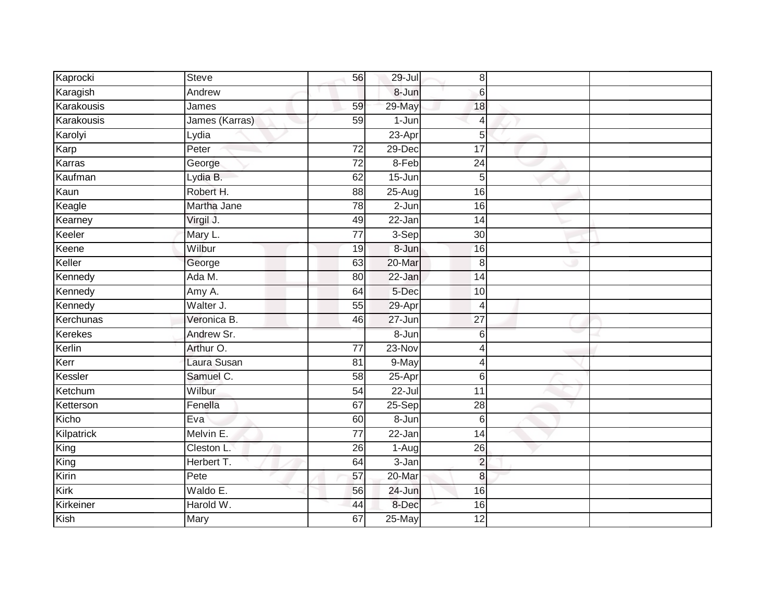| Kaprocki   | <b>Steve</b>   | 56              | 29-Jul     | 8               |  |
|------------|----------------|-----------------|------------|-----------------|--|
| Karagish   | Andrew         |                 | 8-Jun      | $\,6$           |  |
| Karakousis | James          | 59              | 29-May     | 18              |  |
| Karakousis | James (Karras) | 59              | 1-Jun      | $\overline{4}$  |  |
| Karolyi    | Lydia          |                 | $23-Apr$   | 5               |  |
| Karp       | Peter          | $\overline{72}$ | 29-Dec     | 17              |  |
| Karras     | George         | $\overline{72}$ | 8-Feb      | $\overline{24}$ |  |
| Kaufman    | Lydia B.       | 62              | $15 - Jun$ | 5               |  |
| Kaun       | Robert H.      | 88              | $25 - Aug$ | 16              |  |
| Keagle     | Martha Jane    | 78              | 2-Jun      | 16              |  |
| Kearney    | Virgil J.      | 49              | 22-Jan     | 14              |  |
| Keeler     | Mary L.        | 77              | $3-Sep$    | 30              |  |
| Keene      | Wilbur         | 19              | 8-Jun      | 16              |  |
| Keller     | George         | 63              | 20-Mar     | 8               |  |
| Kennedy    | Ada M.         | 80              | 22-Jan     | $\overline{14}$ |  |
| Kennedy    | Amy A.         | 64              | 5-Dec      | 10              |  |
| Kennedy    | Walter J.      | $\overline{55}$ | 29-Apr     | $\overline{4}$  |  |
| Kerchunas  | Veronica B.    | 46              | 27-Jun     | $\overline{27}$ |  |
| Kerekes    | Andrew Sr.     |                 | 8-Jun      | $6\phantom{1}6$ |  |
| Kerlin     | Arthur O.      | $\overline{77}$ | $23-Nov$   | 4               |  |
| Kerr       | Laura Susan    | 81              | 9-May      | 4               |  |
| Kessler    | Samuel C.      | 58              | 25-Apr     | 6               |  |
| Ketchum    | Wilbur         | 54              | $22 -$ Jul | $\overline{11}$ |  |
| Ketterson  | Fenella        | 67              | 25-Sep     | 28              |  |
| Kicho      | Eva            | 60              | 8-Jun      | $6\phantom{1}6$ |  |
| Kilpatrick | Melvin E.      | 77              | 22-Jan     | $\overline{14}$ |  |
| King       | Cleston L.     | $\overline{26}$ | $1-Aug$    | $\overline{26}$ |  |
| King       | Herbert T.     | 64              | 3-Jan      | $\overline{2}$  |  |
| Kirin      | Pete           | 57              | 20-Mar     | 8               |  |
| Kirk       | Waldo E.       | 56              | 24-Jun     | 16              |  |
| Kirkeiner  | Harold W.      | 44              | 8-Dec      | 16              |  |
| Kish       | <b>Mary</b>    | 67              | $25$ -May  | $\overline{12}$ |  |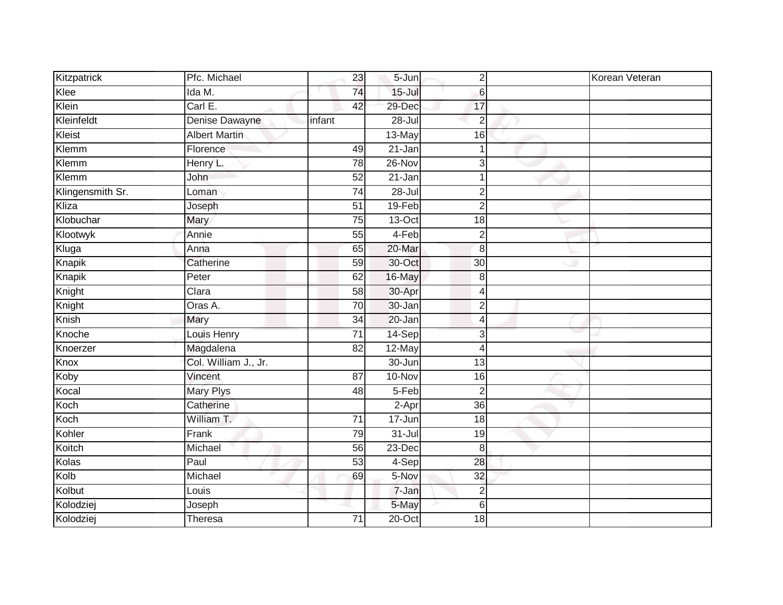| Kitzpatrick      | Pfc. Michael         | 23              | $5 - Jun$         | $\overline{2}$ | Korean Veteran |
|------------------|----------------------|-----------------|-------------------|----------------|----------------|
| Klee             | Ida M.               | 74              | $15 -$ Jul        | 6              |                |
| Klein            | CarI E.              | 42              | 29-Dec            | 17             |                |
| Kleinfeldt       | Denise Dawayne       | infant          | 28-Jul            | $\overline{2}$ |                |
| Kleist           | <b>Albert Martin</b> |                 | 13-May            | 16             |                |
| Klemm            | Florence             | 49              | 21-Jan            | $\mathbf{1}$   |                |
| Klemm            | Henry L.             | 78              | 26-Nov            | 3              |                |
| Klemm            | John                 | 52              | 21-Jan            |                |                |
| Klingensmith Sr. | Loman                | $\overline{74}$ | $28 -$ Jul        | $\overline{2}$ |                |
| Kliza            | Joseph               | 51              | 19-Feb            | $\overline{2}$ |                |
| Klobuchar        | Mary                 | 75              | 13-Oct            | 18             |                |
| Klootwyk         | Annie                | 55              | $4-Feb$           | $\overline{2}$ |                |
| Kluga            | Anna                 | 65              | $20 - \text{Mar}$ | 8              |                |
| Knapik           | Catherine            | 59              | 30-Oct            | 30             |                |
| Knapik           | Peter                | 62              | 16-May            | $\,8\,$        |                |
| Knight           | Clara                | 58              | 30-Apr            | 4              |                |
| Knight           | Oras A.              | 70              | 30-Jan            | $\overline{c}$ |                |
| Knish            | Mary                 | $\overline{34}$ | 20-Jan            | $\overline{4}$ |                |
| Knoche           | Louis Henry          | $\overline{71}$ | 14-Sep            | 3              |                |
| Knoerzer         | Magdalena            | $\overline{82}$ | 12-May            | $\overline{4}$ |                |
| Knox             | Col. William J., Jr. |                 | $30 - Jun$        | 13             |                |
| Koby             | Vincent              | 87              | 10-Nov            | 16             |                |
| Kocal            | Mary Plys            | 48              | 5-Feb             | $\overline{2}$ |                |
| Koch             | Catherine            |                 | 2-Apr             | 36             |                |
| Koch             | William T.           | 71              | 17-Jun            | 18             |                |
| Kohler           | Frank                | 79              | $31 -$ Jul        | 19             |                |
| Koitch           | Michael              | 56              | $23$ -Dec         | 8              |                |
| Kolas            | Paul                 | 53              | $4-Sep$           | 28             |                |
| Kolb             | Michael              | 69              | 5-Nov             | 32             |                |
| Kolbut           | Louis                |                 | 7-Jan             | $\overline{2}$ |                |
| Kolodziej        | Joseph               |                 | 5-May             | $6\,$          |                |
| Kolodziej        | Theresa              | $\overline{71}$ | $20$ -Oct         | 18             |                |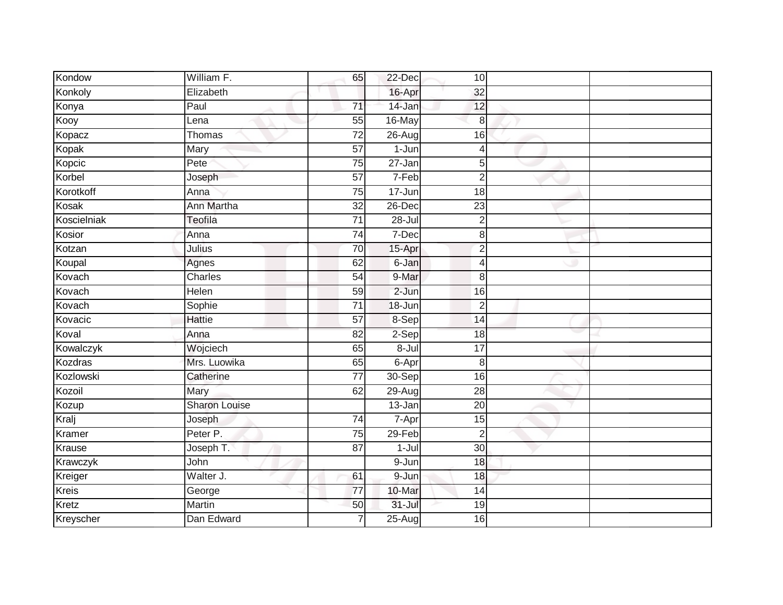| Kondow       | William F.           | 65              | 22-Dec     | 10              |  |
|--------------|----------------------|-----------------|------------|-----------------|--|
| Konkoly      | Elizabeth            |                 | 16-Apr     | 32              |  |
| Konya        | Paul                 | $\overline{71}$ | 14-Jan     | 12              |  |
| Kooy         | Lena                 | 55              | 16-May     | 8               |  |
| Kopacz       | Thomas               | $\overline{72}$ | 26-Aug     | 16              |  |
| Kopak        | Mary                 | 57              | $1-Jun$    | 4               |  |
| Kopcic       | Pete                 | 75              | 27-Jan     | $\overline{5}$  |  |
| Korbel       | Joseph               | 57              | 7-Feb      | $\overline{2}$  |  |
| Korotkoff    | Anna                 | 75              | 17-Jun     | 18              |  |
| Kosak        | Ann Martha           | $\overline{32}$ | $26$ -Dec  | $\overline{23}$ |  |
| Koscielniak  | Teofila              | $\overline{71}$ | $28 -$ Jul | $\overline{2}$  |  |
| Kosior       | Anna                 | 74              | 7-Dec      | 8               |  |
| Kotzan       | Julius               | 70              | 15-Apr     | $\overline{2}$  |  |
| Koupal       | Agnes                | 62              | 6-Jan      | 4               |  |
| Kovach       | Charles              | 54              | 9-Mar      | 8               |  |
| Kovach       | <b>Helen</b>         | 59              | $2-Jun$    | 16              |  |
| Kovach       | Sophie               | $\overline{71}$ | 18-Jun     | $\overline{2}$  |  |
| Kovacic      | <b>Hattie</b>        | 57              | 8-Sep      | 14              |  |
| Koval        | Anna                 | 82              | 2-Sep      | 18              |  |
| Kowalczyk    | Wojciech             | 65              | $8 -$ Jul  | $\overline{17}$ |  |
| Kozdras      | Mrs. Luowika         | 65              | 6-Apr      | 8               |  |
| Kozlowski    | Catherine            | $\overline{77}$ | 30-Sep     | $\overline{16}$ |  |
| Kozoil       | Mary                 | 62              | $29 - Aug$ | 28              |  |
| Kozup        | <b>Sharon Louise</b> |                 | 13-Jan     | $\overline{20}$ |  |
| Kralj        | Joseph               | 74              | 7-Apr      | 15              |  |
| Kramer       | Peter P.             | 75              | 29-Feb     | $\overline{2}$  |  |
| Krause       | Joseph T.            | $\overline{87}$ | $1-Jul$    | 30              |  |
| Krawczyk     | John                 |                 | 9-Jun      | 18              |  |
| Kreiger      | Walter J.            | 61              | 9-Jun      | 18              |  |
| <b>Kreis</b> | George               | $\overline{77}$ | 10-Mar     | 14              |  |
| Kretz        | Martin               | 50              | $31 -$ Jul | 19              |  |
| Kreyscher    | Dan Edward           | $\overline{7}$  | $25 - Aug$ | 16              |  |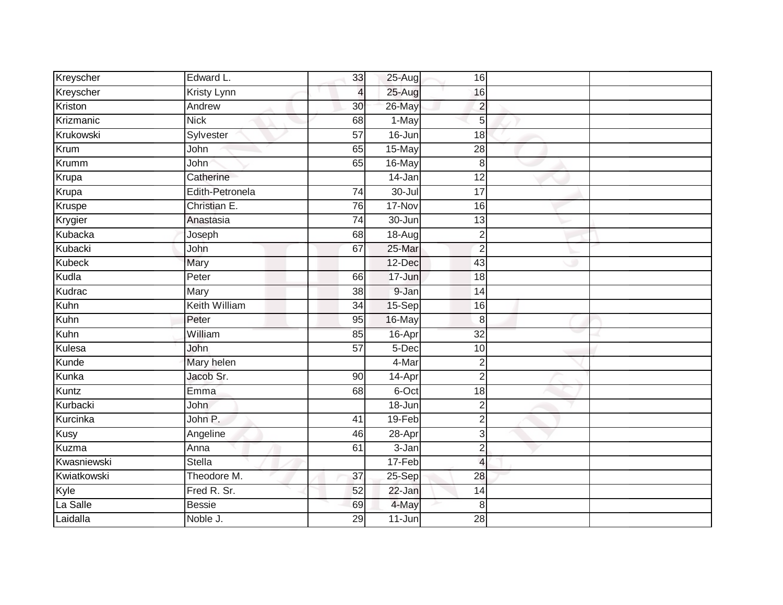| Kreyscher   | Edward L.            | 33              | 25-Aug     | 16              |  |
|-------------|----------------------|-----------------|------------|-----------------|--|
| Kreyscher   | Kristy Lynn          | 4               | 25-Aug     | 16              |  |
| Kriston     | Andrew               | 30              | 26-May     | $\overline{c}$  |  |
| Krizmanic   | <b>Nick</b>          | 68              | 1-May      | 5               |  |
| Krukowski   | Sylvester            | $\overline{57}$ | $16 - Jun$ | $\overline{18}$ |  |
| Krum        | John                 | 65              | 15-May     | 28              |  |
| Krumm       | John                 | 65              | 16-May     | 8               |  |
| Krupa       | Catherine            |                 | 14-Jan     | 12              |  |
| Krupa       | Edith-Petronela      | 74              | $30 -$ Jul | 17              |  |
| Kruspe      | Christian E.         | 76              | 17-Nov     | 16              |  |
| Krygier     | Anastasia            | $\overline{74}$ | 30-Jun     | $\overline{13}$ |  |
| Kubacka     | Joseph               | 68              | 18-Aug     | $\overline{2}$  |  |
| Kubacki     | John                 | 67              | 25-Mar     | $\overline{2}$  |  |
| Kubeck      | Mary                 |                 | 12-Dec     | 43              |  |
| Kudla       | Peter                | 66              | 17-Jun     | 18              |  |
| Kudrac      | Mary                 | 38              | 9-Jan      | 14              |  |
| Kuhn        | <b>Keith William</b> | $\overline{34}$ | 15-Sep     | 16              |  |
| Kuhn        | Peter                | 95              | 16-May     | 8               |  |
| Kuhn        | William              | 85              | 16-Apr     | $\overline{32}$ |  |
| Kulesa      | John                 | 57              | $5-Dec$    | 10              |  |
| Kunde       | Mary helen           |                 | 4-Mar      | $\overline{2}$  |  |
| Kunka       | Jacob Sr.            | 90              | 14-Apr     | $\overline{2}$  |  |
| Kuntz       | Emma                 | 68              | 6-Oct      | 18              |  |
| Kurbacki    | John                 |                 | 18-Jun     | $\overline{2}$  |  |
| Kurcinka    | John P.              | 41              | 19-Feb     | $\overline{2}$  |  |
| <b>Kusy</b> | Angeline             | 46              | 28-Apr     | 3               |  |
| Kuzma       | Anna                 | 61              | $3 - Jan$  | $\overline{2}$  |  |
| Kwasniewski | <b>Stella</b>        |                 | 17-Feb     | $\overline{4}$  |  |
| Kwiatkowski | Theodore M.          | 37              | $25-Sep$   | 28              |  |
| Kyle        | Fred R. Sr.          | 52              | 22-Jan     | 14              |  |
| La Salle    | <b>Bessie</b>        | 69              | 4-May      | 8               |  |
| Laidalla    | Noble J.             | 29              | $11 - Jun$ | $\overline{28}$ |  |
|             |                      |                 |            |                 |  |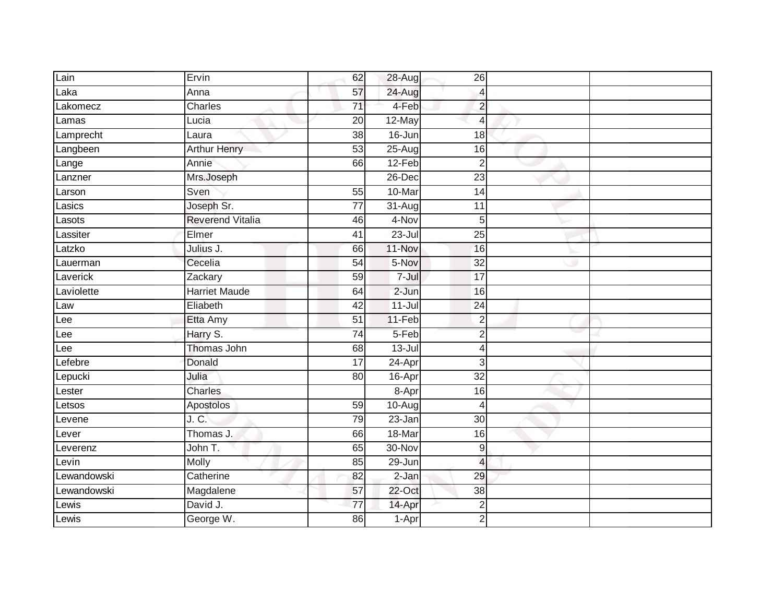| Lain        | Ervin                   | 62              | 28-Aug     | 26                       |  |
|-------------|-------------------------|-----------------|------------|--------------------------|--|
| Laka        | Anna                    | 57              | 24-Aug     | $\overline{4}$           |  |
| Lakomecz    | Charles                 | 71              | 4-Feb      | $\overline{2}$           |  |
| Lamas       | Lucia                   | 20              | 12-May     | $\overline{4}$           |  |
| Lamprecht   | Laura                   | 38              | $16 - Jun$ | 18                       |  |
| Langbeen    | <b>Arthur Henry</b>     | 53              | 25-Aug     | 16                       |  |
| Lange       | Annie                   | 66              | $12-Feb$   | $\overline{c}$           |  |
| Lanzner     | Mrs.Joseph              |                 | 26-Dec     | 23                       |  |
| Larson      | Sven                    | 55              | 10-Mar     | 14                       |  |
| Lasics      | Joseph Sr.              | $\overline{77}$ | 31-Aug     | 11                       |  |
| Lasots      | <b>Reverend Vitalia</b> | 46              | 4-Nov      | 5 <sup>1</sup>           |  |
| Lassiter    | Elmer                   | 41              | $23 -$ Jul | 25                       |  |
| Latzko      | Julius J.               | 66              | 11-Nov     | 16                       |  |
| Lauerman    | Cecelia                 | 54              | 5-Nov      | 32                       |  |
| Laverick    | Zackary                 | 59              | 7-Jul      | $\overline{17}$          |  |
| Laviolette  | <b>Harriet Maude</b>    | 64              | 2-Jun      | 16                       |  |
| Law         | Eliabeth                | 42              | $11 -$ Jul | $\overline{24}$          |  |
| Lee         | Etta Amy                | 51              | 11-Feb     | $\overline{c}$           |  |
| Lee         | Harry S.                | 74              | 5-Feb      | $\overline{2}$           |  |
| Lee         | Thomas John             | 68              | $13 -$ Jul | 4                        |  |
| Lefebre     | Donald                  | $\overline{17}$ | 24-Apr     | $\overline{3}$           |  |
| Lepucki     | Julia                   | 80              | $16 - Apr$ | $\overline{32}$          |  |
| Lester      | Charles                 |                 | 8-Apr      | 16                       |  |
| Letsos      | Apostolos               | 59              | $10-Aug$   | $\overline{\mathcal{A}}$ |  |
| Levene      | J. C.                   | 79              | $23 - Jan$ | 30                       |  |
| Lever       | Thomas J.               | 66              | 18-Mar     | 16                       |  |
| Leverenz    | John T.                 | 65              | 30-Nov     | 9                        |  |
| Levin       | Molly                   | 85              | 29-Jun     | $\overline{4}$           |  |
| Lewandowski | Catherine               | 82              | $2-Jan$    | 29                       |  |
| Lewandowski | Magdalene               | 57              | $22$ -Oct  | 38                       |  |
| Lewis       | David J.                | 77              | 14-Apr     | $\overline{\mathbf{c}}$  |  |
| Lewis       | George W.               | 86              | 1-Apr      | $\overline{2}$           |  |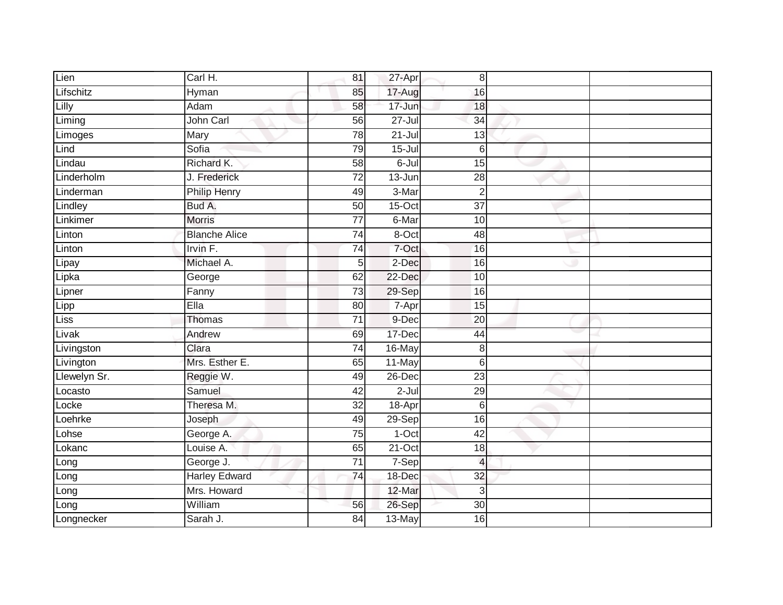| Lien         | Carl H.              | 81              | 27-Apr     | 8               |  |
|--------------|----------------------|-----------------|------------|-----------------|--|
| Lifschitz    | Hyman                | 85              | 17-Aug     | 16              |  |
| Lilly        | Adam                 | 58              | 17-Jun     | 18              |  |
| Liming       | John Carl            | 56              | $27 -$ Jul | 34              |  |
| Limoges      | Mary                 | 78              | $21 -$ Jul | 13              |  |
| Lind         | Sofia                | 79              | $15 -$ Jul | $6 \,$          |  |
| Lindau       | Richard K.           | $\overline{58}$ | $6 -$ Jul  | $\overline{15}$ |  |
| Linderholm   | J. Frederick         | $\overline{72}$ | 13-Jun     | $\overline{28}$ |  |
| Linderman    | <b>Philip Henry</b>  | 49              | 3-Mar      | $\overline{2}$  |  |
| Lindley      | Bud A.               | 50              | $15-Oct$   | $\overline{37}$ |  |
| Linkimer     | <b>Morris</b>        | $\overline{77}$ | 6-Mar      | 10              |  |
| Linton       | <b>Blanche Alice</b> | 74              | 8-Oct      | 48              |  |
| Linton       | Irvin F.             | 74              | 7-Oct      | 16              |  |
| Lipay        | Michael A.           | 5               | 2-Dec      | 16              |  |
| Lipka        | George               | 62              | 22-Dec     | 10              |  |
| Lipner       | Fanny                | 73              | 29-Sep     | 16              |  |
| Lipp         | Ella                 | $\overline{80}$ | 7-Apr      | $\overline{15}$ |  |
| <b>Liss</b>  | <b>Thomas</b>        | $\overline{71}$ | 9-Dec      | 20              |  |
| Livak        | Andrew               | 69              | 17-Dec     | 44              |  |
| Livingston   | Clara                | $\overline{74}$ | 16-May     | 8               |  |
| Livington    | Mrs. Esther E.       | 65              | 11-May     | $6 \,$          |  |
| Llewelyn Sr. | Reggie W.            | 49              | 26-Dec     | $\overline{23}$ |  |
| Locasto      | Samuel               | 42              | $2 -$ Jul  | 29              |  |
| Locke        | Theresa M.           | 32              | 18-Apr     | $6 \,$          |  |
| Loehrke      | Joseph               | 49              | 29-Sep     | 16              |  |
| Lohse        | George A.            | 75              | $1-Oct$    | 42              |  |
| Lokanc       | Louise A.            | 65              | $21-Oct$   | 18              |  |
| Long         | George J.            | $\overline{71}$ | $7-Sep$    | $\overline{4}$  |  |
| Long         | <b>Harley Edward</b> | $\overline{74}$ | 18-Dec     | 32              |  |
| Long         | Mrs. Howard          |                 | 12-Mar     | 3               |  |
| Long         | William              | 56              | 26-Sep     | $\overline{30}$ |  |
| Longnecker   | Sarah J.             | $\overline{84}$ | 13-May     | 16              |  |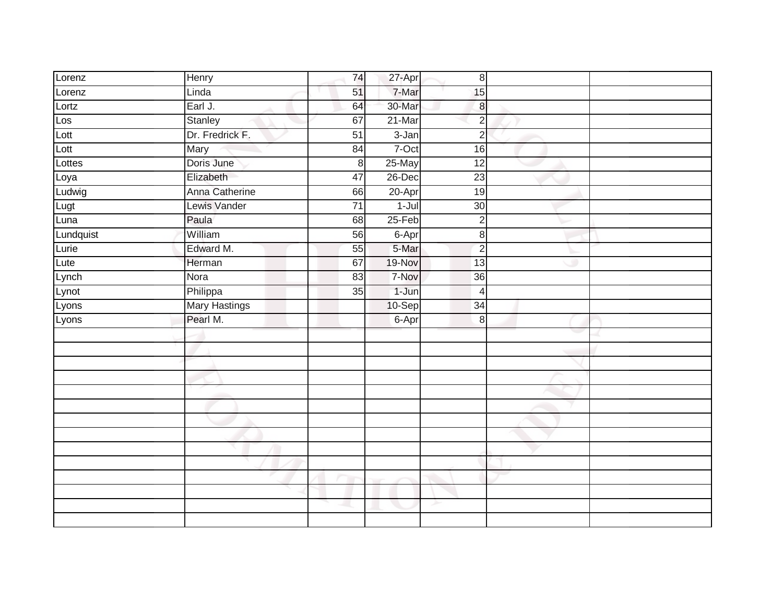| Lorenz    | Henry                | 74              | 27-Apr    | $\,8\,$          |   |  |
|-----------|----------------------|-----------------|-----------|------------------|---|--|
| Lorenz    | Linda                | 51              | 7-Mar     | 15               |   |  |
| Lortz     | Earl J.              | 64              | 30-Mar    | $\boldsymbol{8}$ |   |  |
| Los       | Stanley              | 67              | $21$ -Mar | $\overline{2}$   |   |  |
| Lott      | Dr. Fredrick F.      | $\overline{51}$ | $3 - Jan$ | $\overline{2}$   |   |  |
| Lott      | Mary                 | 84              | 7-Oct     | 16               |   |  |
| Lottes    | Doris June           | 8               | 25-May    | $\overline{12}$  |   |  |
| Loya      | Elizabeth            | 47              | 26-Dec    | $\overline{23}$  |   |  |
| Ludwig    | Anna Catherine       | 66              | 20-Apr    | 19               |   |  |
| Lugt      | Lewis Vander         | $\overline{71}$ | $1 -$ Jul | 30               |   |  |
| Luna      | Paula                | 68              | $25-Feb$  | $\overline{2}$   |   |  |
| Lundquist | William              | 56              | 6-Apr     | $\,8\,$          |   |  |
| Lurie     | Edward M.            | 55              | 5-Mar     | $\overline{2}$   |   |  |
| Lute      | Herman               | 67              | 19-Nov    | 13               | w |  |
| Lynch     | Nora                 | 83              | 7-Nov     | 36               |   |  |
| Lynot     | Philippa             | 35              | 1-Jun     | $\overline{4}$   |   |  |
| Lyons     | <b>Mary Hastings</b> |                 | 10-Sep    | $\overline{34}$  |   |  |
| Lyons     | Pearl M.             |                 | 6-Apr     | 8                |   |  |
|           |                      |                 |           |                  |   |  |
|           |                      |                 |           |                  |   |  |
|           |                      |                 |           |                  |   |  |
|           |                      |                 |           |                  |   |  |
|           |                      |                 |           |                  |   |  |
|           |                      |                 |           |                  |   |  |
|           |                      |                 |           |                  |   |  |
|           |                      |                 |           |                  |   |  |
|           |                      |                 |           |                  |   |  |
|           |                      |                 |           |                  |   |  |
|           |                      |                 |           |                  |   |  |
|           |                      |                 |           |                  |   |  |
|           |                      |                 |           | ≻                |   |  |
|           |                      |                 |           |                  |   |  |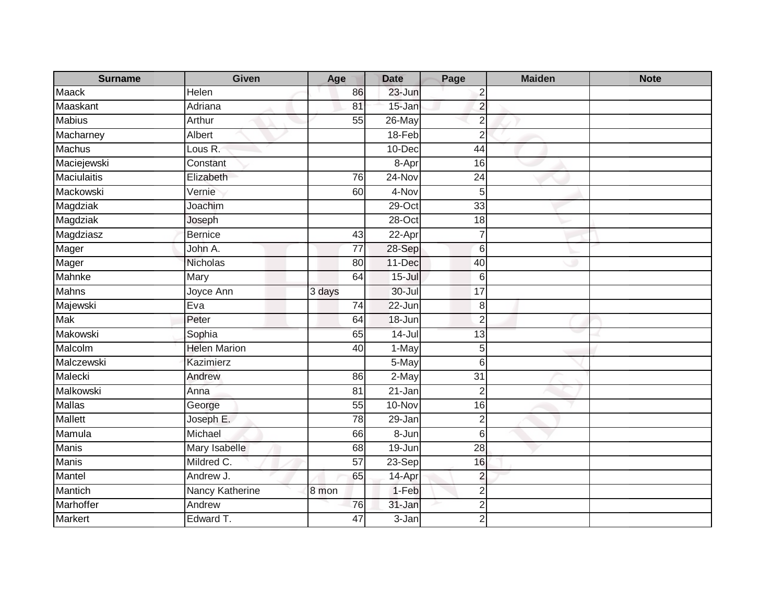| <b>Surname</b>     | Given                          | Age             | <b>Date</b> | Page            | <b>Maiden</b> | <b>Note</b> |
|--------------------|--------------------------------|-----------------|-------------|-----------------|---------------|-------------|
| <b>Maack</b>       | Helen                          | 86              | 23-Jun      | $\overline{2}$  |               |             |
| Maaskant           | Adriana                        | 81              | $15 - Jan$  | $\overline{2}$  |               |             |
| <b>Mabius</b>      | Arthur                         | 55              | 26-May      | $\overline{2}$  |               |             |
| Macharney          | Albert                         |                 | $18-Feb$    | $\overline{2}$  |               |             |
| Machus             | Lous $\overline{\mathsf{R}}$ . |                 | 10-Dec      | 44              |               |             |
| Maciejewski        | Constant                       |                 | 8-Apr       | 16              |               |             |
| <b>Maciulaitis</b> | Elizabeth                      | 76              | 24-Nov      | 24              |               |             |
| Mackowski          | Vernie                         | 60              | 4-Nov       | 5               |               |             |
| Magdziak           | Joachim                        |                 | $29$ -Oct   | $\overline{33}$ |               |             |
| Magdziak           | Joseph                         |                 | 28-Oct      | 18              |               |             |
| Magdziasz          | Bernice                        | 43              | 22-Apr      | $\overline{7}$  |               |             |
| Mager              | John A.                        | 77              | 28-Sep      | 6               |               |             |
| Mager              | Nicholas                       | 80              | 11-Dec      | 40              |               |             |
| Mahnke             | Mary                           | 64              | $15 -$ Jul  | 6               |               |             |
| <b>Mahns</b>       | Joyce Ann                      | 3 days          | 30-Jul      | 17              |               |             |
| Majewski           | Eva                            | 74              | 22-Jun      | 8               |               |             |
| <b>Mak</b>         | Peter                          | 64              | 18-Jun      | $\overline{2}$  |               |             |
| Makowski           | Sophia                         | 65              | $14 -$ Jul  | 13              |               |             |
| Malcolm            | <b>Helen Marion</b>            | 40              | 1-May       | 5               |               |             |
| Malczewski         | Kazimierz                      |                 | 5-May       | 6               |               |             |
| Malecki            | Andrew                         | 86              | 2-May       | $\overline{31}$ |               |             |
| Malkowski          | Anna                           | 81              | 21-Jan      | $\overline{2}$  |               |             |
| Mallas             | George                         | 55              | 10-Nov      | 16              |               |             |
| Mallett            | Joseph E.                      | 78              | 29-Jan      | $\overline{2}$  |               |             |
| Mamula             | Michael                        | 66              | 8-Jun       | $6\phantom{1}6$ |               |             |
| <b>Manis</b>       | Mary Isabelle                  | 68              | 19-Jun      | $\overline{28}$ |               |             |
| <b>Manis</b>       | Mildred C.                     | $\overline{57}$ | 23-Sep      | 16              |               |             |
| Mantel             | Andrew J.                      | 65              | 14-Apr      | $\overline{c}$  |               |             |
| Mantich            | Nancy Katherine                | 8 mon           | 1-Feb       | $\overline{2}$  |               |             |
| Marhoffer          | Andrew                         | 76              | 31-Jan      | $\overline{2}$  |               |             |
| <b>Markert</b>     | Edward T.                      | $\overline{47}$ | 3-Jan       | $\overline{2}$  |               |             |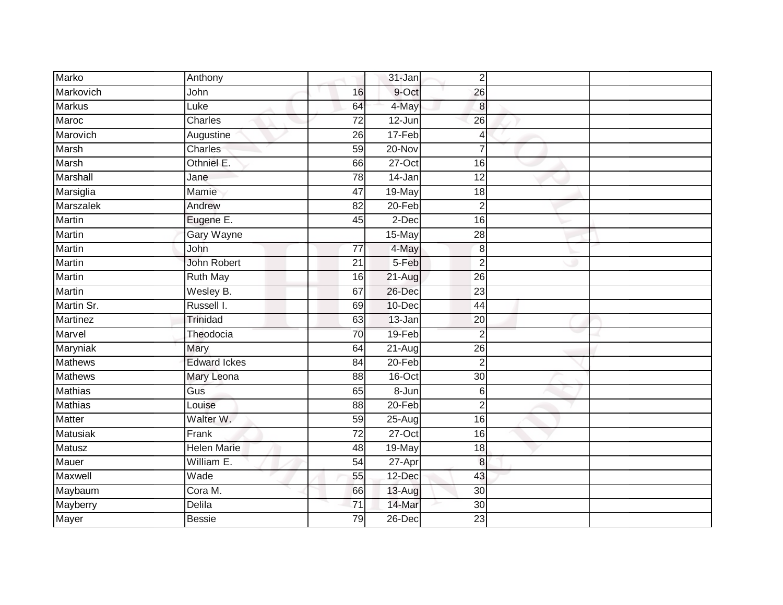| Marko            | Anthony             |                 | 31-Jan     | $\overline{2}$   |  |
|------------------|---------------------|-----------------|------------|------------------|--|
| Markovich        | John                | 16              | 9-Oct      | $\overline{26}$  |  |
| <b>Markus</b>    | Luke                | 64              | 4-May      | $\boldsymbol{8}$ |  |
| Maroc            | Charles             | $\overline{72}$ | 12-Jun     | $\overline{26}$  |  |
| Marovich         | Augustine           | 26              | 17-Feb     | 4                |  |
| Marsh            | Charles             | 59              | 20-Nov     | 7                |  |
| Marsh            | Othniel E.          | 66              | $27-Oct$   | 16               |  |
| Marshall         | Jane                | 78              | $14 - Jan$ | 12               |  |
| Marsiglia        | Mamie               | $\overline{47}$ | 19-May     | 18               |  |
| <b>Marszalek</b> | Andrew              | $\overline{82}$ | $20 - Feb$ | $\overline{2}$   |  |
| <b>Martin</b>    | Eugene E.           | 45              | 2-Dec      | 16               |  |
| Martin           | Gary Wayne          |                 | 15-May     | 28               |  |
| Martin           | John                | $\overline{77}$ | 4-May      | $\boldsymbol{8}$ |  |
| Martin           | <b>John Robert</b>  | 21              | 5-Feb      | $\overline{2}$   |  |
| <b>Martin</b>    | <b>Ruth May</b>     | 16              | 21-Aug     | $\overline{26}$  |  |
| Martin           | Wesley B.           | 67              | 26-Dec     | $\overline{23}$  |  |
| Martin Sr.       | Russell I.          | 69              | 10-Dec     | $\overline{44}$  |  |
| <b>Martinez</b>  | Trinidad            | 63              | 13-Jan     | 20               |  |
| Marvel           | Theodocia           | 70              | 19-Feb     | $\overline{2}$   |  |
| Maryniak         | Mary                | 64              | $21-Aug$   | $\overline{26}$  |  |
| <b>Mathews</b>   | <b>Edward Ickes</b> | 84              | 20-Feb     | $\overline{2}$   |  |
| <b>Mathews</b>   | Mary Leona          | $\overline{88}$ | $16$ -Oct  | $\overline{30}$  |  |
| <b>Mathias</b>   | Gus                 | 65              | 8-Jun      | 6                |  |
| <b>Mathias</b>   | Louise              | 88              | $20 - Feb$ | $\overline{2}$   |  |
| <b>Matter</b>    | Walter W.           | 59              | 25-Aug     | 16               |  |
| <b>Matusiak</b>  | Frank               | $\overline{72}$ | $27$ -Oct  | $\overline{16}$  |  |
| Matusz           | <b>Helen Marie</b>  | 48              | 19-May     | 18               |  |
| <b>Mauer</b>     | William E.          | 54              | 27-Apr     | 8                |  |
| Maxwell          | Wade                | 55              | 12-Dec     | 43               |  |
| Maybaum          | Cora M.             | 66              | 13-Aug     | $\overline{30}$  |  |
| Mayberry         | Delila              | 71              | 14-Mar     | 30               |  |
| <b>Mayer</b>     | <b>Bessie</b>       | 79              | 26-Dec     | $\overline{23}$  |  |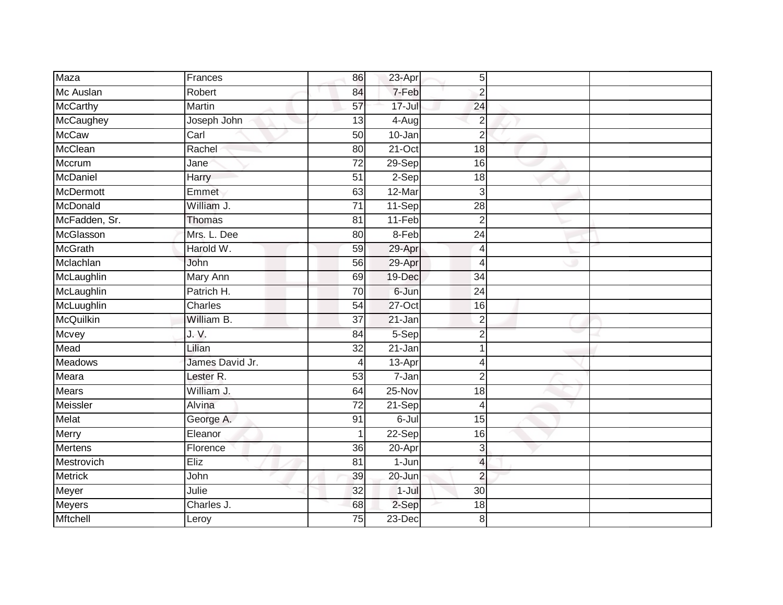| Maza            | Frances              | 86              | 23-Apr     | $\overline{5}$  |  |
|-----------------|----------------------|-----------------|------------|-----------------|--|
| Mc Auslan       | Robert               | 84              | 7-Feb      | $\overline{2}$  |  |
| McCarthy        | <b>Martin</b>        | $\overline{57}$ | $17 -$ Jul | $\overline{24}$ |  |
| McCaughey       | Joseph John          | 13              | $4-Aug$    | $\overline{2}$  |  |
| <b>McCaw</b>    | Carl                 | $\overline{50}$ | $10 - Jan$ | $\overline{2}$  |  |
| McClean         | Rachel               | 80              | 21-Oct     | 18              |  |
| Mccrum          | Jane                 | 72              | 29-Sep     | 16              |  |
| McDaniel        | <b>Harry</b>         | 51              | 2-Sep      | 18              |  |
| McDermott       | Emmet                | 63              | 12-Mar     | 3               |  |
| McDonald        | William J.           | $\overline{71}$ | 11-Sep     | $\overline{28}$ |  |
| McFadden, Sr.   | Thomas               | 81              | $11-Feb$   | $\overline{2}$  |  |
| McGlasson       | Mrs. L. Dee          | 80              | $8-Feb$    | 24              |  |
| <b>McGrath</b>  | Harold W.            | 59              | 29-Apr     | $\overline{4}$  |  |
| Mclachlan       | John                 | 56              | 29-Apr     | $\overline{4}$  |  |
| McLaughlin      | Mary Ann             | 69              | 19-Dec     | 34              |  |
| McLaughlin      | Patrich H.           | 70              | 6-Jun      | 24              |  |
| McLuughlin      | Charles              | 54              | $27$ -Oct  | $\overline{16}$ |  |
| McQuilkin       | William B.           | $\overline{37}$ | 21-Jan     | $\overline{2}$  |  |
| Mcvey           | J. V.                | 84              | 5-Sep      | $\overline{2}$  |  |
| Mead            | Lilian               | $\overline{32}$ | $21 - Jan$ |                 |  |
| Meadows         | James David Jr.      | 4               | 13-Apr     | 4               |  |
| Meara           | Lester <sub>R.</sub> | 53              | $7 - Jan$  | $\overline{2}$  |  |
| Mears           | William J.           | 64              | 25-Nov     | 18              |  |
| Meissler        | Alvina               | $\overline{72}$ | 21-Sep     | $\overline{4}$  |  |
| Melat           | George A.            | 91              | 6-Jul      | 15              |  |
| Merry           | Eleanor              |                 | $22-Sep$   | 16              |  |
| <b>Mertens</b>  | Florence             | 36              | 20-Apr     | $\mathbf{3}$    |  |
| Mestrovich      | Eliz                 | 81              | 1-Jun      | $\overline{a}$  |  |
| <b>Metrick</b>  | John                 | 39              | 20-Jun     | $\overline{2}$  |  |
| Meyer           | Julie                | 32              | $1-Jul$    | 30              |  |
| Meyers          | Charles J.           | 68              | 2-Sep      | 18              |  |
| <b>Mftchell</b> | Leroy                | $\overline{75}$ | $23$ -Dec  | 8               |  |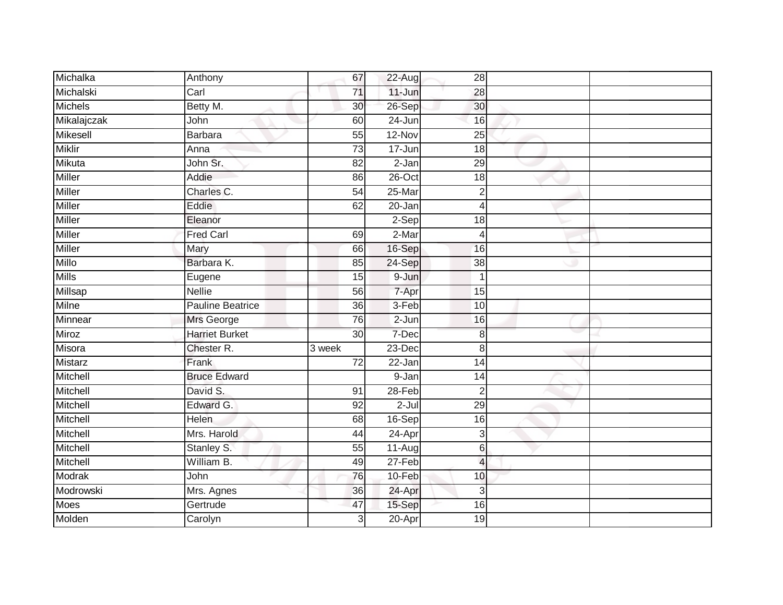| Michalka       | Anthony                 | 67              | 22-Aug    | 28              |  |
|----------------|-------------------------|-----------------|-----------|-----------------|--|
| Michalski      | Carl                    | 71              | 11-Jun    | 28              |  |
| <b>Michels</b> | Betty M.                | 30              | 26-Sep    | 30              |  |
| Mikalajczak    | John                    | 60              | 24-Jun    | 16              |  |
| Mikesell       | <b>Barbara</b>          | $\overline{55}$ | $12-Nov$  | $\overline{25}$ |  |
| <b>Miklir</b>  | Anna                    | 73              | 17-Jun    | 18              |  |
| Mikuta         | John Sr.                | 82              | 2-Jan     | 29              |  |
| Miller         | Addie                   | 86              | $26$ -Oct | 18              |  |
| Miller         | Charles C.              | 54              | 25-Mar    | $\overline{2}$  |  |
| Miller         | Eddie                   | 62              | 20-Jan    | $\overline{4}$  |  |
| Miller         | Eleanor                 |                 | $2-Sep$   | 18              |  |
| <b>Miller</b>  | <b>Fred Carl</b>        | 69              | $2-Mar$   | $\overline{4}$  |  |
| <b>Miller</b>  | Mary                    | 66              | 16-Sep    | 16              |  |
| Millo          | Barbara K.              | 85              | 24-Sep    | 38              |  |
| <b>Mills</b>   | Eugene                  | 15              | $9 - Jun$ | $\mathbf 1$     |  |
| Millsap        | Nellie                  | 56              | 7-Apr     | 15              |  |
| <b>Milne</b>   | <b>Pauline Beatrice</b> | $\overline{36}$ | $3-Feb$   | 10              |  |
| Minnear        | Mrs George              | 76              | $2-Jun$   | 16              |  |
| Miroz          | <b>Harriet Burket</b>   | 30              | 7-Dec     | 8               |  |
| Misora         | Chester R.              | 3 week          | $23-Dec$  | 8               |  |
| Mistarz        | Frank                   | 72              | 22-Jan    | 14              |  |
| Mitchell       | <b>Bruce Edward</b>     |                 | 9-Jan     | 14              |  |
| Mitchell       | David S.                | 91              | 28-Feb    | $\overline{2}$  |  |
| Mitchell       | Edward G.               | 92              | $2 -$ Jul | 29              |  |
| Mitchell       | Helen                   | 68              | $16-Sep$  | 16              |  |
| Mitchell       | Mrs. Harold             | 44              | 24-Apr    | 3               |  |
| Mitchell       | Stanley S.              | 55              | 11-Aug    | 6               |  |
| Mitchell       | William B.              | 49              | 27-Feb    | $\overline{4}$  |  |
| Modrak         | John                    | 76              | 10-Feb    | 10              |  |
| Modrowski      | Mrs. Agnes              | 36              | 24-Apr    | 3               |  |
| Moes           | Gertrude                | 47              | 15-Sep    | 16              |  |
| Molden         | Carolyn                 | 3               | 20-Apr    | 19              |  |
|                |                         |                 |           |                 |  |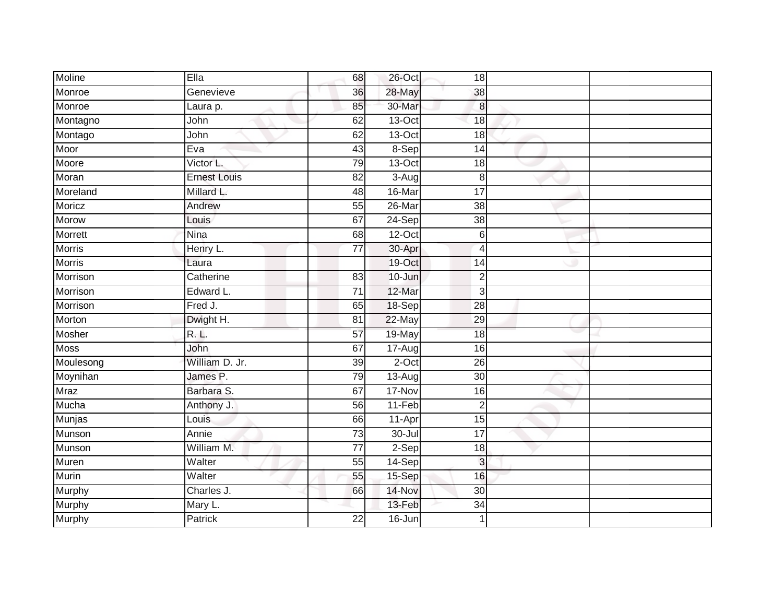| Moline        | Ella                | 68              | 26-Oct              | 18               |  |
|---------------|---------------------|-----------------|---------------------|------------------|--|
| Monroe        | Genevieve           | 36              | 28-May              | $\frac{3}{2}$    |  |
| Monroe        | Laura p.            | 85              | 30-Mar              | $\infty$         |  |
| Montagno      | John                | 62              | 13-Oct              | 18               |  |
| Montago       | John                | 62              | $13-Oct$            | 18               |  |
| Moor          | Eva                 | 43              | 8-Sep               | 14               |  |
| Moore         | Victor L.           | 79              | $13-Oct$            | 18               |  |
| Moran         | <b>Ernest Louis</b> | 82              | $\overline{3}$ -Aug | $\,8\,$          |  |
| Moreland      | Millard L.          | 48              | 16-Mar              | $\overline{17}$  |  |
| Moricz        | Andrew              | 55              | 26-Mar              | $\overline{38}$  |  |
| <b>Morow</b>  | Louis               | 67              | $24-Sep$            | $\overline{38}$  |  |
| Morrett       | Nina                | 68              | $12-Oct$            | $6 \overline{6}$ |  |
| <b>Morris</b> | Henry L.            | 77              | 30-Apr              | $\overline{4}$   |  |
| <b>Morris</b> | Laura               |                 | 19-Oct              | 14               |  |
| Morrison      | Catherine           | 83              | 10-Jun              | $\overline{2}$   |  |
| Morrison      | Edward L.           | 71              | 12-Mar              | $\mathbf{3}$     |  |
| Morrison      | Fred J.             | 65              | 18-Sep              | $\overline{28}$  |  |
| Morton        | Dwight H.           | 81              | 22-May              | $\overline{29}$  |  |
| Mosher        | R.L.                | 57              | 19-May              | $\overline{18}$  |  |
| <b>Moss</b>   | John                | 67              | $17-Aug$            | 16               |  |
| Moulesong     | William D. Jr.      | 39              | $2$ -Oct            | $\overline{26}$  |  |
| Moynihan      | James P.            | 79              | 13-Aug              | 30               |  |
| <b>Mraz</b>   | Barbara S.          | 67              | 17-Nov              | $\overline{16}$  |  |
| Mucha         | Anthony J.          | 56              | 11-Feb              | $\overline{2}$   |  |
| Munjas        | Louis               | 66              | 11-Apr              | 15               |  |
| Munson        | Annie               | 73              | 30-Jul              | $\overline{17}$  |  |
| Munson        | William M.          | $\overline{77}$ | $2-Sep$             | 18               |  |
| Muren         | Walter              | 55              | $14-Sep$            | $\mathbf{3}$     |  |
| Murin         | Walter              | 55              | 15-Sep              | 16               |  |
| Murphy        | Charles J.          | 66              | 14-Nov              | 30               |  |
| Murphy        | Mary L.             |                 | 13-Feb              | $\overline{34}$  |  |
| Murphy        | Patrick             | $\overline{22}$ | $16 - Jun$          | $\mathbf{1}$     |  |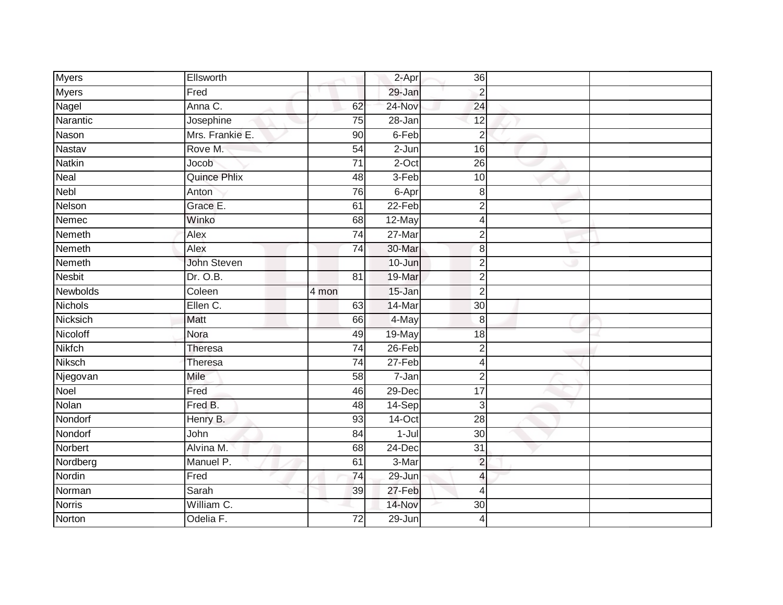| <b>Myers</b>   | Ellsworth           |                 | 2-Apr      | 36              |  |
|----------------|---------------------|-----------------|------------|-----------------|--|
| <b>Myers</b>   | Fred                |                 | 29-Jan     | $\overline{2}$  |  |
| Nagel          | Anna C.             | 62              | 24-Nov     | 24              |  |
| Narantic       | Josephine           | 75              | 28-Jan     | 12              |  |
| Nason          | Mrs. Frankie E.     | $\overline{90}$ | 6-Feb      | $\overline{2}$  |  |
| Nastav         | Rove M.             | $\overline{54}$ | $2-Jun$    | 16              |  |
| <b>Natkin</b>  | Jocob               | $\overline{71}$ | $2$ -Oct   | 26              |  |
| Neal           | <b>Quince Phlix</b> | 48              | $3-Feb$    | 10              |  |
| <b>Nebl</b>    | Anton               | 76              | 6-Apr      | 8               |  |
| Nelson         | Grace E.            | 61              | $22-Feb$   | $\overline{2}$  |  |
| Nemec          | Winko               | 68              | 12-May     | 4               |  |
| Nemeth         | Alex                | $\overline{74}$ | $27 - Mar$ | $\overline{2}$  |  |
| Nemeth         | Alex                | 74              | 30-Mar     | 8               |  |
| Nemeth         | John Steven         |                 | 10-Jun     | $\overline{2}$  |  |
| <b>Nesbit</b>  | Dr. O.B.            | $\overline{81}$ | 19-Mar     | $\overline{2}$  |  |
| Newbolds       | Coleen              | 4 mon           | 15-Jan     | $\overline{2}$  |  |
| <b>Nichols</b> | Ellen C.            | 63              | 14-Mar     | $\overline{30}$ |  |
| Nicksich       | Matt                | 66              | 4-May      | 8               |  |
| Nicoloff       | Nora                | 49              | 19-May     | 18              |  |
| <b>Nikfch</b>  | Theresa             | $\overline{74}$ | $26$ -Feb  | $\overline{2}$  |  |
| Niksch         | Theresa             | $\overline{74}$ | 27-Feb     | 4               |  |
| Njegovan       | Mile                | 58              | $7 - Jan$  | $\overline{2}$  |  |
| Noel           | Fred                | 46              | 29-Dec     | 17              |  |
| Nolan          | Fred B.             | 48              | 14-Sep     | 3               |  |
| Nondorf        | Henry B.            | 93              | 14-Oct     | $\overline{28}$ |  |
| Nondorf        | John                | $\overline{84}$ | 1-Jul      | $\overline{30}$ |  |
| <b>Norbert</b> | Alvina M.           | 68              | 24-Dec     | $\overline{31}$ |  |
| Nordberg       | Manuel P.           | 61              | 3-Mar      | $\overline{c}$  |  |
| Nordin         | Fred                | $\overline{74}$ | 29-Jun     | 4               |  |
| Norman         | Sarah               | 39              | 27-Feb     | 4               |  |
| <b>Norris</b>  | William C.          |                 | 14-Nov     | 30              |  |
| Norton         | Odelia F.           | $\overline{72}$ | 29-Jun     | 4               |  |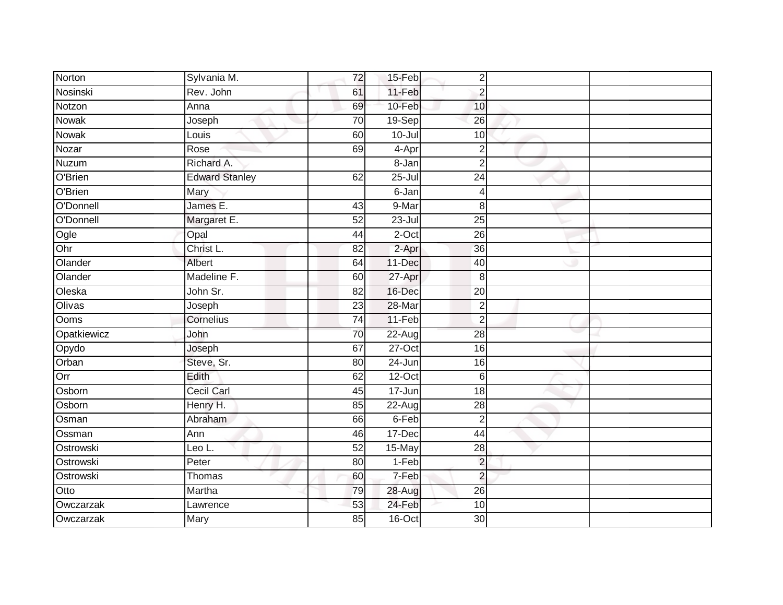| Norton      | Sylvania M.           | 72              | 15-Feb     | $\overline{2}$  |  |
|-------------|-----------------------|-----------------|------------|-----------------|--|
| Nosinski    | Rev. John             | 61              | 11-Feb     | $\overline{2}$  |  |
| Notzon      | Anna                  | 69              | 10-Feb     | 10              |  |
| Nowak       | Joseph                | 70              | 19-Sep     | 26              |  |
| Nowak       | Louis                 | 60              | $10 -$ Jul | 10              |  |
| Nozar       | Rose                  | 69              | 4-Apr      | $\overline{2}$  |  |
| Nuzum       | Richard A.            |                 | 8-Jan      | $\overline{2}$  |  |
| O'Brien     | <b>Edward Stanley</b> | 62              | $25 -$ Jul | 24              |  |
| O'Brien     | Mary                  |                 | 6-Jan      | $\overline{4}$  |  |
| O'Donnell   | James E.              | 43              | 9-Mar      | 8               |  |
| O'Donnell   | Margaret E.           | 52              | $23 -$ Jul | 25              |  |
| Ogle        | Opal                  | 44              | $2$ -Oct   | 26              |  |
| Ohr         | Christ L.             | 82              | 2-Apr      | 36              |  |
| Olander     | Albert                | 64              | 11-Dec     | 40              |  |
| Olander     | Madeline F.           | 60              | 27-Apr     | 8               |  |
| Oleska      | John Sr.              | 82              | 16-Dec     | 20              |  |
| Olivas      | Joseph                | $\overline{23}$ | 28-Mar     | $\overline{2}$  |  |
| Ooms        | Cornelius             | $\overline{74}$ | 11-Feb     | $\overline{2}$  |  |
| Opatkiewicz | John                  | 70              | $22$ -Aug  | 28              |  |
| Opydo       | Joseph                | 67              | $27-Oct$   | 16              |  |
| Orban       | Steve, Sr.            | 80              | 24-Jun     | 16              |  |
| Orr         | Edith                 | 62              | $12-Oct$   | $6\phantom{1}6$ |  |
| Osborn      | <b>Cecil Carl</b>     | 45              | 17-Jun     | 18              |  |
| Osborn      | Henry H.              | $\overline{85}$ | 22-Aug     | $\overline{28}$ |  |
| Osman       | Abraham               | 66              | 6-Feb      | $\overline{2}$  |  |
| Ossman      | Ann                   | 46              | 17-Dec     | 44              |  |
| Ostrowski   | Leo L.                | 52              | 15-May     | $\overline{28}$ |  |
| Ostrowski   | Peter                 | 80              | 1-Feb      | $\overline{2}$  |  |
| Ostrowski   | Thomas                | 60              | 7-Feb      | $\overline{c}$  |  |
| Otto        | Martha                | 79              | 28-Aug     | 26              |  |
| Owczarzak   | Lawrence              | 53              | 24-Feb     | 10              |  |
| Owczarzak   | Mary                  | $\overline{85}$ | $16$ -Oct  | $\overline{30}$ |  |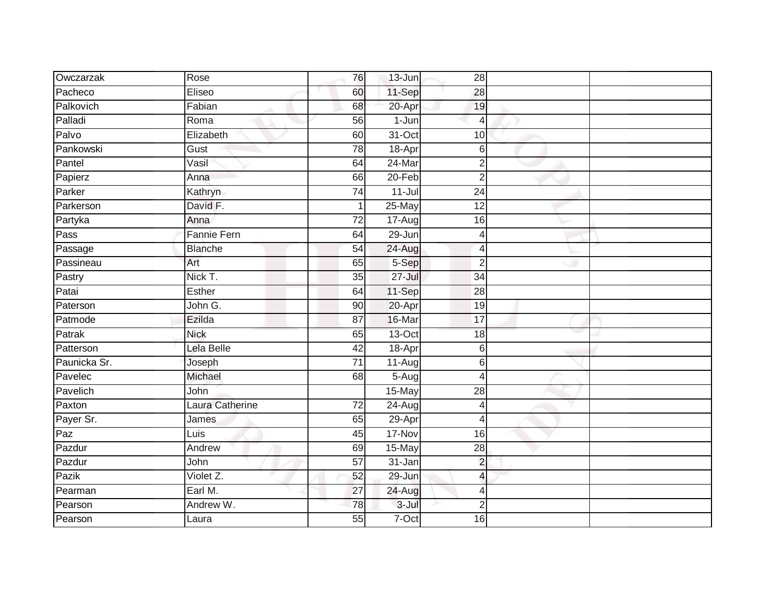| Owczarzak    | Rose               | 76              | 13-Jun     | 28                       |  |
|--------------|--------------------|-----------------|------------|--------------------------|--|
| Pacheco      | Eliseo             | 60              | 11-Sep     | 28                       |  |
| Palkovich    | Fabian             | 68              | 20-Apr     | 19                       |  |
| Palladi      | Roma               | 56              | $1-Jun$    | $\overline{4}$           |  |
| Palvo        | Elizabeth          | 60              | $31-Oct$   | 10                       |  |
| Pankowski    | Gust               | 78              | 18-Apr     | 6                        |  |
| Pantel       | Vasil              | 64              | 24-Mar     | $\overline{2}$           |  |
| Papierz      | Anna               | 66              | $20 - Feb$ | $\overline{2}$           |  |
| Parker       | Kathryn            | $\overline{74}$ | $11 -$ Jul | $\overline{24}$          |  |
| Parkerson    | David F.           |                 | 25-May     | 12                       |  |
| Partyka      | Anna               | 72              | 17-Aug     | 16                       |  |
| Pass         | <b>Fannie Fern</b> | 64              | 29-Jun     | 4                        |  |
| Passage      | <b>Blanche</b>     | 54              | $24 - Aug$ | $\overline{4}$           |  |
| Passineau    | Art                | 65              | 5-Sep      | $\overline{2}$           |  |
| Pastry       | Nick T.            | $\overline{35}$ | $27 -$ Jul | $\overline{34}$          |  |
| Patai        | Esther             | 64              | 11-Sep     | 28                       |  |
| Paterson     | John G.            | 90              | 20-Apr     | 19                       |  |
| Patmode      | Ezilda             | 87              | 16-Mar     | $\overline{17}$          |  |
| Patrak       | <b>Nick</b>        | 65              | 13-Oct     | 18                       |  |
| Patterson    | Lela Belle         | $\overline{42}$ | 18-Apr     | 6                        |  |
| Paunicka Sr. | Joseph             | $\overline{71}$ | $11-Aug$   | 6                        |  |
| Pavelec      | Michael            | 68              | $5-Aug$    | 4                        |  |
| Pavelich     | John               |                 | 15-May     | 28                       |  |
| Paxton       | Laura Catherine    | $\overline{72}$ | $24 - Aug$ | $\overline{4}$           |  |
| Payer Sr.    | James              | 65              | 29-Apr     | $\overline{4}$           |  |
| Paz          | Luis               | 45              | 17-Nov     | 16                       |  |
| Pazdur       | Andrew             | 69              | 15-May     | $\overline{28}$          |  |
| Pazdur       | John               | 57              | 31-Jan     | $\overline{2}$           |  |
| Pazik        | Violet Z.          | 52              | 29-Jun     | $\overline{\mathcal{L}}$ |  |
| Pearman      | Earl M.            | 27              | 24-Aug     | $\overline{4}$           |  |
| Pearson      | Andrew W.          | 78              | $3 -$ Jul  | $\overline{2}$           |  |
| Pearson      | Laura              | $\overline{55}$ | $7-Oct$    | 16                       |  |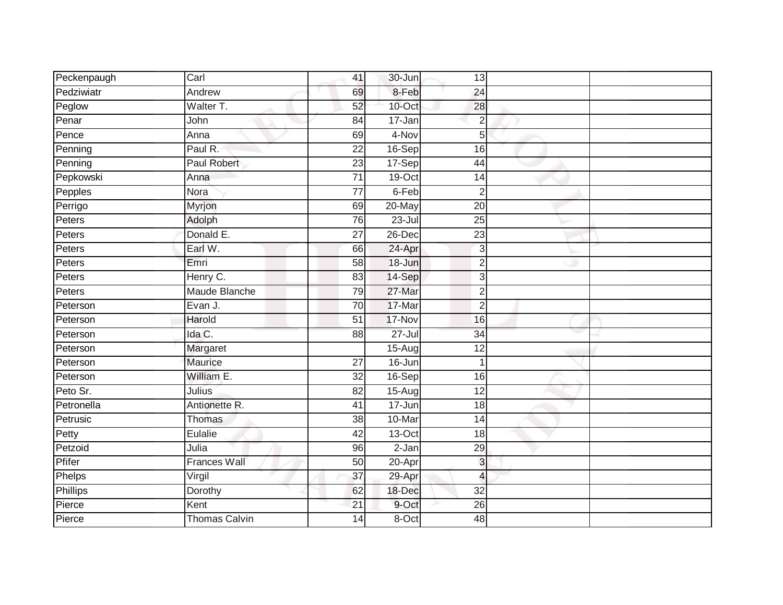| Peckenpaugh     | Carl                 | 41              | 30-Jun     | 13              |  |
|-----------------|----------------------|-----------------|------------|-----------------|--|
| Pedziwiatr      | Andrew               | 69              | 8-Feb      | $\overline{24}$ |  |
| Peglow          | Walter T.            | 52              | $10$ -Oct  | 28              |  |
| Penar           | John                 | $\overline{84}$ | 17-Jan     | $\overline{2}$  |  |
| Pence           | Anna                 | 69              | 4-Nov      | 5               |  |
| Penning         | Paul R.              | 22              | 16-Sep     | 16              |  |
| Penning         | <b>Paul Robert</b>   | 23              | $17-Sep$   | 44              |  |
| Pepkowski       | Anna                 | 71              | 19-Oct     | 14              |  |
| Pepples         | Nora                 | $\overline{77}$ | 6-Feb      | $\overline{2}$  |  |
| Perrigo         | Myrjon               | 69              | 20-May     | $\overline{20}$ |  |
| Peters          | Adolph               | 76              | $23 -$ Jul | $\overline{25}$ |  |
| Peters          | Donald E.            | $\overline{27}$ | 26-Dec     | 23              |  |
| Peters          | Earl W.              | 66              | 24-Apr     | 3               |  |
| Peters          | Emri                 | 58              | 18-Jun     | $\overline{2}$  |  |
| Peters          | Henry C.             | 83              | 14-Sep     | 3               |  |
| Peters          | Maude Blanche        | 79              | 27-Mar     | $\overline{2}$  |  |
| Peterson        | Evan J.              | 70              | 17-Mar     | $\overline{2}$  |  |
| Peterson        | Harold               | 51              | 17-Nov     | 16              |  |
| Peterson        | Ida C.               | 88              | $27 -$ Jul | 34              |  |
| Peterson        | Margaret             |                 | $15-Aug$   | $\overline{12}$ |  |
| Peterson        | Maurice              | 27              | 16-Jun     | 1               |  |
| Peterson        | William E.           | $\overline{32}$ | $16-Sep$   | 16              |  |
| Peto Sr.        | Julius               | 82              | 15-Aug     | 12              |  |
| Petronella      | Antionette R.        | 41              | 17-Jun     | 18              |  |
| Petrusic        | Thomas               | 38              | 10-Mar     | 14              |  |
| Petty           | Eulalie              | $\overline{42}$ | $13-Oct$   | $\overline{18}$ |  |
| Petzoid         | Julia                | 96              | $2-Jan$    | 29              |  |
| Pfifer          | <b>Frances Wall</b>  | 50              | 20-Apr     | 3               |  |
| Phelps          | Virgil               | 37              | 29-Apr     | $\overline{4}$  |  |
| <b>Phillips</b> | Dorothy              | 62              | 18-Dec     | $\overline{32}$ |  |
| Pierce          | Kent                 | 21              | 9-Oct      | 26              |  |
| Pierce          | <b>Thomas Calvin</b> | 14              | 8-Oct      | 48              |  |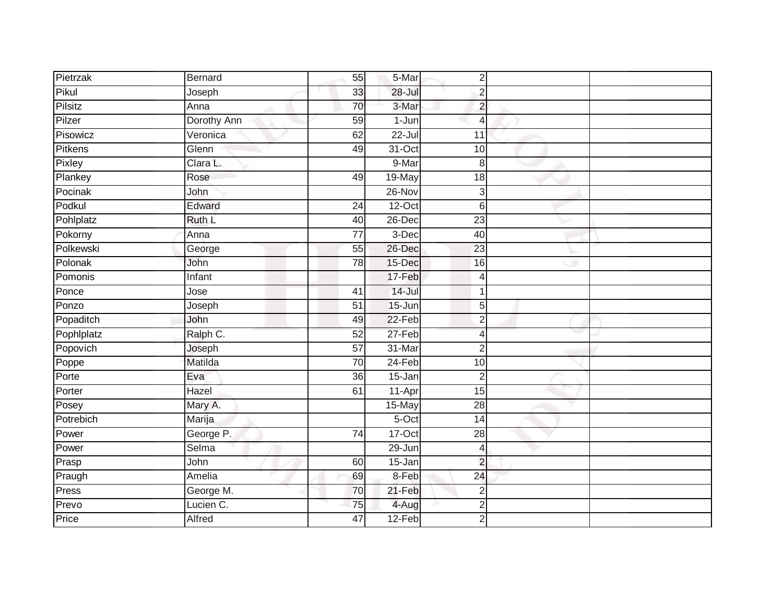| Pietrzak   | Bernard     | 55              | 5-Mar      | $\overline{2}$  |  |
|------------|-------------|-----------------|------------|-----------------|--|
| Pikul      | Joseph      | 33              | $28 -$ Jul | $\overline{c}$  |  |
| Pilsitz    | Anna        | 70              | 3-Mar      | $\overline{2}$  |  |
| Pilzer     | Dorothy Ann | 59              | $1-Jun$    | 4               |  |
| Pisowicz   | Veronica    | 62              | $22 -$ Jul | 11              |  |
| Pitkens    | Glenn       | 49              | 31-Oct     | 10              |  |
| Pixley     | Clara L.    |                 | 9-Mar      | 8               |  |
| Plankey    | Rose        | 49              | 19-May     | 18              |  |
| Pocinak    | John        |                 | 26-Nov     | 3               |  |
| Podkul     | Edward      | $\overline{24}$ | $12-Oct$   | 6               |  |
| Pohlplatz  | Ruth L      | 40              | 26-Dec     | $\overline{23}$ |  |
| Pokorny    | Anna        | $\overline{77}$ | $3-Dec$    | $\overline{40}$ |  |
| Polkewski  | George      | 55              | $26$ -Dec  | 23              |  |
| Polonak    | John        | 78              | 15-Dec     | 16              |  |
| Pomonis    | Infant      |                 | 17-Feb     | 4               |  |
| Ponce      | Jose        | 41              | $14 -$ Jul | 1               |  |
| Ponzo      | Joseph      | $\overline{51}$ | 15-Jun     | 5               |  |
| Popaditch  | John        | 49              | $22-Feb$   | $\overline{2}$  |  |
| Pophlplatz | Ralph C.    | 52              | 27-Feb     | 4               |  |
| Popovich   | Joseph      | $\overline{57}$ | 31-Mar     | $\overline{2}$  |  |
| Poppe      | Matilda     | 70              | 24-Feb     | 10              |  |
| Porte      | Eva         | 36              | $15 - Jan$ | $\overline{2}$  |  |
| Porter     | Hazel       | 61              | 11-Apr     | 15              |  |
| Posey      | Mary A.     |                 | 15-May     | $\overline{28}$ |  |
| Potrebich  | Marija      |                 | 5-Oct      | 14              |  |
| Power      | George P.   | $\overline{74}$ | $17-Oct$   | $\overline{28}$ |  |
| Power      | Selma       |                 | 29-Jun     | 4               |  |
| Prasp      | John        | 60              | 15-Jan     | $\overline{c}$  |  |
| Praugh     | Amelia      | 69              | 8-Feb      | 24              |  |
| Press      | George M.   | 70              | $21-Feb$   | $\overline{2}$  |  |
| Prevo      | Lucien C.   | 75              | 4-Aug      | 2               |  |
| Price      | Alfred      | $\overline{47}$ | 12-Feb     | $\overline{2}$  |  |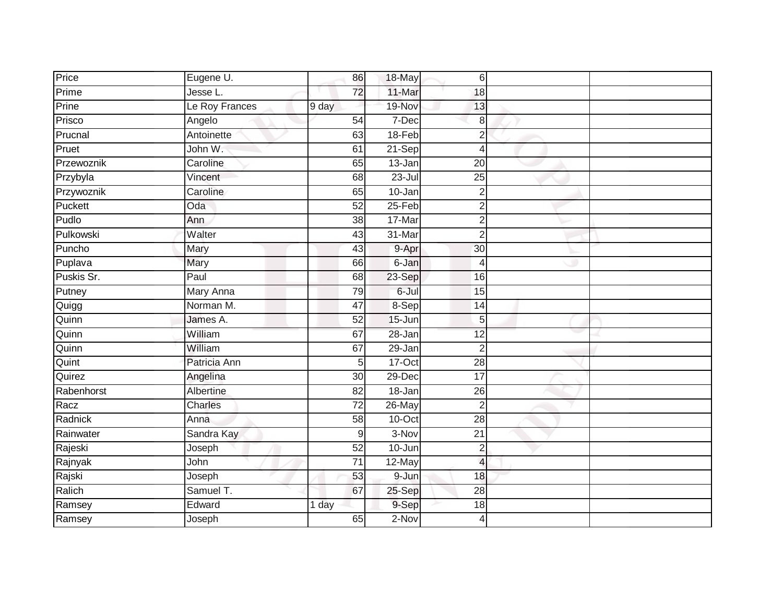| Price      | Eugene U.      | 86              | 18-May     | 6                        |  |
|------------|----------------|-----------------|------------|--------------------------|--|
| Prime      | Jesse L.       | $\overline{72}$ | 11-Mar     | 18                       |  |
| Prine      | Le Roy Frances | 9 day           | 19-Nov     | 13                       |  |
| Prisco     | Angelo         | 54              | 7-Dec      | 8                        |  |
| Prucnal    | Antoinette     | 63              | $18-Feb$   | $\overline{2}$           |  |
| Pruet      | John W.        | 61              | 21-Sep     | $\overline{4}$           |  |
| Przewoznik | Caroline       | 65              | 13-Jan     | $\overline{20}$          |  |
| Przybyla   | Vincent        | 68              | $23 -$ Jul | 25                       |  |
| Przywoznik | Caroline       | 65              | 10-Jan     | $\overline{2}$           |  |
| Puckett    | Oda            | 52              | $25-Feb$   | $\overline{2}$           |  |
| Pudlo      | Ann            | 38              | 17-Mar     | $\overline{c}$           |  |
| Pulkowski  | Walter         | 43              | 31-Mar     | $\overline{2}$           |  |
| Puncho     | Mary           | 43              | 9-Apr      | 30                       |  |
| Puplava    | Mary           | 66              | 6-Jan      | $\overline{4}$           |  |
| Puskis Sr. | Paul           | 68              | 23-Sep     | 16                       |  |
| Putney     | Mary Anna      | 79              | $6 -$ Jul  | 15                       |  |
| Quigg      | Norman M.      | 47              | 8-Sep      | 14                       |  |
| Quinn      | James A.       | 52              | 15-Jun     | 5                        |  |
| Quinn      | William        | 67              | 28-Jan     | 12                       |  |
| Quinn      | William        | 67              | $29 - Jan$ | $\overline{2}$           |  |
| Quint      | Patricia Ann   | 5               | $17-Oct$   | 28                       |  |
| Quirez     | Angelina       | $\overline{30}$ | $29-Dec$   | 17                       |  |
| Rabenhorst | Albertine      | 82              | 18-Jan     | 26                       |  |
| Racz       | Charles        | $\overline{72}$ | 26-May     | $\overline{2}$           |  |
| Radnick    | Anna           | 58              | 10-Oct     | 28                       |  |
| Rainwater  | Sandra Kay     | 9               | 3-Nov      | 21                       |  |
| Rajeski    | Joseph         | 52              | $10 - Jun$ | $\mathbf 2$              |  |
| Rajnyak    | John           | $\overline{71}$ | 12-May     | $\overline{\mathcal{L}}$ |  |
| Rajski     | Joseph         | 53              | 9-Jun      | 18                       |  |
| Ralich     | Samuel T.      | 67              | 25-Sep     | 28                       |  |
| Ramsey     | Edward         | 1 day           | 9-Sep      | 18                       |  |
| Ramsey     | Joseph         | 65              | $2-Nov$    | $\overline{4}$           |  |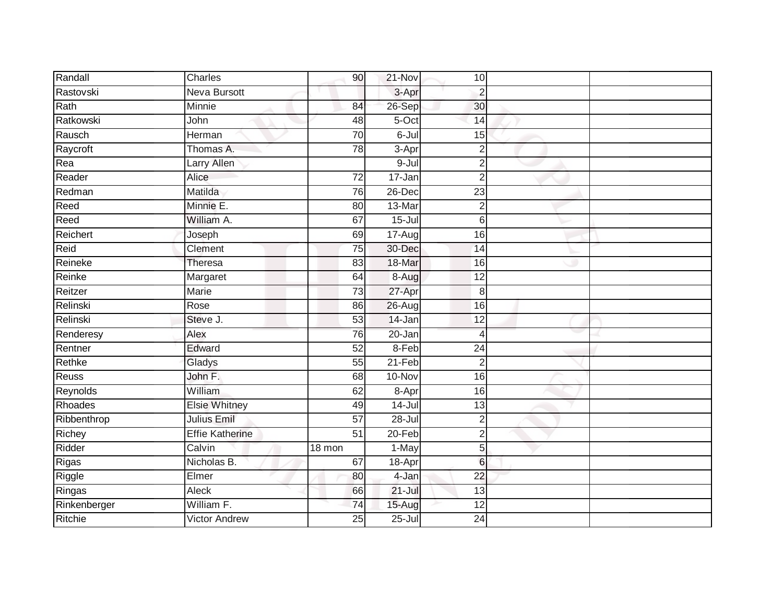| Randall      | Charles                | 90              | 21-Nov     | 10              |  |
|--------------|------------------------|-----------------|------------|-----------------|--|
| Rastovski    | <b>Neva Bursott</b>    |                 | 3-Apr      | $\overline{2}$  |  |
| Rath         | Minnie                 | 84              | 26-Sep     | 30              |  |
| Ratkowski    | John                   | 48              | 5-Oct      | 14              |  |
| Rausch       | Herman                 | 70              | $6 -$ Jul  | 15              |  |
| Raycroft     | Thomas A.              | 78              | 3-Apr      | $\overline{2}$  |  |
| Rea          | <b>Larry Allen</b>     |                 | 9-Jul      | $\overline{2}$  |  |
| Reader       | Alice                  | 72              | 17-Jan     | $\overline{2}$  |  |
| Redman       | Matilda                | 76              | 26-Dec     | 23              |  |
| Reed         | Minnie E.              | 80              | 13-Mar     | $\mathbf 2$     |  |
| Reed         | William A.             | 67              | $15 -$ Jul | 6               |  |
| Reichert     | Joseph                 | 69              | 17-Aug     | 16              |  |
| Reid         | Clement                | 75              | 30-Dec     | 14              |  |
| Reineke      | Theresa                | 83              | 18-Mar     | 16              |  |
| Reinke       | Margaret               | 64              | 8-Aug      | $\overline{12}$ |  |
| Reitzer      | <b>Marie</b>           | $\overline{73}$ | 27-Apr     | 8               |  |
| Relinski     | Rose                   | 86              | 26-Aug     | 16              |  |
| Relinski     | Steve J.               | 53              | $14$ -Jan  | 12              |  |
| Renderesy    | Alex                   | 76              | 20-Jan     | 4               |  |
| Rentner      | Edward                 | 52              | 8-Feb      | $\overline{24}$ |  |
| Rethke       | Gladys                 | 55              | 21-Feb     | $\overline{2}$  |  |
| Reuss        | John F.                | 68              | 10-Nov     | 16              |  |
| Reynolds     | William                | 62              | 8-Apr      | 16              |  |
| Rhoades      | <b>Elsie Whitney</b>   | 49              | $14 -$ Jul | 13              |  |
| Ribbenthrop  | <b>Julius Emil</b>     | 57              | 28-Jul     | $\overline{2}$  |  |
| Richey       | <b>Effie Katherine</b> | $\overline{51}$ | 20-Feb     | $\overline{2}$  |  |
| Ridder       | Calvin                 | 18 mon          | 1-May      | 5               |  |
| Rigas        | Nicholas B.            | 67              | 18-Apr     | $6\phantom{1}$  |  |
| Riggle       | Elmer                  | 80              | 4-Jan      | 22              |  |
| Ringas       | Aleck                  | 66              | $21 -$ Jul | 13              |  |
| Rinkenberger | William F.             | 74              | 15-Aug     | 12              |  |
| Ritchie      | <b>Victor Andrew</b>   | 25              | $25 -$ Jul | 24              |  |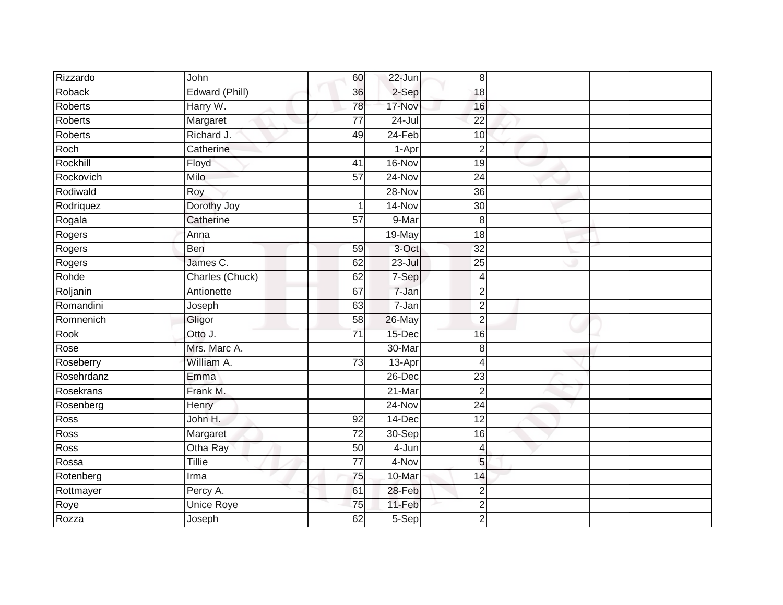| Rizzardo       | John              | 60              | 22-Jun     | $\,8\,$         |  |
|----------------|-------------------|-----------------|------------|-----------------|--|
| Roback         | Edward (Phill)    | 36              | 2-Sep      | 18              |  |
| Roberts        | Harry W.          | 78              | 17-Nov     | 16              |  |
| Roberts        | Margaret          | $\overline{77}$ | $24 -$ Jul | $\overline{22}$ |  |
| <b>Roberts</b> | Richard J.        | 49              | $24$ -Feb  | 10              |  |
| Roch           | Catherine         |                 | 1-Apr      | $\overline{2}$  |  |
| Rockhill       | Floyd             | 41              | 16-Nov     | 19              |  |
| Rockovich      | Milo              | 57              | 24-Nov     | 24              |  |
| Rodiwald       | Roy               |                 | 28-Nov     | 36              |  |
| Rodriquez      | Dorothy Joy       | $\mathbf{1}$    | 14-Nov     | $\overline{30}$ |  |
| Rogala         | Catherine         | 57              | 9-Mar      | 8               |  |
| Rogers         | Anna              |                 | 19-May     | 18              |  |
| Rogers         | Ben               | 59              | 3-Oct      | 32              |  |
| Rogers         | James C.          | 62              | $23 -$ Jul | 25              |  |
| Rohde          | Charles (Chuck)   | 62              | 7-Sep      | $\overline{4}$  |  |
| Roljanin       | Antionette        | 67              | $7 - Jan$  | $\overline{2}$  |  |
| Romandini      | Joseph            | 63              | 7-Jan      | $\overline{2}$  |  |
| Romnenich      | Gligor            | 58              | 26-May     | $\overline{2}$  |  |
| Rook           | Otto J.           | 71              | 15-Dec     | 16              |  |
| Rose           | Mrs. Marc A.      |                 | 30-Mar     | 8               |  |
| Roseberry      | William A.        | 73              | $13-Apr$   | Δ               |  |
| Rosehrdanz     | Emma              |                 | $26$ -Dec  | $\overline{23}$ |  |
| Rosekrans      | Frank M.          |                 | 21-Mar     | $\overline{2}$  |  |
| Rosenberg      | Henry             |                 | 24-Nov     | 24              |  |
| Ross           | John H.           | 92              | 14-Dec     | 12              |  |
| Ross           | Margaret          | $\overline{72}$ | 30-Sep     | 16              |  |
| Ross           | Otha Ray          | 50              | 4-Jun      | 4               |  |
| Rossa          | <b>Tillie</b>     | 77              | 4-Nov      | 5               |  |
| Rotenberg      | Irma              | 75              | 10-Mar     | 14              |  |
| Rottmayer      | Percy A.          | 61              | 28-Feb     | $\overline{2}$  |  |
| Roye           | <b>Unice Roye</b> | 75              | 11-Feb     | $\overline{c}$  |  |
| Rozza          | Joseph            | 62              | $5-Sep$    | $\overline{2}$  |  |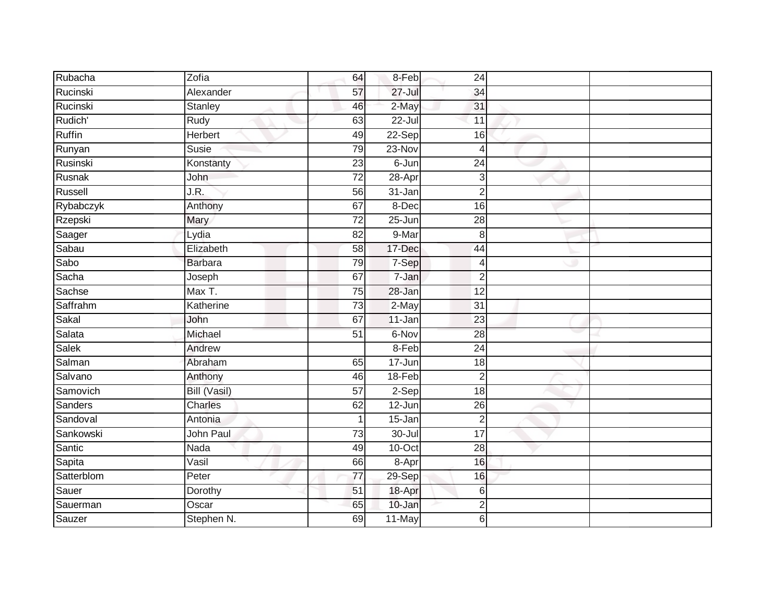| Rubacha    | Zofia          | 64              | 8-Feb      | 24              |  |
|------------|----------------|-----------------|------------|-----------------|--|
| Rucinski   | Alexander      | 57              | $27 -$ Jul | 34              |  |
| Rucinski   | <b>Stanley</b> | 46              | 2-May      | 31              |  |
| Rudich'    | Rudy           | 63              | 22-Jul     | 11              |  |
| Ruffin     | Herbert        | 49              | 22-Sep     | 16              |  |
| Runyan     | Susie          | 79              | 23-Nov     | 4               |  |
| Rusinski   | Konstanty      | 23              | 6-Jun      | $\overline{24}$ |  |
| Rusnak     | John           | 72              | 28-Apr     | 3               |  |
| Russell    | J.R.           | 56              | $31 - Jan$ | $\overline{2}$  |  |
| Rybabczyk  | Anthony        | 67              | 8-Dec      | 16              |  |
| Rzepski    | Mary           | $\overline{72}$ | $25 - Jun$ | $\overline{28}$ |  |
| Saager     | Lydia          | 82              | 9-Mar      | $\,8\,$         |  |
| Sabau      | Elizabeth      | 58              | 17-Dec     | 44              |  |
| Sabo       | <b>Barbara</b> | 79              | 7-Sep      | 4               |  |
| Sacha      | Joseph         | 67              | 7-Jan      | $\overline{2}$  |  |
| Sachse     | Max T.         | 75              | 28-Jan     | 12              |  |
| Saffrahm   | Katherine      | 73              | 2-May      | $\overline{31}$ |  |
| Sakal      | John           | 67              | 11-Jan     | 23              |  |
| Salata     | Michael        | 51              | 6-Nov      | 28              |  |
| Salek      | Andrew         |                 | $8-Feb$    | 24              |  |
| Salman     | Abraham        | 65              | 17-Jun     | 18              |  |
| Salvano    | Anthony        | 46              | $18-Feb$   | $\overline{2}$  |  |
| Samovich   | Bill (Vasil)   | 57              | $2-Sep$    | 18              |  |
| Sanders    | Charles        | 62              | $12$ -Jun  | 26              |  |
| Sandoval   | Antonia        | $\mathbf{1}$    | 15-Jan     | $\overline{2}$  |  |
| Sankowski  | John Paul      | $\overline{73}$ | 30-Jul     | $\overline{17}$ |  |
| Santic     | Nada           | 49              | 10-Oct     | $\overline{28}$ |  |
| Sapita     | Vasil          | 66              | 8-Apr      | 16              |  |
| Satterblom | Peter          | $\overline{77}$ | 29-Sep     | 16              |  |
| Sauer      | Dorothy        | 51              | 18-Apr     | 6               |  |
| Sauerman   | Oscar          | 65              | 10-Jan     | 2               |  |
| Sauzer     | Stephen N.     | 69              | 11-May     | 6               |  |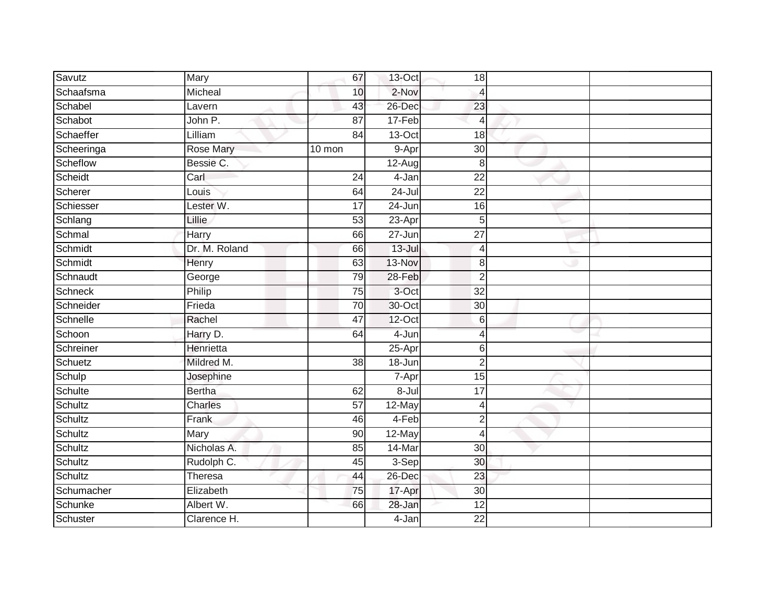| Savutz     | <b>Mary</b>   | 67              | 13-Oct              | 18              |  |
|------------|---------------|-----------------|---------------------|-----------------|--|
| Schaafsma  | Micheal       | 10              | 2-Nov               | 4               |  |
| Schabel    | Lavern        | 43              | 26-Dec              | 23              |  |
| Schabot    | John P.       | $\overline{87}$ | 17-Feb              | 4               |  |
| Schaeffer  | Lilliam       | 84              | $13-Oct$            | 18              |  |
| Scheeringa | Rose Mary     | 10 mon          | 9-Apr               | 30              |  |
| Scheflow   | Bessie C.     |                 | 12-Aug              | 8               |  |
| Scheidt    | Carl          | 24              | 4-Jan               | 22              |  |
| Scherer    | Louis         | 64              | 24-Jul              | $\overline{22}$ |  |
| Schiesser  | Lester W.     | $\overline{17}$ | $24 - Jun$          | 16              |  |
| Schlang    | Lillie        | 53              | $23$ -Apr           | 5               |  |
| Schmal     | Harry         | 66              | 27-Jun              | 27              |  |
| Schmidt    | Dr. M. Roland | 66              | $13 -$ Jul          | 4               |  |
| Schmidt    | Henry         | 63              | 13-Nov              | 8               |  |
| Schnaudt   | George        | 79              | 28-Feb              | $\overline{2}$  |  |
| Schneck    | Philip        | $\overline{75}$ | 3-Oct               | 32              |  |
| Schneider  | Frieda        | 70              | 30-Oct              | 30              |  |
| Schnelle   | Rachel        | 47              | 12-Oct              | 6               |  |
| Schoon     | Harry D.      | 64              | 4-Jun               | 4               |  |
| Schreiner  | Henrietta     |                 | 25-Apr              | 6               |  |
| Schuetz    | Mildred M.    | 38              | 18-Jun              | $\overline{2}$  |  |
| Schulp     | Josephine     |                 | 7-Apr               | $\overline{15}$ |  |
| Schulte    | <b>Bertha</b> | 62              | 8-Jul               | 17              |  |
| Schultz    | Charles       | $\overline{57}$ | 12-May              | 4               |  |
| Schultz    | $F$ rank      | 46              | 4-Feb               | $\overline{2}$  |  |
| Schultz    | Mary          | 90              | 12-May              | 4               |  |
| Schultz    | Nicholas A.   | 85              | 14-Mar              | 30              |  |
| Schultz    | Rudolph C.    | 45              | 3-Sep               | 30              |  |
| Schultz    | Theresa       | 44              | 26-Dec              | 23              |  |
| Schumacher | Elizabeth     | 75              | 17-Apr              | 30              |  |
| Schunke    | Albert W.     | 66              | 28-Jan              | 12              |  |
| Schuster   | Clarence H.   |                 | $\overline{4}$ -Jan | 22              |  |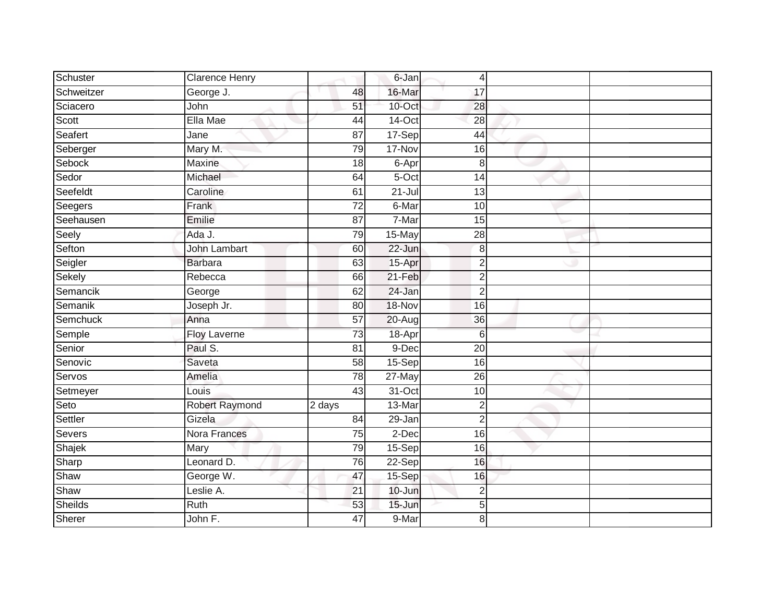| Schuster       | <b>Clarence Henry</b> |                 | 6-Jan      | 4               |  |
|----------------|-----------------------|-----------------|------------|-----------------|--|
| Schweitzer     | George J.             | 48              | 16-Mar     | 17              |  |
| Sciacero       | John                  | 51              | $10$ -Oct  | 28              |  |
| Scott          | Ella Mae              | 44              | $14$ -Oct  | 28              |  |
| Seafert        | Jane                  | $\overline{87}$ | 17-Sep     | 44              |  |
| Seberger       | Mary M.               | 79              | 17-Nov     | 16              |  |
| Sebock         | Maxine                | 18              | 6-Apr      | $\,8\,$         |  |
| Sedor          | Michael               | 64              | 5-Oct      | 14              |  |
| Seefeldt       | Caroline              | 61              | $21 -$ Jul | 13              |  |
| Seegers        | Frank                 | $\overline{72}$ | 6-Mar      | 10              |  |
| Seehausen      | Emilie                | $\overline{87}$ | 7-Mar      | 15              |  |
| Seely          | Ada J.                | 79              | 15-May     | 28              |  |
| Sefton         | <b>John Lambart</b>   | 60              | $22 - Jun$ | 8               |  |
| Seigler        | <b>Barbara</b>        | 63              | 15-Apr     | $\overline{2}$  |  |
| Sekely         | Rebecca               | 66              | $21-Feb$   | $\overline{2}$  |  |
| Semancik       | George                | 62              | 24-Jan     | $\overline{2}$  |  |
| Semanik        | Joseph Jr.            | 80              | 18-Nov     | 16              |  |
| Semchuck       | Anna                  | 57              | 20-Aug     | 36              |  |
| Semple         | Floy Laverne          | 73              | 18-Apr     | 6               |  |
| Senior         | Paul S.               | $\overline{81}$ | 9-Dec      | $\overline{20}$ |  |
| Senovic        | Saveta                | 58              | 15-Sep     | 16              |  |
| Servos         | Amelia                | 78              | $27$ -May  | $\overline{26}$ |  |
| Setmeyer       | Louis                 | 43              | 31-Oct     | 10              |  |
| Seto           | Robert Raymond        | 2 days          | 13-Mar     | $\overline{2}$  |  |
| Settler        | Gizela                | 84              | 29-Jan     | $\overline{2}$  |  |
| Severs         | Nora Frances          | $\overline{75}$ | 2-Dec      | $\overline{16}$ |  |
| Shajek         | Mary                  | 79              | $15-Sep$   | 16              |  |
| Sharp          | Leonard D.            | 76              | 22-Sep     | 16              |  |
| Shaw           | George W.             | 47              | 15-Sep     | 16              |  |
| Shaw           | Leslie A.             | 21              | 10-Jun     | $\overline{2}$  |  |
| <b>Sheilds</b> | Ruth                  | 53              | 15-Jun     | 5               |  |
| Sherer         | John F.               | 47              | 9-Mar      | 8               |  |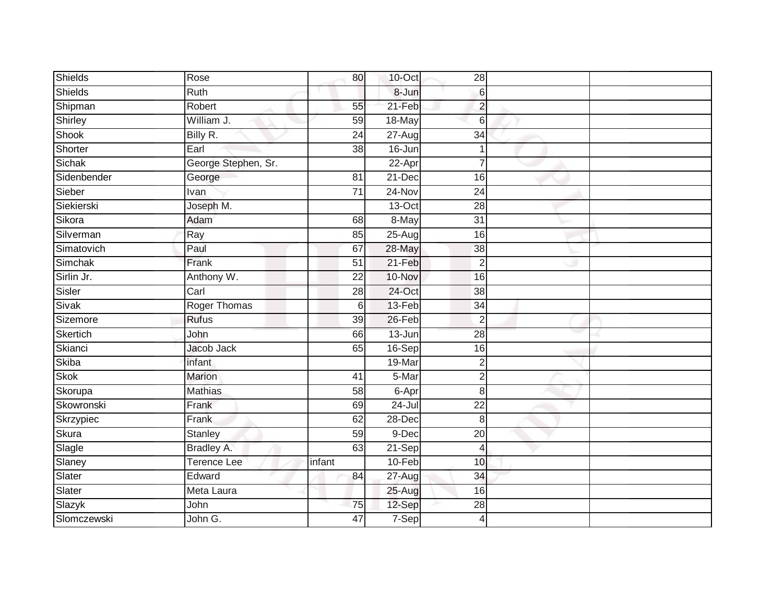| <b>Shields</b> | Rose                | 80              | 10-Oct     | 28               |  |
|----------------|---------------------|-----------------|------------|------------------|--|
| Shields        | Ruth                |                 | 8-Jun      | $6 \overline{6}$ |  |
| Shipman        | Robert              | 55              | 21-Feb     | $\overline{c}$   |  |
| Shirley        | William J.          | 59              | $18 - May$ | $6 \overline{6}$ |  |
| Shook          | Billy R.            | $\overline{24}$ | $27 - Aug$ | $\overline{34}$  |  |
| Shorter        | Earl                | 38              | 16-Jun     |                  |  |
| Sichak         | George Stephen, Sr. |                 | 22-Apr     |                  |  |
| Sidenbender    | George              | 81              | 21-Dec     | 16               |  |
| Sieber         | Ivan                | $\overline{71}$ | 24-Nov     | 24               |  |
| Siekierski     | Joseph M.           |                 | $13-Oct$   | 28               |  |
| Sikora         | Adam                | 68              | 8-May      | $\overline{31}$  |  |
| Silverman      | Ray                 | 85              | 25-Aug     | 16               |  |
| Simatovich     | Paul                | 67              | 28-May     | 38               |  |
| Simchak        | Frank               | 51              | 21-Feb     | $\overline{2}$   |  |
| Sirlin Jr.     | Anthony W.          | $\overline{22}$ | 10-Nov     | 16               |  |
| Sisler         | Carl                | 28              | 24-Oct     | 38               |  |
| Sivak          | <b>Roger Thomas</b> | 6               | 13-Feb     | 34               |  |
| Sizemore       | Rufus               | 39              | 26-Feb     | $\overline{2}$   |  |
| Skertich       | John                | 66              | $13 - Jun$ | 28               |  |
| Skianci        | Jacob Jack          | 65              | 16-Sep     | $\overline{16}$  |  |
| Skiba          | infant              |                 | 19-Mar     | $\overline{2}$   |  |
| <b>Skok</b>    | <b>Marion</b>       | $\overline{41}$ | 5-Mar      | $\overline{2}$   |  |
| Skorupa        | <b>Mathias</b>      | 58              | 6-Apr      | 8                |  |
| Skowronski     | Frank               | 69              | $24 -$ Jul | 22               |  |
| Skrzypiec      | Frank               | 62              | 28-Dec     | $\,8\,$          |  |
| Skura          | Stanley             | 59              | $9$ -Dec   | 20               |  |
| Slagle         | Bradley A.          | 63              | $21-Sep$   | 4                |  |
| Slaney         | <b>Terence Lee</b>  | infant          | $10-Feb$   | 10               |  |
| Slater         | Edward              | 84              | 27-Aug     | 34               |  |
| Slater         | Meta Laura          |                 | 25-Aug     | 16               |  |
| Slazyk         | John                | 75              | 12-Sep     | 28               |  |
| Slomczewski    | John G.             | 47              | $7-Sep$    | 4                |  |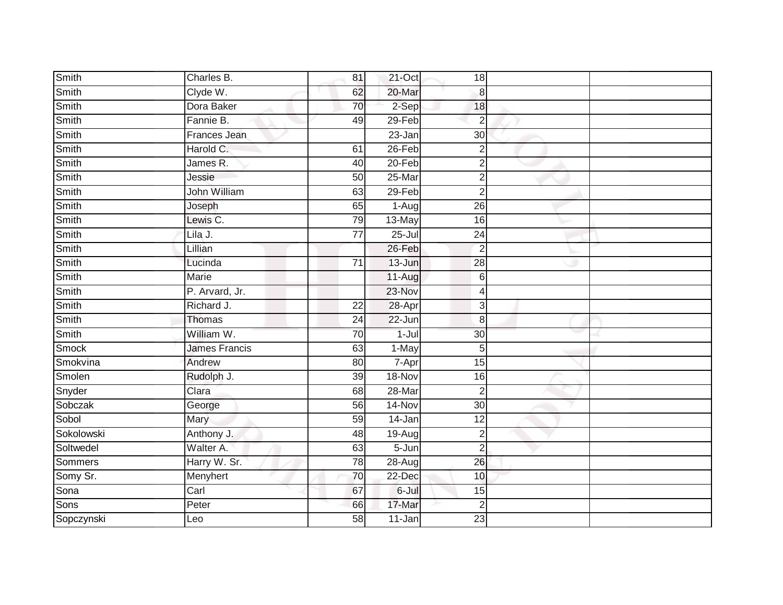| Smith        | Charles B.     | 81              | 21-Oct     | 18              |  |
|--------------|----------------|-----------------|------------|-----------------|--|
| Smith        | Clyde W.       | 62              | 20-Mar     | 8               |  |
| Smith        | Dora Baker     | 70              | 2-Sep      | 18              |  |
| Smith        | Fannie B.      | 49              | 29-Feb     | $\overline{2}$  |  |
| Smith        | Frances Jean   |                 | $23 - Jan$ | 30              |  |
| Smith        | Harold C.      | 61              | $26 - Feb$ | $\overline{2}$  |  |
| Smith        | James R.       | 40              | 20-Feb     | $\overline{2}$  |  |
| Smith        | Jessie         | 50              | $25$ -Mar  | $\overline{2}$  |  |
| Smith        | John William   | 63              | $29 - Feb$ | $\overline{2}$  |  |
| Smith        | Joseph         | 65              | $1-Aug$    | 26              |  |
| Smith        | Lewis C.       | 79              | 13-May     | 16              |  |
| Smith        | Lila J.        | 77              | $25 -$ Jul | 24              |  |
| Smith        | Lillian        |                 | 26-Feb     | $\overline{2}$  |  |
| Smith        | Lucinda        | 71              | 13-Jun     | 28              |  |
| Smith        | <b>Marie</b>   |                 | 11-Aug     | $\,$ 6          |  |
| Smith        | P. Arvard, Jr. |                 | 23-Nov     | $\overline{4}$  |  |
| Smith        | Richard J.     | $\overline{22}$ | 28-Apr     | $\mathbf{3}$    |  |
| Smith        | Thomas         | 24              | 22-Jun     | $\bf{8}$        |  |
| Smith        | William W.     | 70              | $1 -$ Jul  | 30 <sup>°</sup> |  |
| <b>Smock</b> | James Francis  | 63              | 1-May      | 5               |  |
| Smokvina     | Andrew         | 80              | 7-Apr      | 15              |  |
| Smolen       | Rudolph J.     | 39              | 18-Nov     | 16              |  |
| Snyder       | Clara          | 68              | 28-Mar     | $\overline{2}$  |  |
| Sobczak      | George         | 56              | 14-Nov     | 30 <sup>°</sup> |  |
| Sobol        | Mary           | 59              | 14-Jan     | 12              |  |
| Sokolowski   | Anthony J.     | 48              | 19-Aug     | $\overline{2}$  |  |
| Soltwedel    | Walter A.      | 63              | $5 - Jun$  | $\overline{2}$  |  |
| Sommers      | Harry W. Sr.   | $\overline{78}$ | $28 - Aug$ | 26              |  |
| Somy Sr.     | Menyhert       | 70              | 22-Dec     | 10              |  |
| Sona         | Carl           | 67              | 6-Jul      | 15              |  |
| Sons         | Peter          | 66              | 17-Mar     | $\overline{2}$  |  |
| Sopczynski   | Leo            | $\overline{58}$ | $11 - Jan$ | $\overline{23}$ |  |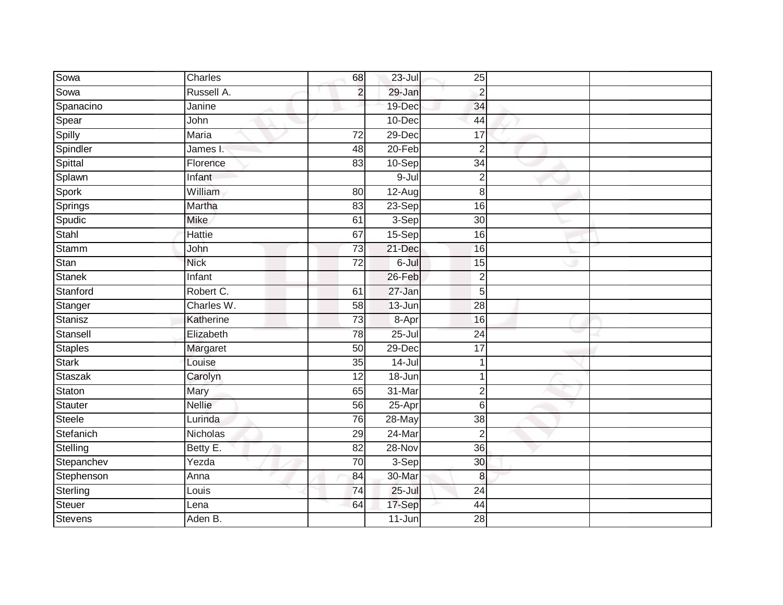| Sowa           | Charles      | 68              | $23 -$ Jul | 25              |  |
|----------------|--------------|-----------------|------------|-----------------|--|
| Sowa           | Russell A.   | $\overline{2}$  | 29-Jan     | $\overline{2}$  |  |
| Spanacino      | Janine       |                 | 19-Dec     | 34              |  |
| Spear          | John         |                 | 10-Dec     | 44              |  |
| Spilly         | <b>Maria</b> | 72              | 29-Dec     | 17              |  |
| Spindler       | James I.     | 48              | 20-Feb     | $\overline{c}$  |  |
| Spittal        | Florence     | 83              | 10-Sep     | $\overline{34}$ |  |
| Splawn         | Infant       |                 | 9-Jul      | $\overline{c}$  |  |
| Spork          | William      | 80              | 12-Aug     | 8               |  |
| Springs        | Martha       | 83              | $23-Sep$   | 16              |  |
| Spudic         | <b>Mike</b>  | 61              | 3-Sep      | 30              |  |
| Stahl          | Hattie       | 67              | 15-Sep     | 16              |  |
| <b>Stamm</b>   | John         | $\overline{73}$ | 21-Dec     | 16              |  |
| Stan           | <b>Nick</b>  | 72              | 6-Jul      | 15              |  |
| <b>Stanek</b>  | Infant       |                 | 26-Feb     | $\overline{2}$  |  |
| Stanford       | Robert C.    | 61              | $27 - Jan$ | 5               |  |
| Stanger        | Charles W.   | $\overline{58}$ | $13 - Jun$ | 28              |  |
| Stanisz        | Katherine    | 73              | 8-Apr      | 16              |  |
| Stansell       | Elizabeth    | 78              | $25 -$ Jul | 24              |  |
| Staples        | Margaret     | 50              | 29-Dec     | 17              |  |
| <b>Stark</b>   | Louise       | 35              | 14-Jul     |                 |  |
| Staszak        | Carolyn      | 12              | $18 - Jun$ |                 |  |
| Staton         | Mary         | 65              | 31-Mar     | $\overline{2}$  |  |
| Stauter        | Nellie       | 56              | $25$ -Apr  | 6               |  |
| Steele         | Lurinda      | 76              | 28-May     | 38              |  |
| Stefanich      | Nicholas     | 29              | 24-Mar     | $\overline{2}$  |  |
| Stelling       | Betty E.     | $\overline{82}$ | 28-Nov     | 36              |  |
| Stepanchev     | Yezda        | 70              | 3-Sep      | 30              |  |
| Stephenson     | Anna         | 84              | 30-Mar     | 8               |  |
| Sterling       | Louis        | 74              | $25 -$ Jul | $\overline{24}$ |  |
| Steuer         | Lena         | 64              | 17-Sep     | 44              |  |
| <b>Stevens</b> | Aden B.      |                 | 11-Jun     | 28              |  |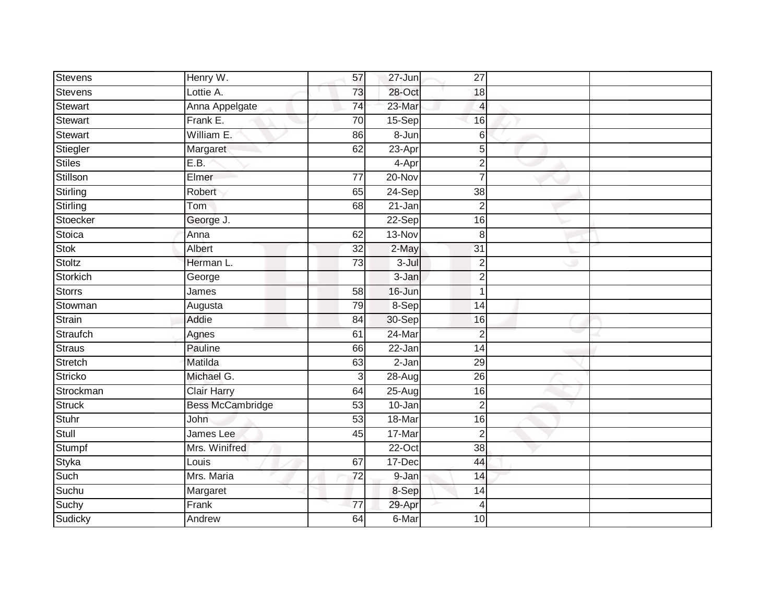| <b>Stevens</b>  | Henry W.                | 57              | 27-Jun     | 27              |  |
|-----------------|-------------------------|-----------------|------------|-----------------|--|
| Stevens         | Lottie A.               | 73              | 28-Oct     | 18              |  |
| Stewart         | Anna Appelgate          | 74              | 23-Mar     | 4               |  |
| Stewart         | Frank E.                | 70              | $15-Sep$   | 16              |  |
| <b>Stewart</b>  | William E.              | 86              | 8-Jun      | 6               |  |
| Stiegler        | Margaret                | 62              | 23-Apr     | $5\overline{)}$ |  |
| <b>Stiles</b>   | E.B.                    |                 | 4-Apr      | $\overline{2}$  |  |
| Stillson        | Elmer                   | $\overline{77}$ | $20 - Nov$ | $\overline{7}$  |  |
| <b>Stirling</b> | Robert                  | 65              | $24-Sep$   | 38              |  |
| Stirling        | Tom                     | 68              | 21-Jan     | $\overline{2}$  |  |
| Stoecker        | George J.               |                 | 22-Sep     | 16              |  |
| Stoica          | Anna                    | 62              | 13-Nov     | 8               |  |
| <b>Stok</b>     | Albert                  | 32              | 2-May      | 31              |  |
| Stoltz          | Herman L.               | 73              | $3 -$ Jul  | $\overline{2}$  |  |
| Storkich        | George                  |                 | 3-Jan      | $\overline{2}$  |  |
| <b>Storrs</b>   | James                   | 58              | 16-Jun     | $\mathbf 1$     |  |
| Stowman         | Augusta                 | 79              | 8-Sep      | $\overline{14}$ |  |
| Strain          | Addie                   | 84              | 30-Sep     | 16              |  |
| Straufch        | Agnes                   | 61              | 24-Mar     | $\overline{2}$  |  |
| Straus          | Pauline                 | 66              | $22 - Jan$ | $\overline{14}$ |  |
| Stretch         | Matilda                 | 63              | $2-Jan$    | 29              |  |
| <b>Stricko</b>  | Michael G.              | 3               | $28 - Aug$ | 26              |  |
| Strockman       | <b>Clair Harry</b>      | 64              | 25-Aug     | 16              |  |
| <b>Struck</b>   | <b>Bess McCambridge</b> | 53              | 10-Jan     | $\overline{2}$  |  |
| Stuhr           | John                    | 53              | 18-Mar     | 16              |  |
| Stull           | James Lee               | 45              | 17-Mar     | $\overline{2}$  |  |
| Stumpf          | Mrs. Winifred           |                 | $22-Oct$   | $\overline{38}$ |  |
| Styka           | Louis                   | 67              | 17-Dec     | 44              |  |
| Such            | Mrs. Maria              | 72              | 9-Jan      | 14              |  |
| Suchu           | Margaret                |                 | 8-Sep      | 14              |  |
| Suchy           | Frank                   | $\overline{77}$ | 29-Apr     | $\overline{4}$  |  |
| Sudicky         | Andrew                  | 64              | 6-Mar      | $\overline{10}$ |  |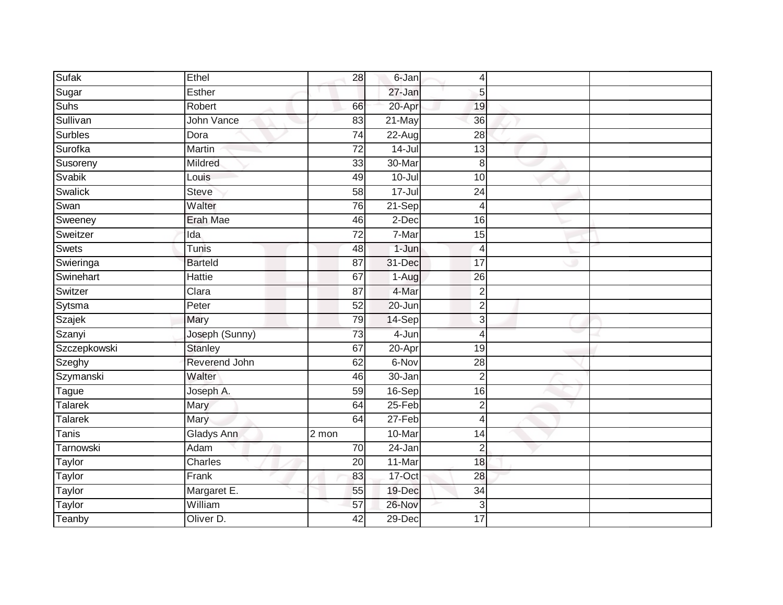| Sufak          | Ethel             | 28              | 6-Jan                 | 4               |  |
|----------------|-------------------|-----------------|-----------------------|-----------------|--|
| Sugar          | Esther            |                 | 27-Jan                | 5               |  |
| Suhs           | Robert            | 66              | 20-Apr                | 19              |  |
| Sullivan       | John Vance        | 83              | 21-May                | 36              |  |
| <b>Surbles</b> | Dora              | $\overline{74}$ | 22-Aug                | 28              |  |
| Surofka        | Martin            | $\overline{72}$ | $14 -$ Jul            | 13              |  |
| Susoreny       | Mildred           | 33              | $30 - \overline{Mar}$ | 8               |  |
| Svabik         | Louis             | 49              | $10 -$ Jul            | 10              |  |
| Swalick        | Steve             | 58              | $17 -$ Jul            | 24              |  |
| Swan           | Walter            | 76              | 21-Sep                | 4               |  |
| Sweeney        | Erah Mae          | 46              | 2-Dec                 | 16              |  |
| Sweitzer       | Ida               | $\overline{72}$ | 7-Mar                 | 15              |  |
| <b>Swets</b>   | Tunis             | 48              | $1 - Jun$             | $\overline{4}$  |  |
| Swieringa      | <b>Barteld</b>    | 87              | 31-Dec                | 17              |  |
| Swinehart      | <b>Hattie</b>     | 67              | 1-Aug                 | 26              |  |
| Switzer        | Clara             | 87              | 4-Mar                 | $\overline{2}$  |  |
| Sytsma         | Peter             | 52              | $20 - Jun$            | $\overline{c}$  |  |
| Szajek         | <b>Mary</b>       | 79              | 14-Sep                | 3               |  |
| Szanyi         | Joseph (Sunny)    | 73              | 4-Jun                 | $\overline{4}$  |  |
| Szczepkowski   | <b>Stanley</b>    | 67              | $20 - Apr$            | $\overline{19}$ |  |
| Szeghy         | Reverend John     | 62              | 6-Nov                 | 28              |  |
| Szymanski      | Walter            | 46              | 30-Jan                | $\overline{2}$  |  |
| Tague          | Joseph A.         | 59              | 16-Sep                | 16              |  |
| Talarek        | Mary              | 64              | 25-Feb                | $\overline{c}$  |  |
| Talarek        | Mary              | 64              | 27-Feb                | 4               |  |
| <b>Tanis</b>   | <b>Gladys Ann</b> | 2 mon           | 10-Mar                | 14              |  |
| Tarnowski      | Adam              | $\overline{70}$ | $24 - Jan$            | $\overline{2}$  |  |
| Taylor         | Charles           | 20              | 11-Mar                | 18              |  |
| Taylor         | Frank             | 83              | 17-Oct                | 28              |  |
| Taylor         | Margaret E.       | 55              | 19-Dec                | 34              |  |
| Taylor         | William           | $\overline{57}$ | 26-Nov                | 3               |  |
| Teanby         | Oliver D.         | $\overline{42}$ | $29$ -Dec             | 17              |  |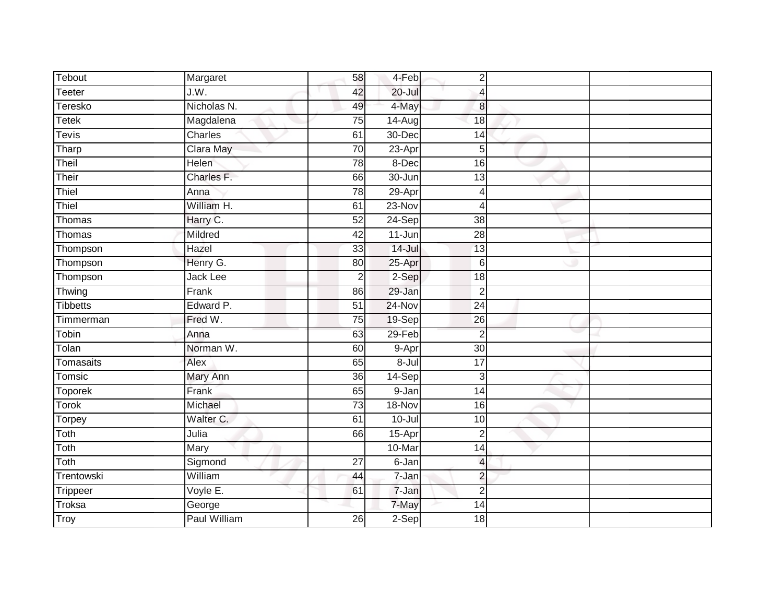| Tebout          | Margaret        | 58              | 4-Feb      | $\overline{2}$           |  |
|-----------------|-----------------|-----------------|------------|--------------------------|--|
| <b>Teeter</b>   | J.W.            | 42              | $20 -$ Jul | 4                        |  |
| Teresko         | Nicholas N.     | 49              | 4-May      | $\boldsymbol{8}$         |  |
| <b>Tetek</b>    | Magdalena       | $\overline{75}$ | $14 - Aug$ | $\overline{18}$          |  |
| <b>Tevis</b>    | Charles         | 61              | 30-Dec     | 14                       |  |
| Tharp           | Clara May       | 70              | $23-Apr$   | $5\overline{)}$          |  |
| Theil           | Helen           | 78              | 8-Dec      | 16                       |  |
| Their           | Charles F.      | 66              | $30 - Jun$ | 13                       |  |
| Thiel           | Anna            | 78              | 29-Apr     | 4                        |  |
| Thiel           | William H.      | 61              | $23-Nov$   | 4                        |  |
| Thomas          | Harry C.        | $\overline{52}$ | 24-Sep     | $\overline{38}$          |  |
| Thomas          | Mildred         | 42              | 11-Jun     | $\overline{28}$          |  |
| Thompson        | Hazel           | 33              | 14-Jul     | $\overline{13}$          |  |
| Thompson        | Henry G.        | 80              | 25-Apr     | 6                        |  |
| Thompson        | <b>Jack Lee</b> | $\sqrt{2}$      | $2-Sep$    | $\overline{18}$          |  |
| Thwing          | Frank           | 86              | 29-Jan     | $\overline{2}$           |  |
| <b>Tibbetts</b> | Edward P.       | $\overline{51}$ | $24-Nov$   | $\overline{24}$          |  |
| Timmerman       | Fred W.         | 75              | 19-Sep     | 26                       |  |
| Tobin           | Anna            | 63              | 29-Feb     | $\overline{2}$           |  |
| Tolan           | Norman W.       | 60              | 9-Apr      | $\overline{30}$          |  |
| Tomasaits       | Alex            | 65              | 8-Jul      | 17                       |  |
| Tomsic          | Mary Ann        | 36              | $14-Sep$   | 3                        |  |
| <b>Toporek</b>  | Frank           | 65              | 9-Jan      | 14                       |  |
| <b>Torok</b>    | Michael         | $\overline{73}$ | 18-Nov     | 16                       |  |
| Torpey          | Walter C.       | 61              | $10 -$ Jul | 10                       |  |
| Toth            | Julia           | 66              | 15-Apr     | $\overline{2}$           |  |
| Toth            | Mary            |                 | 10-Mar     | $\overline{14}$          |  |
| Toth            | Sigmond         | 27              | 6-Jan      | $\overline{\mathcal{L}}$ |  |
| Trentowski      | William         | 44              | 7-Jan      | $\overline{c}$           |  |
| Trippeer        | Voyle E.        | 61              | 7-Jan      | $\overline{2}$           |  |
| Troksa          | George          |                 | 7-May      | 14                       |  |
| Troy            | Paul William    | 26              | $2-Sep$    | 18                       |  |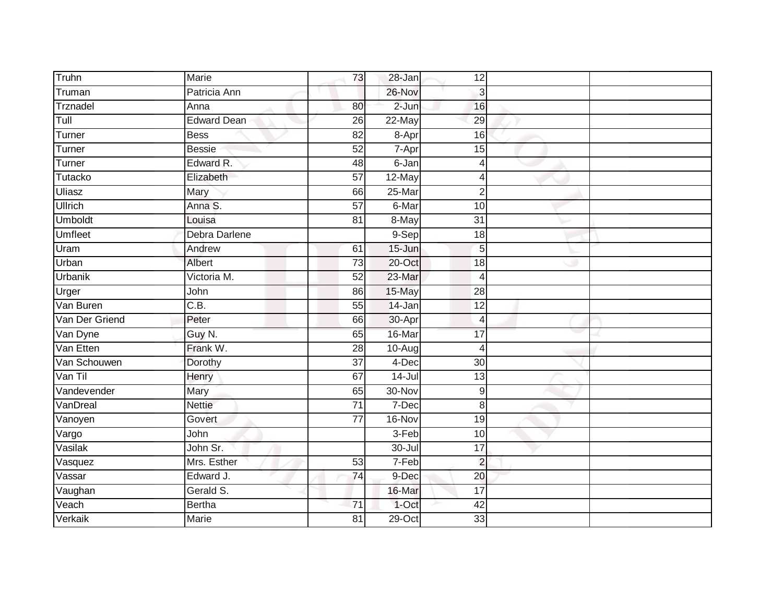| Truhn          | Marie              | 73              | 28-Jan     | 12              |  |
|----------------|--------------------|-----------------|------------|-----------------|--|
| Truman         | Patricia Ann       |                 | 26-Nov     | $\mathbf{3}$    |  |
| Trznadel       | Anna               | 80              | $2-Jun$    | 16              |  |
| Tull           | <b>Edward Dean</b> | 26              | 22-May     | 29              |  |
| Turner         | <b>Bess</b>        | $\overline{82}$ | 8-Apr      | 16              |  |
| Turner         | <b>Bessie</b>      | 52              | 7-Apr      | 15              |  |
| Turner         | Edward R.          | 48              | 6-Jan      | 4               |  |
| Tutacko        | Elizabeth          | 57              | 12-May     | Δ               |  |
| Uliasz         | Mary               | 66              | 25-Mar     | $\overline{2}$  |  |
| <b>Ullrich</b> | Anna S.            | $\overline{57}$ | 6-Mar      | 10              |  |
| Umboldt        | Louisa             | $\overline{81}$ | 8-May      | $\overline{31}$ |  |
| Umfleet        | Debra Darlene      |                 | 9-Sep      | 18              |  |
| Uram           | Andrew             | 61              | $15 - Jun$ | 5               |  |
| Urban          | Albert             | 73              | 20-Oct     | 18              |  |
| Urbanik        | Victoria M.        | 52              | 23-Mar     | $\overline{4}$  |  |
| Urger          | John               | 86              | 15-May     | 28              |  |
| Van Buren      | C.B.               | $\overline{55}$ | 14-Jan     | $\overline{12}$ |  |
| Van Der Griend | Peter              | 66              | 30-Apr     | 4               |  |
| Van Dyne       | Guy N.             | 65              | 16-Mar     | 17              |  |
| Van Etten      | Frank W.           | $\overline{28}$ | 10-Aug     | 4               |  |
| Van Schouwen   | Dorothy            | 37              | 4-Dec      | 30              |  |
| Van Til        | Henry              | 67              | $14 -$ Jul | $\overline{13}$ |  |
| Vandevender    | Mary               | 65              | 30-Nov     | 9               |  |
| VanDreal       | <b>Nettie</b>      | $\overline{71}$ | 7-Dec      | 8               |  |
| Vanoyen        | Govert             | 77              | 16-Nov     | 19              |  |
| Vargo          | John               |                 | 3-Feb      | 10              |  |
| Vasilak        | John Sr.           |                 | 30-Jul     | $\overline{17}$ |  |
| Vasquez        | Mrs. Esther        | 53              | $7-Feb$    | $\overline{2}$  |  |
| Vassar         | Edward J.          | 74              | 9-Dec      | 20              |  |
| Vaughan        | Gerald S.          |                 | 16-Mar     | 17              |  |
| Veach          | <b>Bertha</b>      | 71              | 1-Oct      | 42              |  |
| Verkaik        | Marie              | 81              | $29$ -Oct  | 33              |  |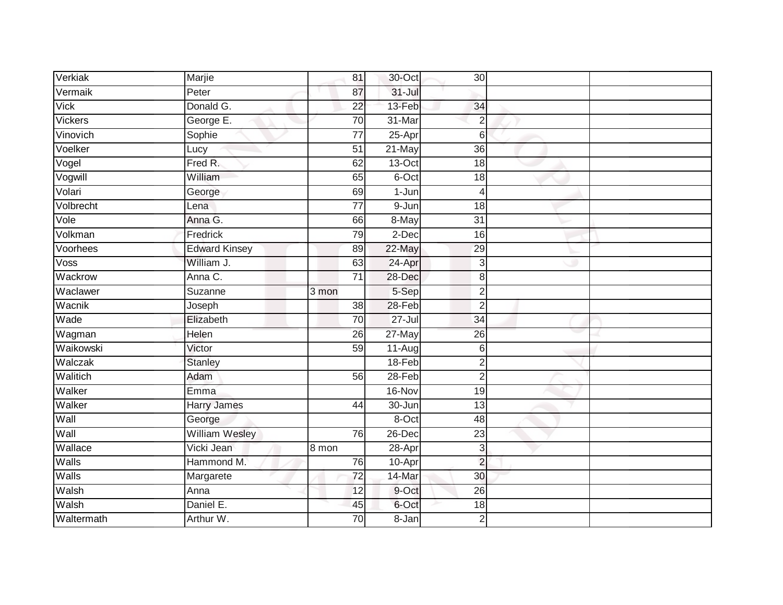| Verkiak     | Marjie                | 81              | 30-Oct     | 30 <sup>1</sup> |  |
|-------------|-----------------------|-----------------|------------|-----------------|--|
| Vermaik     | Peter                 | 87              | $31 -$ Jul |                 |  |
| <b>Vick</b> | Donald G.             | $\overline{22}$ | 13-Feb     | 34              |  |
| Vickers     | George E.             | 70              | 31-Mar     | $\overline{2}$  |  |
| Vinovich    | Sophie                | $\overline{77}$ | $25-Apr$   | 6               |  |
| Voelker     | Lucy                  | 51              | 21-May     | 36              |  |
| Vogel       | Fred R.               | 62              | 13-Oct     | 18              |  |
| Vogwill     | William               | 65              | 6-Oct      | $\overline{18}$ |  |
| Volari      | George                | 69              | $1-Jun$    | $\overline{4}$  |  |
| Volbrecht   | Lena                  | $\overline{77}$ | 9-Jun      | 18              |  |
| Vole        | Anna G.               | 66              | 8-May      | 31              |  |
| Volkman     | Fredrick              | 79              | 2-Dec      | 16              |  |
| Voorhees    | <b>Edward Kinsey</b>  | 89              | 22-May     | 29              |  |
| Voss        | William J.            | 63              | 24-Apr     | 3               |  |
| Wackrow     | Anna C.               | $\overline{71}$ | 28-Dec     | 8               |  |
| Waclawer    | Suzanne               | 3 mon           | 5-Sep      | $\overline{2}$  |  |
| Wacnik      | Joseph                | $\overline{38}$ | $28 - Feb$ | $\overline{2}$  |  |
| Wade        | Elizabeth             | $\overline{70}$ | $27 -$ Jul | $\overline{34}$ |  |
| Wagman      | Helen                 | 26              | 27-May     | $\overline{26}$ |  |
| Waikowski   | Victor                | 59              | 11-Aug     | 6               |  |
| Walczak     | <b>Stanley</b>        |                 | $18-Feb$   | $\overline{2}$  |  |
| Walitich    | Adam                  | 56              | $28-Feb$   | $\overline{2}$  |  |
| Walker      | Emma                  |                 | 16-Nov     | 19              |  |
| Walker      | <b>Harry James</b>    | 44              | 30-Jun     | 13              |  |
| Wall        | George                |                 | 8-Oct      | 48              |  |
| Wall        | <b>William Wesley</b> | 76              | 26-Dec     | 23              |  |
| Wallace     | Vicki Jean            | 8 mon           | 28-Apr     | $\mathsf 3$     |  |
| Walls       | Hammond M.            | 76              | 10-Apr     | $\overline{2}$  |  |
| Walls       | Margarete             | 72              | 14-Mar     | 30              |  |
| Walsh       | Anna                  | 12              | 9-Oct      | 26              |  |
| Walsh       | Daniel E.             | 45              | 6-Oct      | 18              |  |
| Waltermath  | Arthur W.             | 70              | $8 - Jan$  | $\overline{2}$  |  |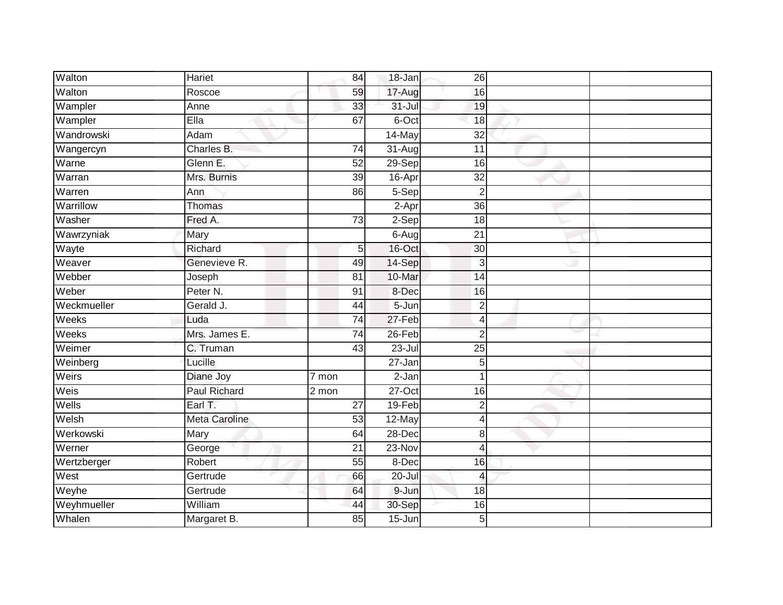| Walton      | Hariet               | 84                 | 18-Jan                | 26              |  |
|-------------|----------------------|--------------------|-----------------------|-----------------|--|
| Walton      | Roscoe               | 59                 | 17-Aug                | 16              |  |
| Wampler     | Anne                 | 33                 | $31 -$ Jul            | 19              |  |
| Wampler     | Ella                 | 67                 | 6-Oct                 | 18              |  |
| Wandrowski  | Adam                 |                    | 14-May                | $\overline{32}$ |  |
| Wangercyn   | Charles B.           | 74                 | $31 - Aug$            | 11              |  |
| Warne       | Glenn E.             | 52                 | 29-Sep                | 16              |  |
| Warran      | Mrs. Burnis          | 39                 | 16-Apr                | $\overline{32}$ |  |
| Warren      | Ann                  | 86                 | 5-Sep                 | $\overline{2}$  |  |
| Warrillow   | Thomas               |                    | 2-Apr                 | 36              |  |
| Washer      | Fred A.              | 73                 | $2-Sep$               | 18              |  |
| Wawrzyniak  | Mary                 |                    | $6 - \overline{A}$ ug | 21              |  |
| Wayte       | Richard              | 5                  | 16-Oct                | 30              |  |
| Weaver      | Genevieve R.         | 49                 | 14-Sep                | 3               |  |
| Webber      | Joseph               | 81                 | 10-Mar                | 14              |  |
| Weber       | Peter <sub>N.</sub>  | 91                 | 8-Dec                 | 16              |  |
| Weckmueller | Gerald J.            | 44                 | $5 - Jun$             | $\overline{2}$  |  |
| Weeks       | Luda                 | 74                 | 27-Feb                | $\overline{4}$  |  |
| Weeks       | Mrs. James E.        | $\overline{74}$    | 26-Feb                | $\overline{2}$  |  |
| Weimer      | C. Truman            | $\overline{43}$    | $23 -$ Jul            | $\overline{25}$ |  |
| Weinberg    | Lucille              |                    | $27 - Jan$            | 5               |  |
| Weirs       | Diane Joy            | $\overline{7}$ mon | $2-Jan$               | 1               |  |
| Weis        | <b>Paul Richard</b>  | $\overline{2}$ mon | $27-Oct$              | 16              |  |
| Wells       | Earl $T$ .           | 27                 | 19-Feb                | $\overline{2}$  |  |
| Welsh       | <b>Meta Caroline</b> | 53                 | 12-May                | $\overline{4}$  |  |
| Werkowski   | Mary                 | 64                 | $28 - Dec$            | 8               |  |
| Werner      | George               | $\overline{21}$    | $23-Nov$              | $\overline{4}$  |  |
| Wertzberger | Robert               | 55                 | 8-Dec                 | 16              |  |
| West        | Gertrude             | 66                 | $20 -$ Jul            | $\overline{4}$  |  |
| Weyhe       | Gertrude             | 64                 | 9-Jun                 | 18              |  |
| Weyhmueller | William              | 44                 | 30-Sep                | 16              |  |
| Whalen      | Margaret B.          | 85                 | $15 - Jun$            | 5               |  |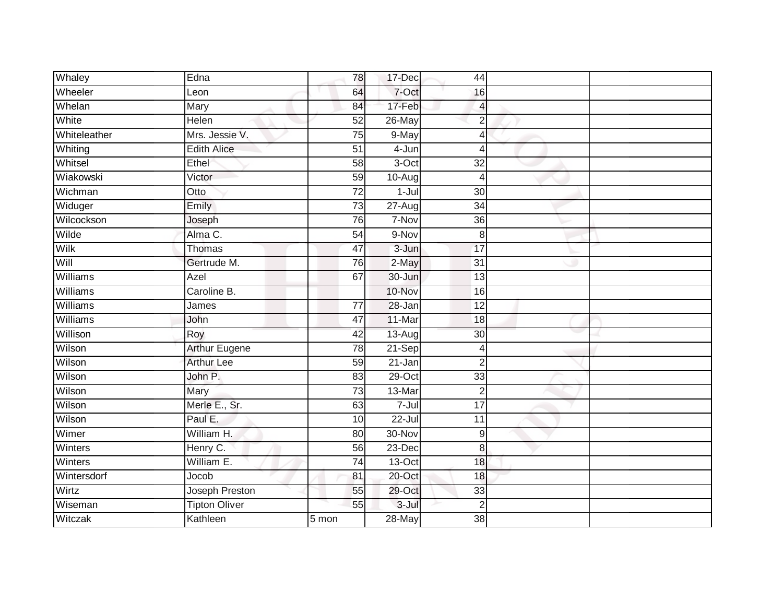| Whaley       | Edna                 | 78              | 17-Dec     | 44              |  |
|--------------|----------------------|-----------------|------------|-----------------|--|
| Wheeler      | Leon                 | 64              | 7-Oct      | 16              |  |
| Whelan       | Mary                 | 84              | 17-Feb     | 4               |  |
| White        | Helen                | 52              | 26-May     | $\overline{2}$  |  |
| Whiteleather | Mrs. Jessie V.       | $\overline{75}$ | 9-May      | $\overline{4}$  |  |
| Whiting      | <b>Edith Alice</b>   | 51              | 4-Jun      | $\overline{4}$  |  |
| Whitsel      | Ethel                | 58              | 3-Oct      | 32              |  |
| Wiakowski    | Victor               | 59              | 10-Aug     | $\overline{4}$  |  |
| Wichman      | Otto                 | 72              | $1 -$ Jul  | 30              |  |
| Widuger      | Emily                | $\overline{73}$ | $27 - Aug$ | $\overline{34}$ |  |
| Wilcockson   | Joseph               | 76              | 7-Nov      | $\overline{36}$ |  |
| Wilde        | Alma C.              | $\overline{54}$ | 9-Nov      | 8               |  |
| Wilk         | <b>Thomas</b>        | 47              | 3-Jun      | 17              |  |
| Will         | Gertrude M.          | 76              | 2-May      | 31              |  |
| Williams     | Azel                 | 67              | 30-Jun     | 13              |  |
| Williams     | Caroline B.          |                 | 10-Nov     | 16              |  |
| Williams     | James                | $\overline{77}$ | $28 - Jan$ | $\overline{12}$ |  |
| Williams     | John                 | 47              | 11-Mar     | 18              |  |
| Willison     | Roy                  | 42              | $13-Aug$   | 30              |  |
| Wilson       | <b>Arthur Eugene</b> | 78              | 21-Sep     | $\overline{4}$  |  |
| Wilson       | <b>Arthur Lee</b>    | 59              | $21 - Jan$ | $\overline{2}$  |  |
| Wilson       | John P.              | 83              | $29$ -Oct  | 33              |  |
| Wilson       | Mary                 | 73              | 13-Mar     | $\overline{c}$  |  |
| Wilson       | Merle E., Sr.        | 63              | $7 -$ Jul  | $\overline{17}$ |  |
| Wilson       | Paul E.              | 10              | $22 -$ Jul | 11              |  |
| Wimer        | William H.           | 80              | 30-Nov     | 9               |  |
| Winters      | Henry C.             | 56              | $23$ -Dec  | 8               |  |
| Winters      | William E.           | 74              | $13-Oct$   | 18              |  |
| Wintersdorf  | Jocob                | 81              | 20-Oct     | 18              |  |
| Wirtz        | Joseph Preston       | 55              | 29-Oct     | 33              |  |
| Wiseman      | <b>Tipton Oliver</b> | 55              | $3 -$ Jul  | $\overline{2}$  |  |
| Witczak      | Kathleen             | 5 mon           | $28 - May$ | $\overline{38}$ |  |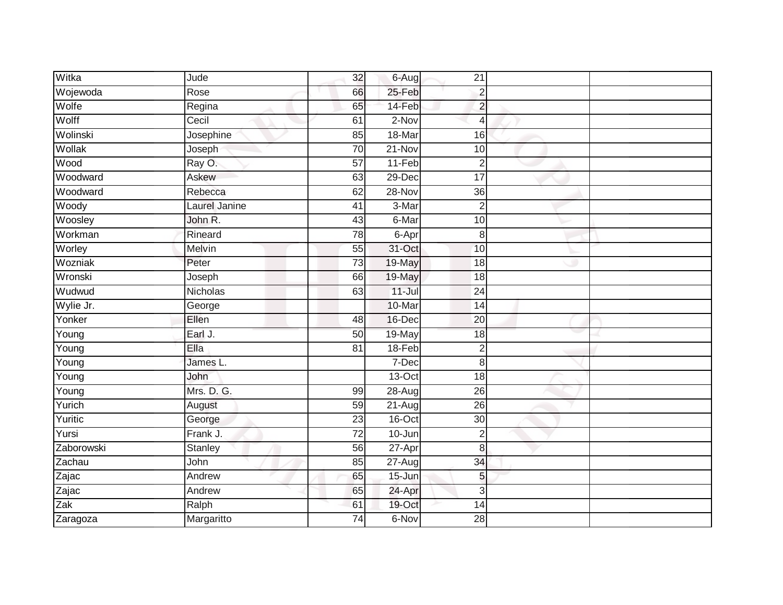| Witka        | Jude           | 32              | 6-Aug      | 21              |  |
|--------------|----------------|-----------------|------------|-----------------|--|
| Wojewoda     | Rose           | 66              | 25-Feb     | $\overline{2}$  |  |
| Wolfe        | Regina         | 65              | 14-Feb     | $\overline{2}$  |  |
| Wolff        | Cecil          | 61              | 2-Nov      | $\overline{4}$  |  |
| Wolinski     | Josephine      | 85              | 18-Mar     | $\overline{16}$ |  |
| Wollak       | Joseph         | 70              | $21 - Nov$ | 10              |  |
| Wood         | Ray O.         | 57              | 11-Feb     | $\overline{2}$  |  |
| Woodward     | Askew          | 63              | $29$ -Dec  | 17              |  |
| Woodward     | Rebecca        | 62              | 28-Nov     | 36              |  |
| Woody        | Laurel Janine  | $\overline{41}$ | 3-Mar      | $\overline{2}$  |  |
| Woosley      | John R.        | 43              | 6-Mar      | 10              |  |
| Workman      | Rineard        | $\overline{78}$ | $6 -$ Apr  | $\bf{8}$        |  |
| Worley       | Melvin         | 55              | 31-Oct     | 10              |  |
| Wozniak      | Peter          | $\overline{73}$ | 19-May     | 18              |  |
| Wronski      | Joseph         | 66              | 19-May     | 18              |  |
| Wudwud       | Nicholas       | 63              | $11 -$ Jul | 24              |  |
| Wylie Jr.    | George         |                 | 10-Mar     | $\overline{14}$ |  |
| Yonker       | Ellen          | 48              | 16-Dec     | 20              |  |
| Young        | Earl J.        | 50              | 19-May     | 18              |  |
| Young        | Ella           | 81              | 18-Feb     | $\overline{2}$  |  |
| Young        | James L.       |                 | 7-Dec      | 8               |  |
| Young        | John           |                 | $13-Oct$   | $\overline{18}$ |  |
| Young        | Mrs. D. G.     | 99              | $28 - Aug$ | 26              |  |
| Yurich       | August         | 59              | 21-Aug     | $\overline{26}$ |  |
| Yuritic      | George         | 23              | 16-Oct     | 30              |  |
| Yursi        | Frank J.       | 72              | 10-Jun     | $\overline{2}$  |  |
| Zaborowski   | <b>Stanley</b> | 56              | 27-Apr     | 8               |  |
| Zachau       | John           | 85              | $27$ -Augl | 34              |  |
| Zajac        | Andrew         | 65              | $15 - Jun$ | 5               |  |
| Zajac<br>Zak | Andrew         | 65              | 24-Apr     | $\mathbf{3}$    |  |
|              | Ralph          | 61              | 19-Oct     | 14              |  |
| Zaragoza     | Margaritto     | $\overline{74}$ | 6-Nov      | $\overline{28}$ |  |